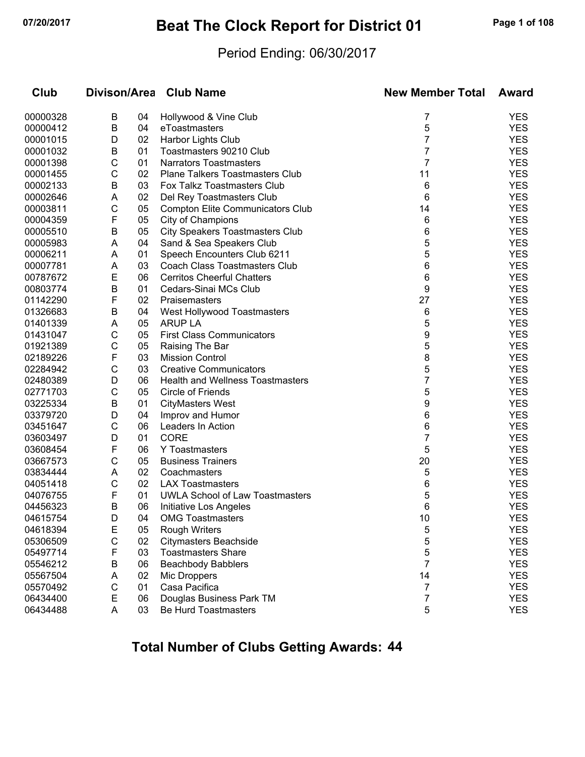# **07/20/2017 Beat The Clock Report for District 01 Page 1 of 108**

#### Period Ending: 06/30/2017

| Club     |              |    | Divison/Area Club Name                  | <b>New Member Total</b> | Award      |
|----------|--------------|----|-----------------------------------------|-------------------------|------------|
| 00000328 | В            | 04 | Hollywood & Vine Club                   | 7                       | <b>YES</b> |
| 00000412 | В            | 04 | eToastmasters                           | 5                       | <b>YES</b> |
| 00001015 | D            | 02 | Harbor Lights Club                      | 7                       | <b>YES</b> |
| 00001032 | В            | 01 | Toastmasters 90210 Club                 | 7                       | <b>YES</b> |
| 00001398 | C            | 01 | <b>Narrators Toastmasters</b>           | 7                       | <b>YES</b> |
| 00001455 | C            | 02 | <b>Plane Talkers Toastmasters Club</b>  | 11                      | <b>YES</b> |
| 00002133 | B            | 03 | Fox Talkz Toastmasters Club             | 6                       | <b>YES</b> |
| 00002646 | A            | 02 | Del Rey Toastmasters Club               | 6                       | <b>YES</b> |
| 00003811 | C            | 05 | <b>Compton Elite Communicators Club</b> | 14                      | <b>YES</b> |
| 00004359 | F            | 05 | City of Champions                       | 6                       | <b>YES</b> |
| 00005510 | В            | 05 | <b>City Speakers Toastmasters Club</b>  | 6                       | <b>YES</b> |
| 00005983 | Α            | 04 | Sand & Sea Speakers Club                | 5                       | <b>YES</b> |
| 00006211 | Α            | 01 | Speech Encounters Club 6211             | 5                       | <b>YES</b> |
| 00007781 | Α            | 03 | Coach Class Toastmasters Club           | 6                       | <b>YES</b> |
| 00787672 | E            | 06 | <b>Cerritos Cheerful Chatters</b>       | 6                       | <b>YES</b> |
| 00803774 | B            | 01 | Cedars-Sinai MCs Club                   | 9                       | <b>YES</b> |
| 01142290 | F            | 02 | Praisemasters                           | 27                      | <b>YES</b> |
| 01326683 | В            | 04 | West Hollywood Toastmasters             | 6                       | <b>YES</b> |
| 01401339 | Α            | 05 | <b>ARUP LA</b>                          | 5                       | <b>YES</b> |
| 01431047 | C            | 05 | <b>First Class Communicators</b>        | 9                       | <b>YES</b> |
| 01921389 | C            | 05 | Raising The Bar                         | 5                       | <b>YES</b> |
| 02189226 | F            | 03 | <b>Mission Control</b>                  | 8                       | <b>YES</b> |
| 02284942 | C            | 03 | <b>Creative Communicators</b>           | 5                       | <b>YES</b> |
| 02480389 | D            | 06 | <b>Health and Wellness Toastmasters</b> | 7                       | <b>YES</b> |
| 02771703 | C            | 05 | Circle of Friends                       | 5                       | <b>YES</b> |
| 03225334 | В            | 01 | <b>CityMasters West</b>                 | 9                       | <b>YES</b> |
| 03379720 | D            | 04 | Improv and Humor                        | 6                       | <b>YES</b> |
| 03451647 | C            | 06 | Leaders In Action                       | 6                       | <b>YES</b> |
| 03603497 | D            | 01 | <b>CORE</b>                             | 7                       | <b>YES</b> |
| 03608454 | F            | 06 | Y Toastmasters                          | 5                       | <b>YES</b> |
| 03667573 | C            | 05 | <b>Business Trainers</b>                | 20                      | <b>YES</b> |
| 03834444 | A            | 02 | Coachmasters                            | 5                       | <b>YES</b> |
| 04051418 | C            | 02 | <b>LAX Toastmasters</b>                 | 6                       | <b>YES</b> |
| 04076755 | F            | 01 | UWLA School of Law Toastmasters         | 5                       | <b>YES</b> |
| 04456323 | B            | 06 | Initiative Los Angeles                  | 6                       | <b>YES</b> |
| 04615754 | D            | 04 | <b>OMG Toastmasters</b>                 | 10                      | <b>YES</b> |
| 04618394 | E            | 05 | <b>Rough Writers</b>                    | 5                       | <b>YES</b> |
| 05306509 | $\mathsf{C}$ | 02 | <b>Citymasters Beachside</b>            | 5                       | <b>YES</b> |
| 05497714 | F            | 03 | <b>Toastmasters Share</b>               | 5                       | <b>YES</b> |
| 05546212 | В            | 06 | <b>Beachbody Babblers</b>               | 7                       | <b>YES</b> |
| 05567504 | A            | 02 | Mic Droppers                            | 14                      | <b>YES</b> |
| 05570492 | $\mathsf{C}$ | 01 | Casa Pacifica                           | 7                       | <b>YES</b> |
| 06434400 | E            | 06 | Douglas Business Park TM                | 7                       | <b>YES</b> |
| 06434488 | A            | 03 | Be Hurd Toastmasters                    | 5                       | <b>YES</b> |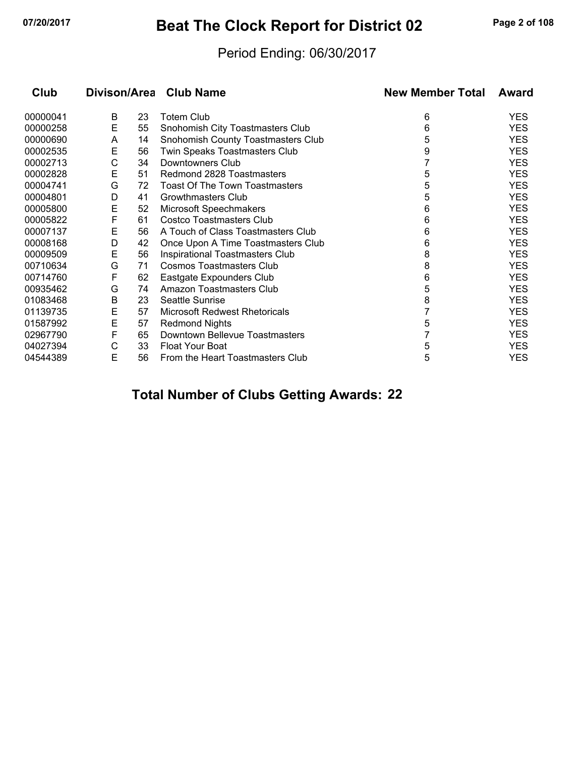# **07/20/2017 Beat The Clock Report for District 02 Page 2 of 108**

### Period Ending: 06/30/2017

| Club     |   |    | Divison/Area Club Name                | <b>New Member Total</b> | Award      |
|----------|---|----|---------------------------------------|-------------------------|------------|
| 00000041 | B | 23 | <b>Totem Club</b>                     | 6                       | <b>YES</b> |
| 00000258 | Е | 55 | Snohomish City Toastmasters Club      | 6                       | <b>YES</b> |
| 00000690 | A | 14 | Snohomish County Toastmasters Club    | 5                       | <b>YES</b> |
| 00002535 | Е | 56 | Twin Speaks Toastmasters Club         | 9                       | <b>YES</b> |
| 00002713 | С | 34 | Downtowners Club                      |                         | <b>YES</b> |
| 00002828 | Е | 51 | Redmond 2828 Toastmasters             | 5                       | <b>YES</b> |
| 00004741 | G | 72 | <b>Toast Of The Town Toastmasters</b> | 5                       | <b>YES</b> |
| 00004801 | D | 41 | Growthmasters Club                    | 5                       | <b>YES</b> |
| 00005800 | E | 52 | <b>Microsoft Speechmakers</b>         | 6                       | <b>YES</b> |
| 00005822 | F | 61 | <b>Costco Toastmasters Club</b>       | 6                       | <b>YES</b> |
| 00007137 | Е | 56 | A Touch of Class Toastmasters Club    | 6                       | <b>YES</b> |
| 00008168 | D | 42 | Once Upon A Time Toastmasters Club    | 6                       | <b>YES</b> |
| 00009509 | E | 56 | Inspirational Toastmasters Club       | 8                       | <b>YES</b> |
| 00710634 | G | 71 | <b>Cosmos Toastmasters Club</b>       | 8                       | <b>YES</b> |
| 00714760 | F | 62 | Eastgate Expounders Club              | 6                       | <b>YES</b> |
| 00935462 | G | 74 | Amazon Toastmasters Club              | 5                       | <b>YES</b> |
| 01083468 | В | 23 | <b>Seattle Sunrise</b>                | 8                       | <b>YES</b> |
| 01139735 | Е | 57 | <b>Microsoft Redwest Rhetoricals</b>  |                         | <b>YES</b> |
| 01587992 | E | 57 | <b>Redmond Nights</b>                 | 5                       | <b>YES</b> |
| 02967790 | F | 65 | Downtown Bellevue Toastmasters        |                         | <b>YES</b> |
| 04027394 | С | 33 | <b>Float Your Boat</b>                | 5                       | <b>YES</b> |
| 04544389 | Е | 56 | From the Heart Toastmasters Club      | 5                       | <b>YES</b> |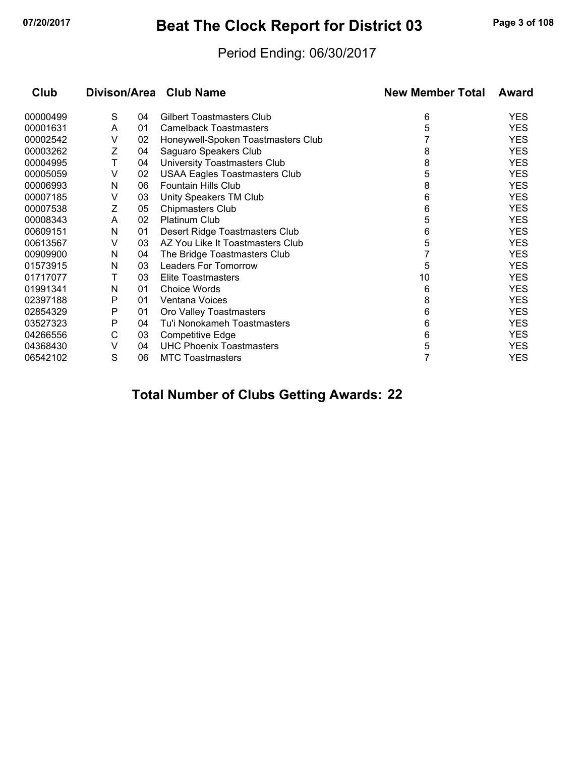# **07/20/2017 Beat The Clock Report for District 03 Page 3 of 108**

### Period Ending: 06/30/2017

| Club     |   |    | Divison/Area Club Name               | <b>New Member Total</b> | <b>Award</b> |
|----------|---|----|--------------------------------------|-------------------------|--------------|
| 00000499 | S | 04 | <b>Gilbert Toastmasters Club</b>     | 6                       | <b>YES</b>   |
| 00001631 | A | 01 | <b>Camelback Toastmasters</b>        | 5                       | <b>YES</b>   |
| 00002542 | V | 02 | Honeywell-Spoken Toastmasters Club   |                         | <b>YES</b>   |
| 00003262 | Ζ | 04 | Saguaro Speakers Club                | 8                       | <b>YES</b>   |
| 00004995 | Τ | 04 | University Toastmasters Club         | 8                       | <b>YES</b>   |
| 00005059 | v | 02 | <b>USAA Eagles Toastmasters Club</b> | 5                       | <b>YES</b>   |
| 00006993 | N | 06 | Fountain Hills Club                  | 8                       | <b>YES</b>   |
| 00007185 | v | 03 | Unity Speakers TM Club               | 6                       | <b>YES</b>   |
| 00007538 | Z | 05 | Chipmasters Club                     | 6                       | <b>YES</b>   |
| 00008343 | A | 02 | <b>Platinum Club</b>                 | 5                       | <b>YES</b>   |
| 00609151 | N | 01 | Desert Ridge Toastmasters Club       | 6                       | <b>YES</b>   |
| 00613567 | V | 03 | AZ You Like It Toastmasters Club     | 5                       | <b>YES</b>   |
| 00909900 | N | 04 | The Bridge Toastmasters Club         |                         | <b>YES</b>   |
| 01573915 | N | 03 | <b>Leaders For Tomorrow</b>          | 5                       | <b>YES</b>   |
| 01717077 | т | 03 | <b>Elite Toastmasters</b>            | 10                      | <b>YES</b>   |
| 01991341 | N | 01 | <b>Choice Words</b>                  | 6                       | <b>YES</b>   |
| 02397188 | P | 01 | Ventana Voices                       | 8                       | <b>YES</b>   |
| 02854329 | Ρ | 01 | Oro Valley Toastmasters              | 6                       | <b>YES</b>   |
| 03527323 | Ρ | 04 | Tu'i Nonokameh Toastmasters          | 6                       | <b>YES</b>   |
| 04266556 | С | 03 | <b>Competitive Edge</b>              | 6                       | <b>YES</b>   |
| 04368430 | v | 04 | <b>UHC Phoenix Toastmasters</b>      | 5                       | <b>YES</b>   |
| 06542102 | S | 06 | <b>MTC Toastmasters</b>              | 7                       | <b>YES</b>   |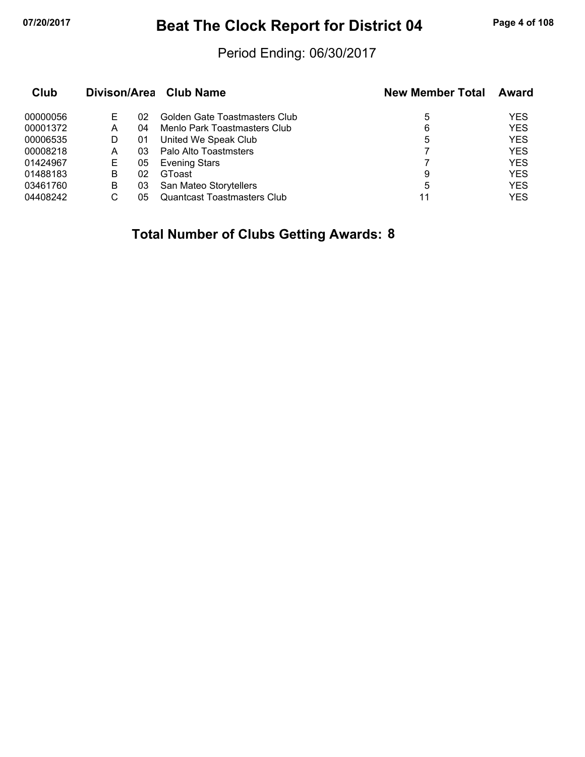# **07/20/2017 Beat The Clock Report for District 04 Page 4 of 108**

### Period Ending: 06/30/2017

| Club     |   |    | Divison/Area Club Name             | <b>New Member Total</b> | Award      |
|----------|---|----|------------------------------------|-------------------------|------------|
| 00000056 | Е | 02 | Golden Gate Toastmasters Club      | 5                       | <b>YES</b> |
| 00001372 | A | 04 | Menlo Park Toastmasters Club       | 6                       | <b>YES</b> |
| 00006535 | D | 01 | United We Speak Club               | 5                       | <b>YES</b> |
| 00008218 | A | 03 | Palo Alto Toastmsters              |                         | <b>YES</b> |
| 01424967 | E | 05 | <b>Evening Stars</b>               |                         | <b>YES</b> |
| 01488183 | B | 02 | GToast                             | 9                       | <b>YES</b> |
| 03461760 | B | 03 | San Mateo Storytellers             | 5                       | <b>YES</b> |
| 04408242 | С | 05 | <b>Quantcast Toastmasters Club</b> | 11                      | YES        |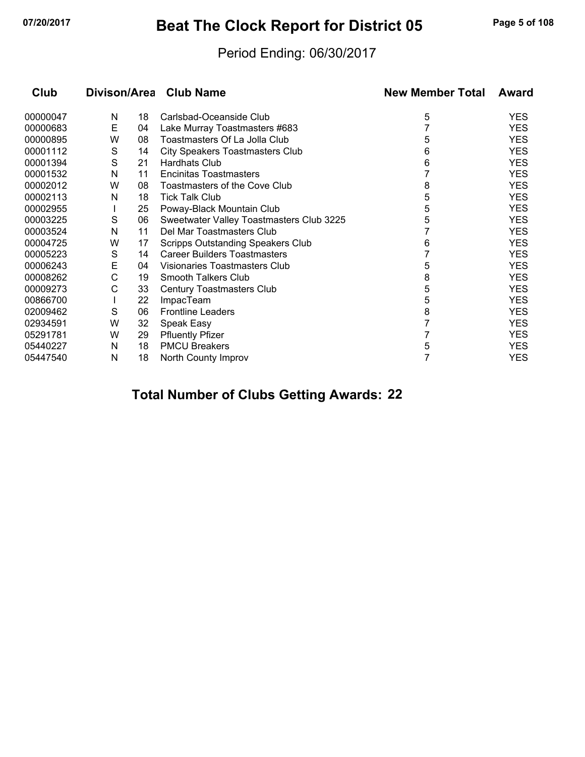# **07/20/2017 Beat The Clock Report for District 05 Page 5 of 108**

### Period Ending: 06/30/2017

| Club     | Divison/Area |    | <b>Club Name</b>                         | <b>New Member Total</b> | Award      |
|----------|--------------|----|------------------------------------------|-------------------------|------------|
| 00000047 | N            | 18 | Carlsbad-Oceanside Club                  | 5                       | <b>YES</b> |
| 00000683 | Е            | 04 | Lake Murray Toastmasters #683            |                         | <b>YES</b> |
| 00000895 | W            | 08 | Toastmasters Of La Jolla Club            | 5                       | <b>YES</b> |
| 00001112 | S            | 14 | <b>City Speakers Toastmasters Club</b>   | 6                       | <b>YES</b> |
| 00001394 | S            | 21 | <b>Hardhats Club</b>                     | 6                       | <b>YES</b> |
| 00001532 | N            | 11 | Encinitas Toastmasters                   |                         | <b>YES</b> |
| 00002012 | W            | 08 | Toastmasters of the Cove Club            | 8                       | <b>YES</b> |
| 00002113 | N            | 18 | <b>Tick Talk Club</b>                    | 5                       | <b>YES</b> |
| 00002955 |              | 25 | Poway-Black Mountain Club                | 5                       | <b>YES</b> |
| 00003225 | S            | 06 | Sweetwater Valley Toastmasters Club 3225 | 5                       | <b>YES</b> |
| 00003524 | N            | 11 | Del Mar Toastmasters Club                |                         | <b>YES</b> |
| 00004725 | W            | 17 | <b>Scripps Outstanding Speakers Club</b> | 6                       | <b>YES</b> |
| 00005223 | S            | 14 | <b>Career Builders Toastmasters</b>      |                         | <b>YES</b> |
| 00006243 | Е            | 04 | Visionaries Toastmasters Club            | 5                       | <b>YES</b> |
| 00008262 | С            | 19 | Smooth Talkers Club                      | 8                       | <b>YES</b> |
| 00009273 | С            | 33 | Century Toastmasters Club                | 5                       | <b>YES</b> |
| 00866700 |              | 22 | <b>ImpacTeam</b>                         | 5                       | <b>YES</b> |
| 02009462 | S            | 06 | <b>Frontline Leaders</b>                 | 8                       | <b>YES</b> |
| 02934591 | W            | 32 | Speak Easy                               |                         | <b>YES</b> |
| 05291781 | W            | 29 | <b>Pfluently Pfizer</b>                  |                         | <b>YES</b> |
| 05440227 | N            | 18 | <b>PMCU Breakers</b>                     | 5                       | <b>YES</b> |
| 05447540 | N            | 18 | North County Improv                      |                         | <b>YES</b> |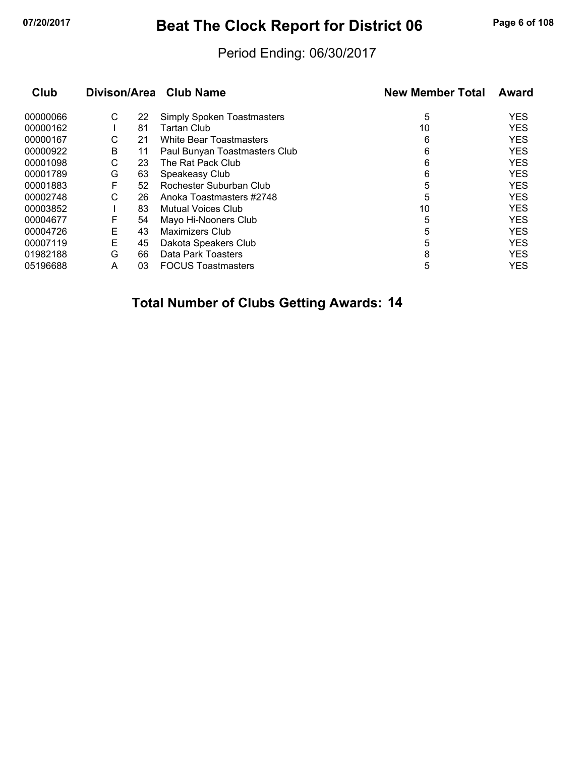# **07/20/2017 Beat The Clock Report for District 06 Page 6 of 108**

#### Period Ending: 06/30/2017

| Club     | Divison/Area |    | <b>Club Name</b>                  | <b>New Member Total</b> | Award      |  |
|----------|--------------|----|-----------------------------------|-------------------------|------------|--|
| 00000066 | С            | 22 | <b>Simply Spoken Toastmasters</b> | 5                       | <b>YES</b> |  |
| 00000162 |              | 81 | Tartan Club                       | 10                      | <b>YES</b> |  |
| 00000167 | С            | 21 | <b>White Bear Toastmasters</b>    | 6                       | <b>YES</b> |  |
| 00000922 | В            | 11 | Paul Bunyan Toastmasters Club     | 6                       | <b>YES</b> |  |
| 00001098 | С            | 23 | The Rat Pack Club                 | 6                       | <b>YES</b> |  |
| 00001789 | G            | 63 | Speakeasy Club                    | 6                       | <b>YES</b> |  |
| 00001883 | F            | 52 | Rochester Suburban Club           | 5                       | <b>YES</b> |  |
| 00002748 | С            | 26 | Anoka Toastmasters #2748          | 5                       | <b>YES</b> |  |
| 00003852 |              | 83 | <b>Mutual Voices Club</b>         | 10                      | <b>YES</b> |  |
| 00004677 | F            | 54 | Mayo Hi-Nooners Club              | 5                       | <b>YES</b> |  |
| 00004726 | E            | 43 | Maximizers Club                   | 5                       | <b>YES</b> |  |
| 00007119 | Е            | 45 | Dakota Speakers Club              | 5                       | <b>YES</b> |  |
| 01982188 | G            | 66 | Data Park Toasters                | 8                       | <b>YES</b> |  |
| 05196688 | A            | 03 | <b>FOCUS Toastmasters</b>         | 5                       | <b>YES</b> |  |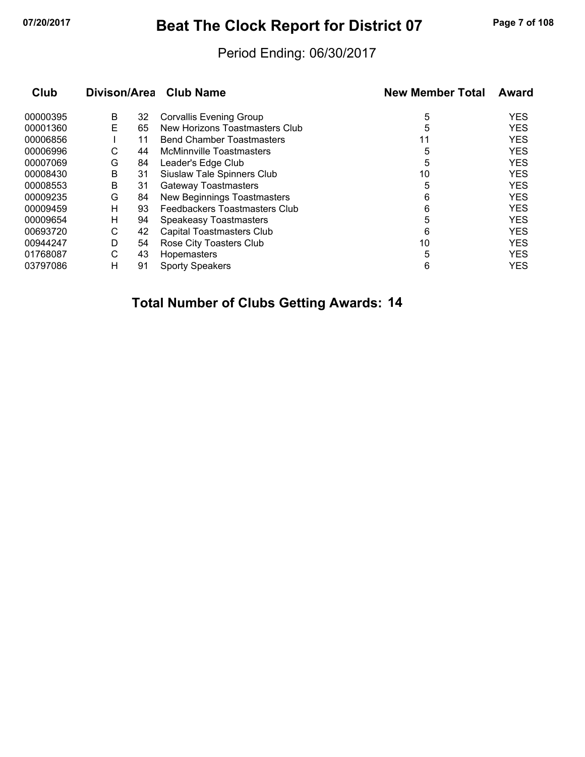# **07/20/2017 Beat The Clock Report for District 07 Page 7 of 108**

#### Period Ending: 06/30/2017

| Club     | Divison/Area |    | <b>Club Name</b>                 | <b>New Member Total</b> | Award      |
|----------|--------------|----|----------------------------------|-------------------------|------------|
| 00000395 | B            | 32 | <b>Corvallis Evening Group</b>   | 5                       | <b>YES</b> |
| 00001360 | Е            | 65 | New Horizons Toastmasters Club   | 5                       | <b>YES</b> |
| 00006856 |              | 11 | <b>Bend Chamber Toastmasters</b> | 11                      | <b>YES</b> |
| 00006996 | С            | 44 | <b>McMinnville Toastmasters</b>  | 5                       | <b>YES</b> |
| 00007069 | G            | 84 | Leader's Edge Club               | 5                       | <b>YES</b> |
| 00008430 | B            | 31 | Siuslaw Tale Spinners Club       | 10                      | <b>YES</b> |
| 00008553 | B            | 31 | <b>Gateway Toastmasters</b>      | 5                       | <b>YES</b> |
| 00009235 | G            | 84 | New Beginnings Toastmasters      | 6                       | <b>YES</b> |
| 00009459 | н            | 93 | Feedbackers Toastmasters Club    | 6                       | <b>YES</b> |
| 00009654 | н            | 94 | <b>Speakeasy Toastmasters</b>    | 5                       | <b>YES</b> |
| 00693720 | C            | 42 | Capital Toastmasters Club        | 6                       | <b>YES</b> |
| 00944247 | D            | 54 | Rose City Toasters Club          | 10                      | <b>YES</b> |
| 01768087 | С            | 43 | Hopemasters                      | 5                       | <b>YES</b> |
| 03797086 | н            | 91 | <b>Sporty Speakers</b>           | 6                       | <b>YES</b> |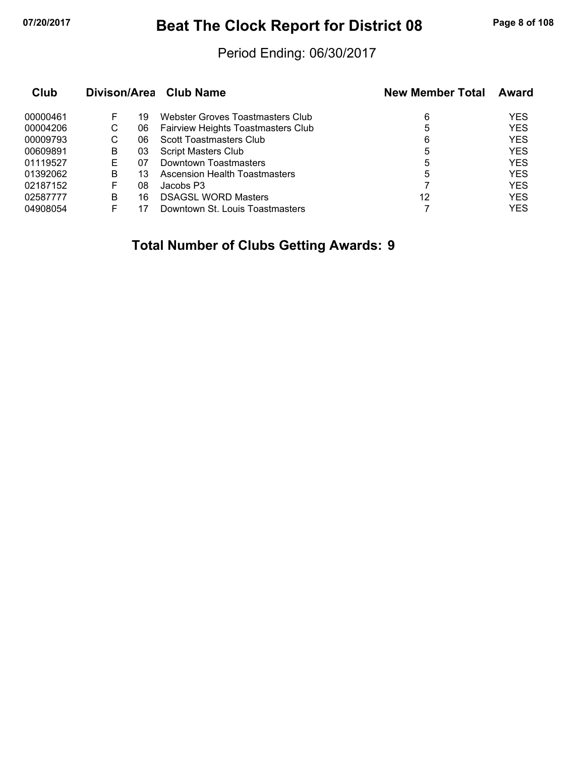# **07/20/2017 Beat The Clock Report for District 08 Page 8 of 108**

#### Period Ending: 06/30/2017

| Club     |   |    | Divison/Area Club Name             | <b>New Member Total</b> | Award      |  |
|----------|---|----|------------------------------------|-------------------------|------------|--|
| 00000461 |   | 19 | Webster Groves Toastmasters Club   | 6                       | <b>YES</b> |  |
| 00004206 | С | 06 | Fairview Heights Toastmasters Club | 5                       | <b>YES</b> |  |
| 00009793 | С | 06 | Scott Toastmasters Club            | 6                       | <b>YES</b> |  |
| 00609891 | В | 03 | <b>Script Masters Club</b>         | 5                       | <b>YES</b> |  |
| 01119527 | E | 07 | Downtown Toastmasters              | 5                       | <b>YES</b> |  |
| 01392062 | в | 13 | Ascension Health Toastmasters      | 5                       | <b>YES</b> |  |
| 02187152 | F | 08 | Jacobs P3                          |                         | <b>YES</b> |  |
| 02587777 | в | 16 | <b>DSAGSL WORD Masters</b>         | 12                      | <b>YES</b> |  |
| 04908054 |   |    | Downtown St. Louis Toastmasters    |                         | <b>YES</b> |  |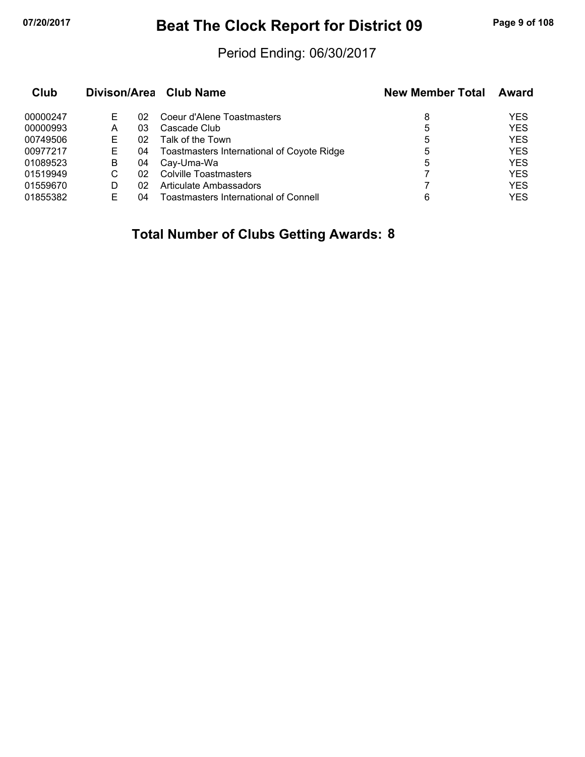# **07/20/2017 Beat The Clock Report for District 09 Page 9 of 108**

### Period Ending: 06/30/2017

| Club     |   |    | Divison/Area Club Name                            | <b>New Member Total</b> | Award      |
|----------|---|----|---------------------------------------------------|-------------------------|------------|
| 00000247 | Е | 02 | Coeur d'Alene Toastmasters                        | 8                       | <b>YES</b> |
| 00000993 | А | 03 | Cascade Club                                      | 5                       | <b>YES</b> |
| 00749506 | Е | 02 | Talk of the Town                                  | 5                       | <b>YES</b> |
| 00977217 | E | 04 | <b>Toastmasters International of Coyote Ridge</b> | 5                       | <b>YES</b> |
| 01089523 | B | 04 | Cay-Uma-Wa                                        | 5                       | <b>YES</b> |
| 01519949 | С | 02 | <b>Colville Toastmasters</b>                      |                         | <b>YES</b> |
| 01559670 | D | 02 | Articulate Ambassadors                            |                         | <b>YES</b> |
| 01855382 |   | 04 | Toastmasters International of Connell             | 6                       | YES        |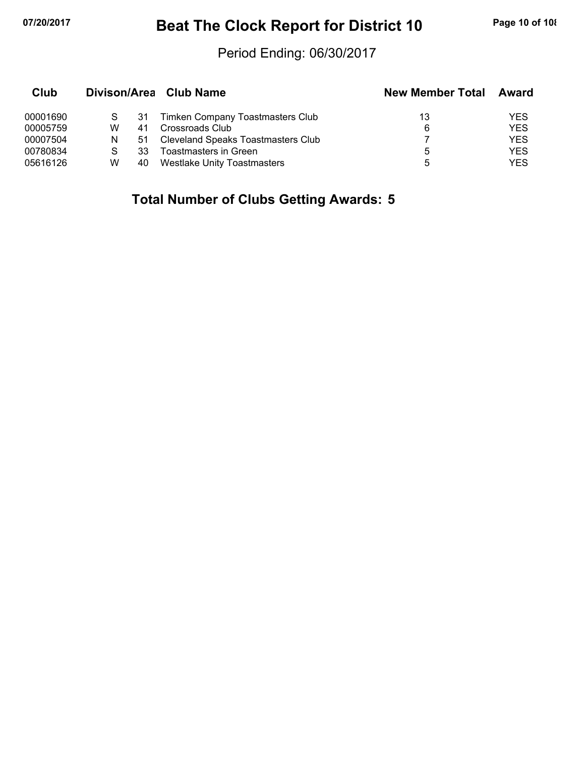# **07/20/2017 Beat The Clock Report for District 10 Page 10 of 108**

#### Period Ending: 06/30/2017

| Club     |   |    | Divison/Area Club Name             | <b>New Member Total</b> | Award      |
|----------|---|----|------------------------------------|-------------------------|------------|
| 00001690 |   | 31 | Timken Company Toastmasters Club   | 13                      | YES        |
| 00005759 | w | 41 | Crossroads Club                    | 6                       | <b>YES</b> |
| 00007504 | N | 51 | Cleveland Speaks Toastmasters Club |                         | <b>YES</b> |
| 00780834 |   | 33 | Toastmasters in Green              | 5                       | <b>YES</b> |
| 05616126 | W | 40 | <b>Westlake Unity Toastmasters</b> | ۰h                      | YES        |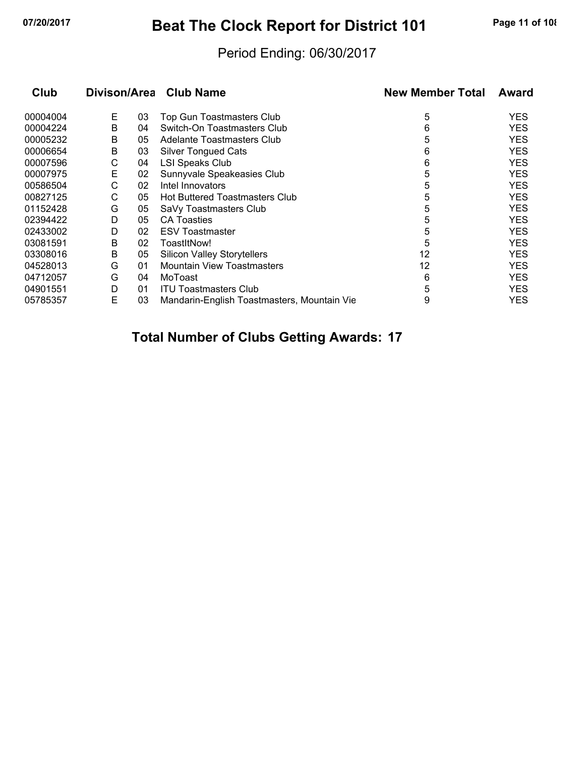# **07/20/2017 Beat The Clock Report for District 101 Page 11 of 108**

### Period Ending: 06/30/2017

| Club     | Divison/Area |    | <b>Club Name</b>                            | <b>New Member Total</b> | Award      |
|----------|--------------|----|---------------------------------------------|-------------------------|------------|
| 00004004 | E.           | 03 | <b>Top Gun Toastmasters Club</b>            | 5                       | <b>YES</b> |
| 00004224 | B            | 04 | Switch-On Toastmasters Club                 | 6                       | <b>YES</b> |
| 00005232 | В            | 05 | Adelante Toastmasters Club                  | 5                       | <b>YES</b> |
| 00006654 | B            | 03 | <b>Silver Tongued Cats</b>                  | 6                       | <b>YES</b> |
| 00007596 | С            | 04 | <b>LSI Speaks Club</b>                      | 6                       | <b>YES</b> |
| 00007975 | Е            | 02 | Sunnyvale Speakeasies Club                  | 5                       | <b>YES</b> |
| 00586504 | С            | 02 | Intel Innovators                            | 5                       | <b>YES</b> |
| 00827125 | С            | 05 | Hot Buttered Toastmasters Club              | 5                       | <b>YES</b> |
| 01152428 | G            | 05 | SaVy Toastmasters Club                      | 5                       | <b>YES</b> |
| 02394422 | D            | 05 | <b>CA Toasties</b>                          | 5                       | <b>YES</b> |
| 02433002 | D            | 02 | <b>ESV Toastmaster</b>                      | 5                       | <b>YES</b> |
| 03081591 | B            | 02 | ToastItNow!                                 | 5                       | <b>YES</b> |
| 03308016 | B            | 05 | <b>Silicon Valley Storytellers</b>          | 12                      | <b>YES</b> |
| 04528013 | G            | 01 | <b>Mountain View Toastmasters</b>           | 12                      | <b>YES</b> |
| 04712057 | G            | 04 | MoToast                                     | 6                       | <b>YES</b> |
| 04901551 | D            | 01 | <b>ITU Toastmasters Club</b>                | 5                       | <b>YES</b> |
| 05785357 | E            | 03 | Mandarin-English Toastmasters, Mountain Vie | 9                       | YES.       |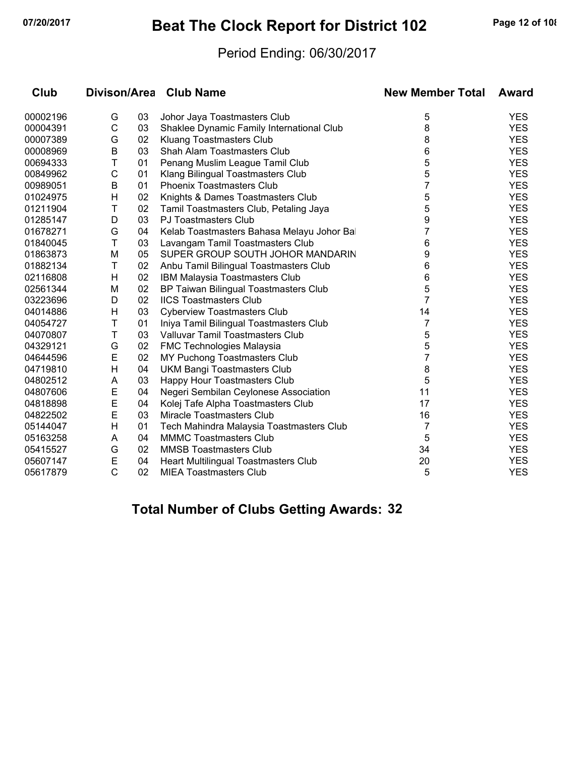# **07/20/2017 Beat The Clock Report for District 102 Page 12 of 108**

#### Period Ending: 06/30/2017

| Club     |              |    | Divison/Area Club Name                    | <b>New Member Total</b> | Award      |
|----------|--------------|----|-------------------------------------------|-------------------------|------------|
| 00002196 | G            | 03 | Johor Jaya Toastmasters Club              | 5                       | <b>YES</b> |
| 00004391 | $\mathsf C$  | 03 | Shaklee Dynamic Family International Club | 8                       | <b>YES</b> |
| 00007389 | G            | 02 | Kluang Toastmasters Club                  | 8                       | <b>YES</b> |
| 00008969 | B            | 03 | Shah Alam Toastmasters Club               | 6                       | <b>YES</b> |
| 00694333 | Τ            | 01 | Penang Muslim League Tamil Club           | 5                       | <b>YES</b> |
| 00849962 | C            | 01 | Klang Bilingual Toastmasters Club         | 5                       | <b>YES</b> |
| 00989051 | B            | 01 | <b>Phoenix Toastmasters Club</b>          | 7                       | <b>YES</b> |
| 01024975 | H            | 02 | Knights & Dames Toastmasters Club         | 5                       | <b>YES</b> |
| 01211904 | Τ            | 02 | Tamil Toastmasters Club, Petaling Jaya    | 5                       | <b>YES</b> |
| 01285147 | D            | 03 | <b>PJ Toastmasters Club</b>               | 9                       | <b>YES</b> |
| 01678271 | G            | 04 | Kelab Toastmasters Bahasa Melayu Johor Ba | $\overline{7}$          | <b>YES</b> |
| 01840045 | T            | 03 | Lavangam Tamil Toastmasters Club          | 6                       | <b>YES</b> |
| 01863873 | M            | 05 | SUPER GROUP SOUTH JOHOR MANDARIN          | 9                       | <b>YES</b> |
| 01882134 | Τ            | 02 | Anbu Tamil Bilingual Toastmasters Club    | 6                       | <b>YES</b> |
| 02116808 | H            | 02 | IBM Malaysia Toastmasters Club            | 6                       | <b>YES</b> |
| 02561344 | M            | 02 | BP Taiwan Bilingual Toastmasters Club     | 5                       | <b>YES</b> |
| 03223696 | D            | 02 | <b>IICS Toastmasters Club</b>             | 7                       | <b>YES</b> |
| 04014886 | н            | 03 | <b>Cyberview Toastmasters Club</b>        | 14                      | <b>YES</b> |
| 04054727 | T            | 01 | Iniya Tamil Bilingual Toastmasters Club   | 7                       | <b>YES</b> |
| 04070807 | Τ            | 03 | Valluvar Tamil Toastmasters Club          | 5                       | <b>YES</b> |
| 04329121 | G            | 02 | <b>FMC Technologies Malaysia</b>          | 5                       | <b>YES</b> |
| 04644596 | E            | 02 | MY Puchong Toastmasters Club              | 7                       | <b>YES</b> |
| 04719810 | H            | 04 | <b>UKM Bangi Toastmasters Club</b>        | 8                       | <b>YES</b> |
| 04802512 | A            | 03 | Happy Hour Toastmasters Club              | 5                       | <b>YES</b> |
| 04807606 | E            | 04 | Negeri Sembilan Ceylonese Association     | 11                      | <b>YES</b> |
| 04818898 | E            | 04 | Kolej Tafe Alpha Toastmasters Club        | 17                      | <b>YES</b> |
| 04822502 | E            | 03 | Miracle Toastmasters Club                 | 16                      | <b>YES</b> |
| 05144047 | Н            | 01 | Tech Mahindra Malaysia Toastmasters Club  | 7                       | <b>YES</b> |
| 05163258 | A            | 04 | <b>MMMC Toastmasters Club</b>             | 5                       | <b>YES</b> |
| 05415527 | G            | 02 | <b>MMSB Toastmasters Club</b>             | 34                      | <b>YES</b> |
| 05607147 | E            | 04 | Heart Multilingual Toastmasters Club      | 20                      | <b>YES</b> |
| 05617879 | $\mathsf{C}$ | 02 | <b>MIEA Toastmasters Club</b>             | 5                       | <b>YES</b> |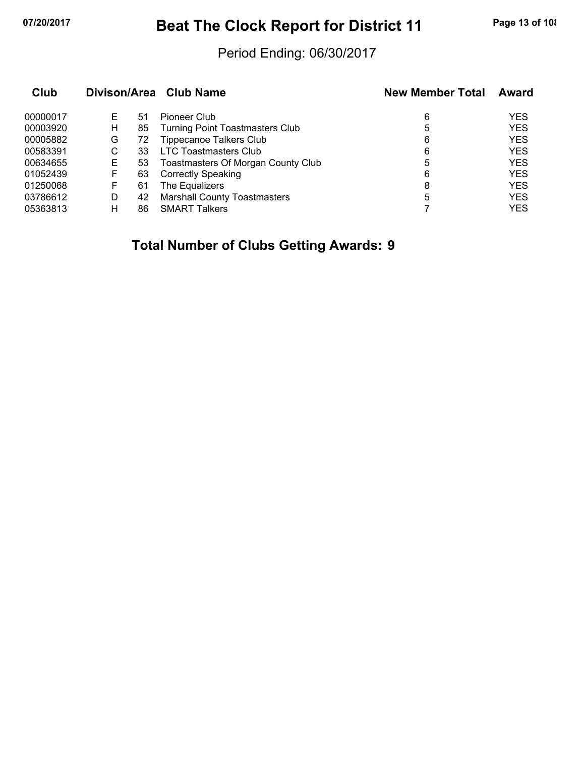# **07/20/2017 Beat The Clock Report for District 11 Page 13 of 108**

#### Period Ending: 06/30/2017

| Club     |    |    | Divison/Area Club Name                 | <b>New Member Total</b> | Award      |
|----------|----|----|----------------------------------------|-------------------------|------------|
| 00000017 | E. | 51 | Pioneer Club                           | 6                       | <b>YES</b> |
| 00003920 | н  | 85 | <b>Turning Point Toastmasters Club</b> | 5                       | <b>YES</b> |
| 00005882 | G  | 72 | <b>Tippecanoe Talkers Club</b>         | 6                       | <b>YES</b> |
| 00583391 | С  | 33 | <b>LTC Toastmasters Club</b>           | 6                       | <b>YES</b> |
| 00634655 | Е  | 53 | Toastmasters Of Morgan County Club     | 5                       | <b>YES</b> |
| 01052439 | F  | 63 | <b>Correctly Speaking</b>              | 6                       | <b>YES</b> |
| 01250068 | F  | 61 | The Equalizers                         | 8                       | <b>YES</b> |
| 03786612 | D  | 42 | <b>Marshall County Toastmasters</b>    | 5                       | <b>YES</b> |
| 05363813 | н  | 86 | <b>SMART Talkers</b>                   |                         | <b>YES</b> |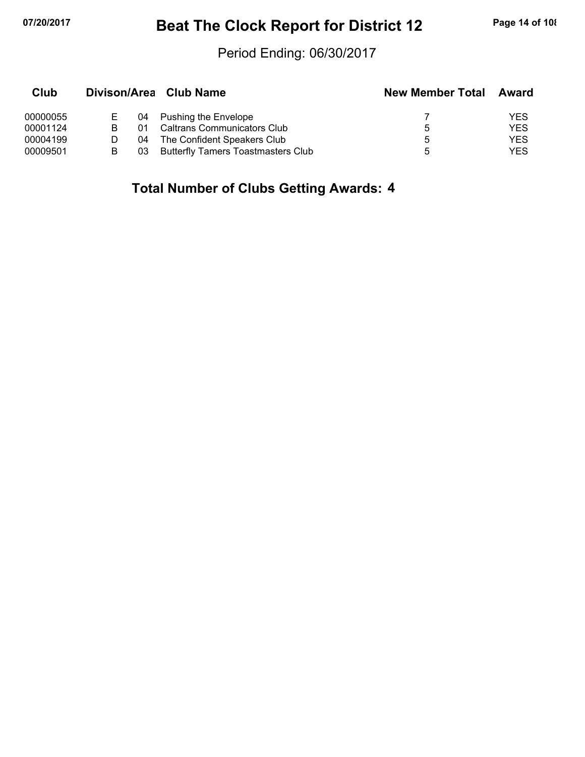# **07/20/2017 Beat The Clock Report for District 12 Page 14 of 108**

#### Period Ending: 06/30/2017

| Club     |    | Divison/Area Club Name                    | <b>New Member Total</b> | Award |
|----------|----|-------------------------------------------|-------------------------|-------|
| 00000055 | 04 | <b>Pushing the Envelope</b>               |                         | YES   |
| 00001124 | O1 | <b>Caltrans Communicators Club</b>        | 5.                      | YES   |
| 00004199 | 04 | The Confident Speakers Club               | 5.                      | YES   |
| 00009501 | 03 | <b>Butterfly Tamers Toastmasters Club</b> | :5                      | YES   |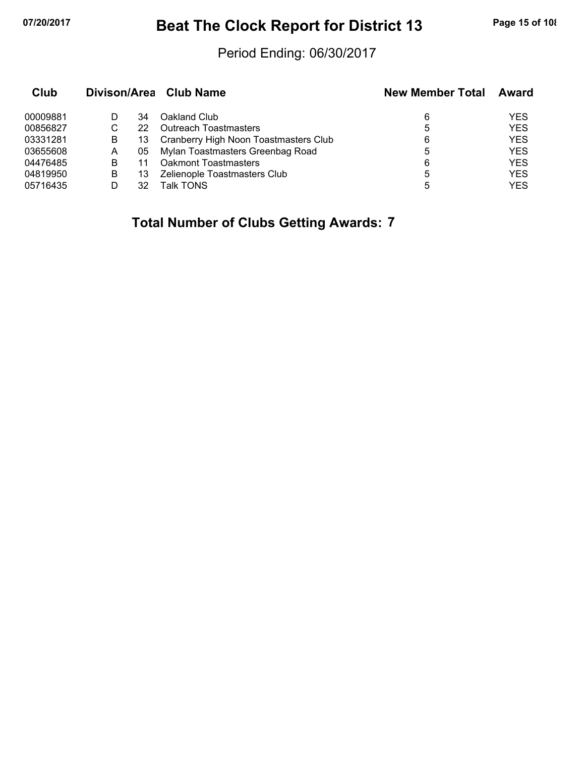# **07/20/2017 Beat The Clock Report for District 13 Page 15 of 108**

#### Period Ending: 06/30/2017

| Club     |   |    | Divison/Area Club Name                | <b>New Member Total</b> | Award      |  |
|----------|---|----|---------------------------------------|-------------------------|------------|--|
| 00009881 |   | 34 | Oakland Club                          | 6                       | YES        |  |
| 00856827 | С | 22 | <b>Outreach Toastmasters</b>          | 5                       | <b>YES</b> |  |
| 03331281 | B | 13 | Cranberry High Noon Toastmasters Club | 6                       | <b>YES</b> |  |
| 03655608 | A |    | 05 Mylan Toastmasters Greenbag Road   | 5                       | <b>YES</b> |  |
| 04476485 | в | 11 | Oakmont Toastmasters                  | 6                       | <b>YES</b> |  |
| 04819950 | B | 13 | Zelienople Toastmasters Club          | 5                       | <b>YES</b> |  |
| 05716435 |   | 32 | Talk TONS                             | 5                       | <b>YES</b> |  |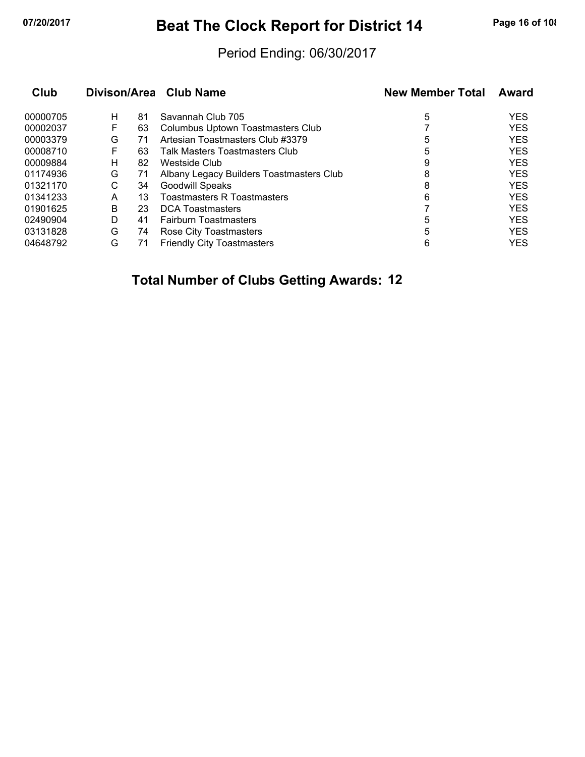# **07/20/2017 Beat The Clock Report for District 14 Page 16 of 108**

#### Period Ending: 06/30/2017

|   |    | <b>Club Name</b>                                               | <b>New Member Total</b> | Award      |
|---|----|----------------------------------------------------------------|-------------------------|------------|
| н |    | Savannah Club 705                                              | 5                       | <b>YES</b> |
| F |    | Columbus Uptown Toastmasters Club                              |                         | <b>YES</b> |
| G |    | Artesian Toastmasters Club #3379                               | 5                       | <b>YES</b> |
| F |    | Talk Masters Toastmasters Club                                 | 5                       | <b>YES</b> |
| н |    | Westside Club                                                  | 9                       | <b>YES</b> |
| G |    | Albany Legacy Builders Toastmasters Club                       | 8                       | <b>YES</b> |
| С |    | <b>Goodwill Speaks</b>                                         | 8                       | <b>YES</b> |
| A | 13 | <b>Toastmasters R Toastmasters</b>                             | 6                       | <b>YES</b> |
| В |    | <b>DCA Toastmasters</b>                                        |                         | <b>YES</b> |
| D |    | <b>Fairburn Toastmasters</b>                                   | 5                       | <b>YES</b> |
| G |    | Rose City Toastmasters                                         | 5                       | <b>YES</b> |
| G |    | <b>Friendly City Toastmasters</b>                              | 6                       | <b>YES</b> |
|   |    | 81<br>63<br>71<br>63<br>82<br>71<br>34<br>23<br>41<br>74<br>71 | Divison/Area            |            |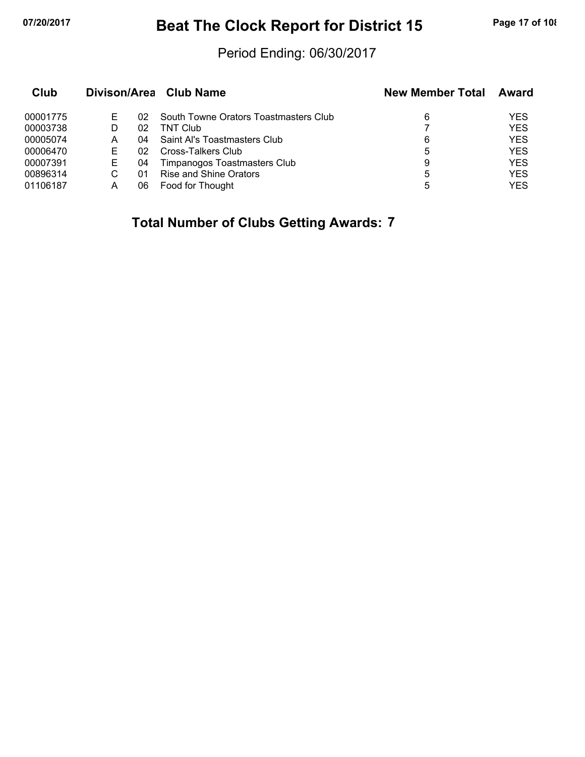# **07/20/2017 Beat The Clock Report for District 15 Page 17 of 108**

#### Period Ending: 06/30/2017

| Club     |    |    | Divison/Area Club Name                | <b>New Member Total</b> | <b>Award</b> |
|----------|----|----|---------------------------------------|-------------------------|--------------|
| 00001775 | ۳  | 02 | South Towne Orators Toastmasters Club | 6                       | YES          |
| 00003738 | D  | 02 | TNT Club                              |                         | <b>YES</b>   |
| 00005074 | А  | 04 | Saint Al's Toastmasters Club          | 6                       | <b>YES</b>   |
| 00006470 |    | 02 | Cross-Talkers Club                    | 5                       | <b>YES</b>   |
| 00007391 | F. | 04 | Timpanogos Toastmasters Club          | 9                       | <b>YES</b>   |
| 00896314 |    | 01 | <b>Rise and Shine Orators</b>         | 5                       | <b>YES</b>   |
| 01106187 | A  | 06 | Food for Thought                      | 5                       | YES          |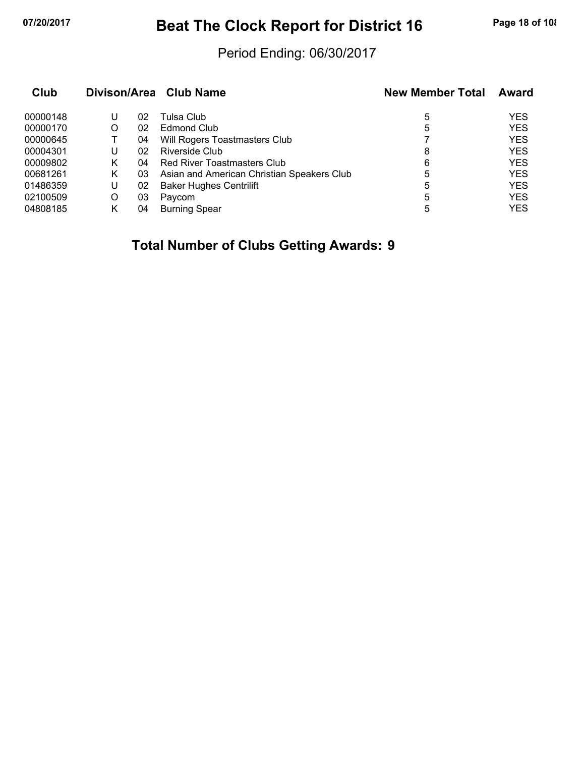# **07/20/2017 Beat The Clock Report for District 16 Page 18 of 108**

#### Period Ending: 06/30/2017

| Club     |   |    | Divison/Area Club Name                     | <b>New Member Total</b> | Award      |
|----------|---|----|--------------------------------------------|-------------------------|------------|
| 00000148 | U | 02 | Tulsa Club                                 | 5                       | <b>YES</b> |
| 00000170 | O | 02 | Edmond Club                                | 5                       | <b>YES</b> |
| 00000645 |   | 04 | Will Rogers Toastmasters Club              |                         | <b>YES</b> |
| 00004301 | U | 02 | Riverside Club                             | 8                       | <b>YES</b> |
| 00009802 | Κ | 04 | Red River Toastmasters Club                | 6                       | <b>YES</b> |
| 00681261 | Κ | 03 | Asian and American Christian Speakers Club | 5                       | <b>YES</b> |
| 01486359 | U | 02 | <b>Baker Hughes Centrilift</b>             | 5                       | <b>YES</b> |
| 02100509 | O | 03 | Paycom                                     | 5                       | <b>YES</b> |
| 04808185 | κ | 04 | <b>Burning Spear</b>                       | 5                       | <b>YES</b> |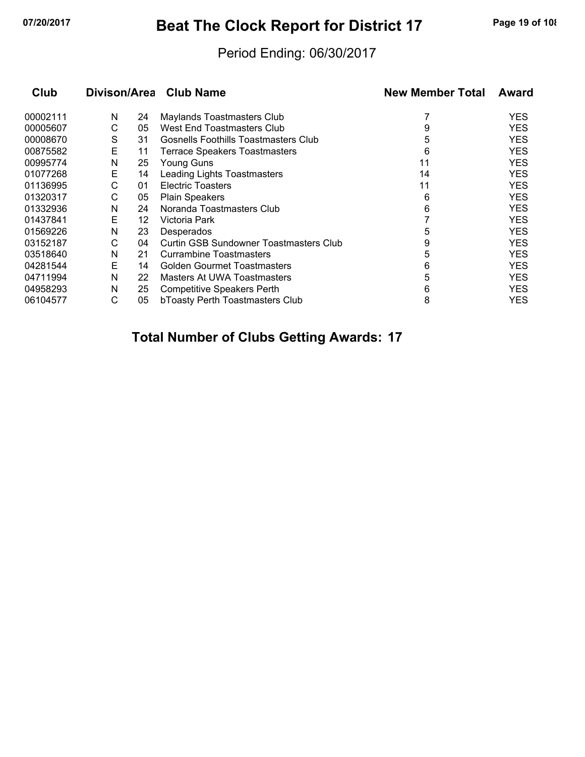# **07/20/2017 Beat The Clock Report for District 17 Page 19 of 108**

### Period Ending: 06/30/2017

| Club     | Divison/Area |    | <b>Club Name</b>                       | <b>New Member Total</b> | Award |
|----------|--------------|----|----------------------------------------|-------------------------|-------|
| 00002111 | N            | 24 | Maylands Toastmasters Club             |                         | YES   |
| 00005607 | С            | 05 | West End Toastmasters Club             | 9                       | YES   |
| 00008670 | S            | 31 | Gosnells Foothills Toastmasters Club   | 5                       | YES   |
| 00875582 | E            | 11 | <b>Terrace Speakers Toastmasters</b>   | 6                       | YES   |
| 00995774 | N            | 25 | Young Guns                             | 11                      | YES   |
| 01077268 | Е            | 14 | <b>Leading Lights Toastmasters</b>     | 14                      | YES   |
| 01136995 | С            | 01 | <b>Electric Toasters</b>               | 11                      | YES   |
| 01320317 | С            | 05 | <b>Plain Speakers</b>                  | 6                       | YES   |
| 01332936 | N            | 24 | Noranda Toastmasters Club              | 6                       | YES   |
| 01437841 | E            | 12 | Victoria Park                          |                         | YES   |
| 01569226 | N            | 23 | Desperados                             | 5                       | YES   |
| 03152187 | С            | 04 | Curtin GSB Sundowner Toastmasters Club | 9                       | YES   |
| 03518640 | N            | 21 | Currambine Toastmasters                | 5                       | YES   |
| 04281544 | E            | 14 | Golden Gourmet Toastmasters            | 6                       | YES   |
| 04711994 | N            | 22 | Masters At UWA Toastmasters            | 5                       | YES   |
| 04958293 | N            | 25 | <b>Competitive Speakers Perth</b>      | 6                       | YES   |
| 06104577 | С            | 05 | bToasty Perth Toastmasters Club        | 8                       | YES   |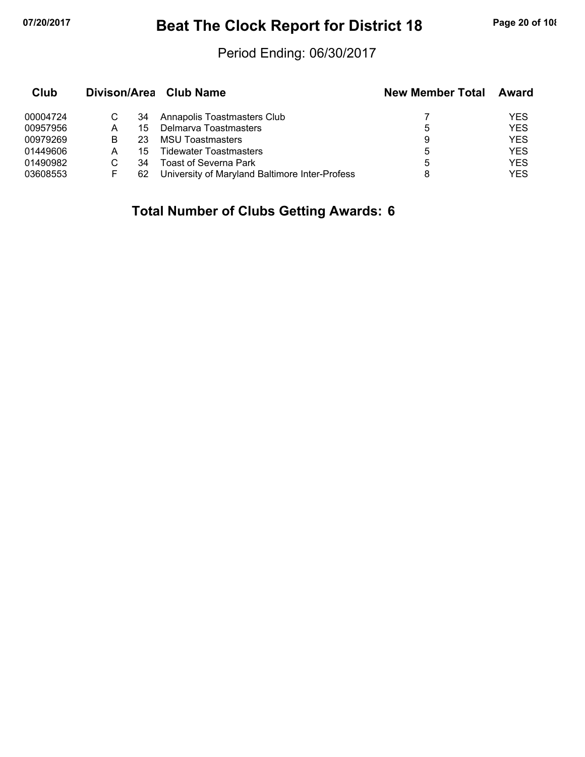# **07/20/2017 Beat The Clock Report for District 18 Page 20 of 108**

### Period Ending: 06/30/2017

| Club     |    |    | Divison/Area Club Name                         | <b>New Member Total</b> | Award      |
|----------|----|----|------------------------------------------------|-------------------------|------------|
| 00004724 | C. | 34 | Annapolis Toastmasters Club                    |                         | YES        |
| 00957956 | А  | 15 | Delmarva Toastmasters                          | 5                       | <b>YES</b> |
| 00979269 | B  | 23 | <b>MSU Toastmasters</b>                        | 9                       | <b>YES</b> |
| 01449606 | А  | 15 | Tidewater Toastmasters                         | 5                       | <b>YES</b> |
| 01490982 | C. | 34 | <b>Toast of Severna Park</b>                   | 5                       | <b>YES</b> |
| 03608553 | F  | 62 | University of Maryland Baltimore Inter-Profess | 8                       | <b>YES</b> |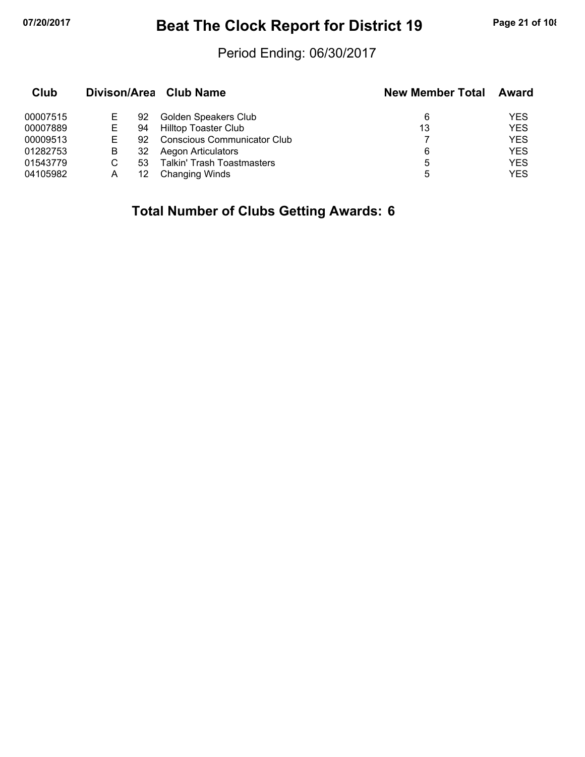# **07/20/2017 Beat The Clock Report for District 19 Page 21 of 108**

### Period Ending: 06/30/2017

| Club     |   |    | Divison/Area Club Name             | <b>New Member Total</b> | Award      |
|----------|---|----|------------------------------------|-------------------------|------------|
| 00007515 |   | 92 | Golden Speakers Club               | 6                       | YES        |
| 00007889 |   | 94 | <b>Hilltop Toaster Club</b>        | 13                      | <b>YES</b> |
| 00009513 |   | 92 | <b>Conscious Communicator Club</b> |                         | <b>YES</b> |
| 01282753 | В | 32 | <b>Aegon Articulators</b>          | 6                       | <b>YES</b> |
| 01543779 |   | 53 | <b>Talkin' Trash Toastmasters</b>  | 5                       | <b>YES</b> |
| 04105982 | А | 12 | <b>Changing Winds</b>              | 5                       | YES        |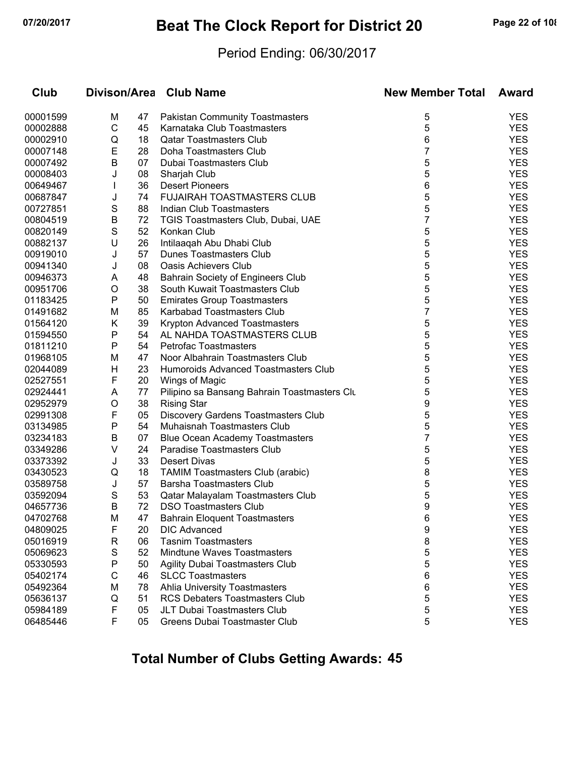# **07/20/2017 Beat The Clock Report for District 20 Page 22 of 108**

#### Period Ending: 06/30/2017

| Club     |   |    | Divison/Area Club Name                       | <b>New Member Total</b> | Award      |
|----------|---|----|----------------------------------------------|-------------------------|------------|
| 00001599 | M | 47 | Pakistan Community Toastmasters              | 5                       | <b>YES</b> |
| 00002888 | C | 45 | Karnataka Club Toastmasters                  | 5                       | <b>YES</b> |
| 00002910 | Q | 18 | <b>Qatar Toastmasters Club</b>               | 6                       | <b>YES</b> |
| 00007148 | E | 28 | Doha Toastmasters Club                       | 7                       | <b>YES</b> |
| 00007492 | B | 07 | Dubai Toastmasters Club                      | 5                       | <b>YES</b> |
| 00008403 | J | 08 | Sharjah Club                                 | 5                       | <b>YES</b> |
| 00649467 | L | 36 | <b>Desert Pioneers</b>                       | 6                       | <b>YES</b> |
| 00687847 | J | 74 | <b>FUJAIRAH TOASTMASTERS CLUB</b>            | 5                       | <b>YES</b> |
| 00727851 | S | 88 | Indian Club Toastmasters                     | 5                       | <b>YES</b> |
| 00804519 | B | 72 | TGIS Toastmasters Club, Dubai, UAE           | 7                       | <b>YES</b> |
| 00820149 | S | 52 | Konkan Club                                  | 5                       | <b>YES</b> |
| 00882137 | U | 26 | Intilaaqah Abu Dhabi Club                    | 5                       | <b>YES</b> |
| 00919010 | J | 57 | Dunes Toastmasters Club                      | 5                       | <b>YES</b> |
| 00941340 | J | 08 | <b>Oasis Achievers Club</b>                  | 5                       | <b>YES</b> |
| 00946373 | A | 48 | Bahrain Society of Engineers Club            | 5                       | <b>YES</b> |
| 00951706 | O | 38 | South Kuwait Toastmasters Club               | 5                       | <b>YES</b> |
| 01183425 | P | 50 | <b>Emirates Group Toastmasters</b>           | 5                       | <b>YES</b> |
| 01491682 | M | 85 | Karbabad Toastmasters Club                   | 7                       | <b>YES</b> |
| 01564120 | Κ | 39 | Krypton Advanced Toastmasters                | 5                       | <b>YES</b> |
| 01594550 | P | 54 | AL NAHDA TOASTMASTERS CLUB                   | 5                       | <b>YES</b> |
| 01811210 | P | 54 | <b>Petrofac Toastmasters</b>                 | 5                       | <b>YES</b> |
| 01968105 | M | 47 | Noor Albahrain Toastmasters Club             | 5                       | <b>YES</b> |
| 02044089 | н | 23 | Humoroids Advanced Toastmasters Club         | 5                       | <b>YES</b> |
| 02527551 | F | 20 | Wings of Magic                               | 5                       | <b>YES</b> |
| 02924441 | Α | 77 | Pilipino sa Bansang Bahrain Toastmasters Clu | 5                       | <b>YES</b> |
| 02952979 | O | 38 | <b>Rising Star</b>                           | 9                       | <b>YES</b> |
| 02991308 | F | 05 | Discovery Gardens Toastmasters Club          | 5                       | <b>YES</b> |
| 03134985 | P | 54 | Muhaisnah Toastmasters Club                  | 5                       | <b>YES</b> |
| 03234183 | B | 07 | <b>Blue Ocean Academy Toastmasters</b>       | 7                       | <b>YES</b> |
| 03349286 | V | 24 | Paradise Toastmasters Club                   | 5                       | <b>YES</b> |
| 03373392 | J | 33 | Desert Divas                                 | 5                       | <b>YES</b> |
| 03430523 | Q | 18 | <b>TAMIM Toastmasters Club (arabic)</b>      | 8                       | <b>YES</b> |
| 03589758 | J | 57 | Barsha Toastmasters Club                     | 5                       | <b>YES</b> |
| 03592094 | S | 53 | Qatar Malayalam Toastmasters Club            | 5                       | <b>YES</b> |
| 04657736 | B | 72 | <b>DSO Toastmasters Club</b>                 | 9                       | <b>YES</b> |
| 04702768 | M | 47 | <b>Bahrain Eloquent Toastmasters</b>         | 6                       | YES        |
| 04809025 | F | 20 | <b>DIC Advanced</b>                          | 9                       | <b>YES</b> |
| 05016919 | R | 06 | <b>Tasnim Toastmasters</b>                   | 8                       | <b>YES</b> |
| 05069623 | S | 52 | Mindtune Waves Toastmasters                  | 5                       | <b>YES</b> |
| 05330593 | P | 50 | Agility Dubai Toastmasters Club              | 5                       | <b>YES</b> |
| 05402174 | C | 46 | <b>SLCC Toastmasters</b>                     | 6                       | <b>YES</b> |
| 05492364 | M | 78 | <b>Ahlia University Toastmasters</b>         | 6                       | <b>YES</b> |
| 05636137 | Q | 51 | RCS Debaters Toastmasters Club               | 5                       | <b>YES</b> |
| 05984189 | F | 05 | JLT Dubai Toastmasters Club                  | 5                       | <b>YES</b> |
| 06485446 | F | 05 | Greens Dubai Toastmaster Club                | 5                       | <b>YES</b> |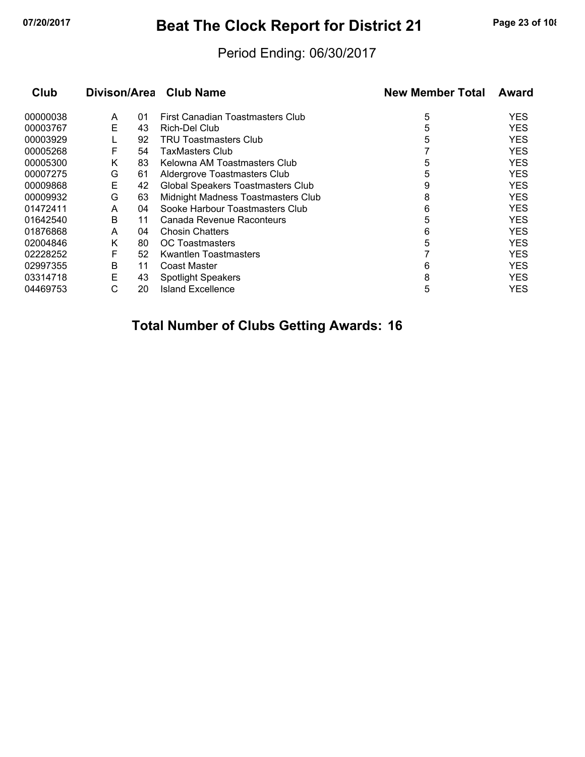# **07/20/2017 Beat The Clock Report for District 21 Page 23 of 108**

#### Period Ending: 06/30/2017

| Club     |   |    | Divison/Area Club Name             | <b>New Member Total</b> | Award      |
|----------|---|----|------------------------------------|-------------------------|------------|
| 00000038 | A | 01 | First Canadian Toastmasters Club   | 5                       | YES.       |
| 00003767 | Е | 43 | Rich-Del Club                      | 5                       | <b>YES</b> |
| 00003929 |   | 92 | <b>TRU Toastmasters Club</b>       | 5                       | <b>YES</b> |
| 00005268 | F | 54 | TaxMasters Club                    |                         | <b>YES</b> |
| 00005300 | K | 83 | Kelowna AM Toastmasters Club       | 5                       | <b>YES</b> |
| 00007275 | G | 61 | Aldergrove Toastmasters Club       | 5                       | <b>YES</b> |
| 00009868 | Е | 42 | Global Speakers Toastmasters Club  | 9                       | <b>YES</b> |
| 00009932 | G | 63 | Midnight Madness Toastmasters Club | 8                       | <b>YES</b> |
| 01472411 | A | 04 | Sooke Harbour Toastmasters Club    | 6                       | <b>YES</b> |
| 01642540 | B | 11 | Canada Revenue Raconteurs          | 5                       | <b>YES</b> |
| 01876868 | A | 04 | <b>Chosin Chatters</b>             | 6                       | <b>YES</b> |
| 02004846 | Κ | 80 | <b>OC</b> Toastmasters             | 5                       | <b>YES</b> |
| 02228252 | F | 52 | <b>Kwantlen Toastmasters</b>       |                         | <b>YES</b> |
| 02997355 | B | 11 | Coast Master                       | 6                       | <b>YES</b> |
| 03314718 | Е | 43 | <b>Spotlight Speakers</b>          | 8                       | <b>YES</b> |
| 04469753 | С | 20 | Island Excellence                  | 5                       | YES.       |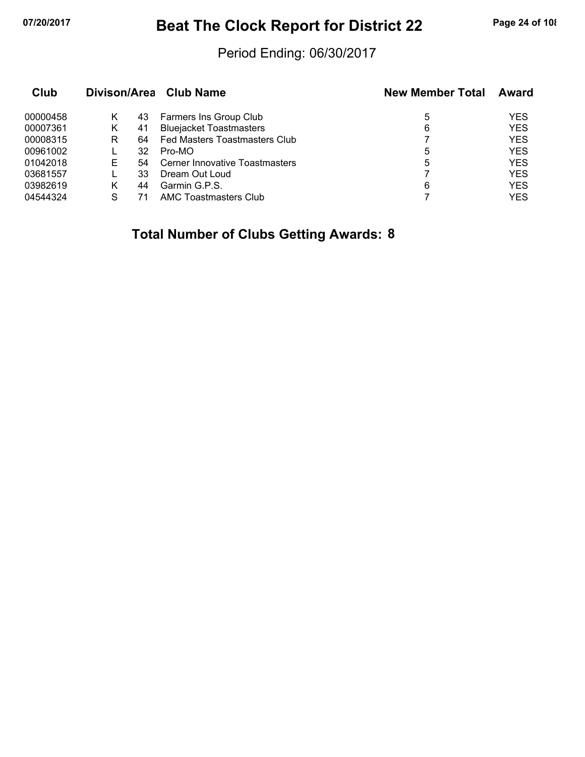# **07/20/2017 Beat The Clock Report for District 22 Page 24 of 108**

### Period Ending: 06/30/2017

| Club     |   |     | Divison/Area Club Name         | <b>New Member Total</b> | <b>Award</b> |
|----------|---|-----|--------------------------------|-------------------------|--------------|
| 00000458 | Κ | 43  | Farmers Ins Group Club         | 5                       | <b>YES</b>   |
| 00007361 | Κ | 41  | <b>Bluejacket Toastmasters</b> | 6                       | <b>YES</b>   |
| 00008315 | R | 64. | Fed Masters Toastmasters Club  |                         | <b>YES</b>   |
| 00961002 |   | 32  | Pro-MO                         | 5                       | <b>YES</b>   |
| 01042018 | F | 54  | Cerner Innovative Toastmasters | 5                       | <b>YES</b>   |
| 03681557 |   | 33  | Dream Out Loud                 |                         | <b>YES</b>   |
| 03982619 | K | 44  | Garmin G.P.S.                  | 6                       | <b>YES</b>   |
| 04544324 | S | 71  | AMC Toastmasters Club          |                         | YES          |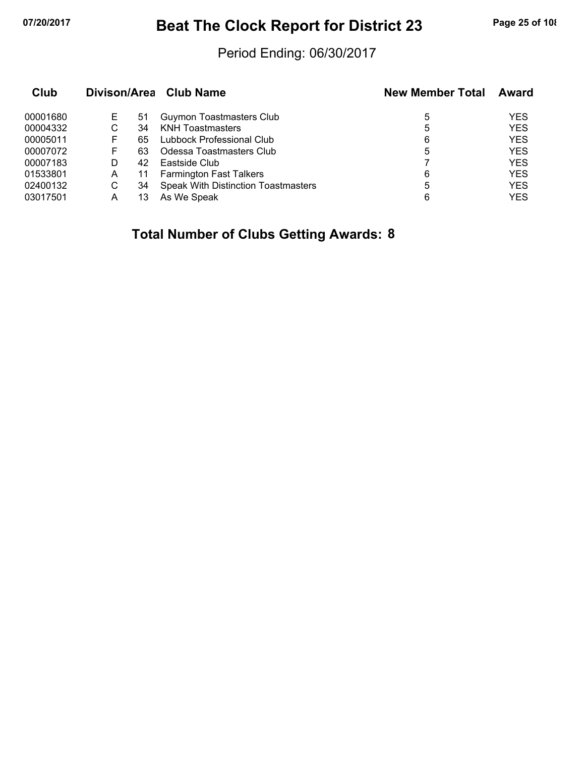# **07/20/2017 Beat The Clock Report for District 23 Page 25 of 108**

### Period Ending: 06/30/2017

| Club     |   |     | Divison/Area Club Name                     | <b>New Member Total</b> | Award      |
|----------|---|-----|--------------------------------------------|-------------------------|------------|
| 00001680 | Е | 51  | <b>Guymon Toastmasters Club</b>            | 5                       | <b>YES</b> |
| 00004332 | С | 34  | <b>KNH Toastmasters</b>                    | 5                       | <b>YES</b> |
| 00005011 | F | 65  | Lubbock Professional Club                  | 6                       | <b>YES</b> |
| 00007072 | F | 63. | Odessa Toastmasters Club                   | 5                       | <b>YES</b> |
| 00007183 | D | 42  | Eastside Club                              |                         | <b>YES</b> |
| 01533801 | A | 11  | <b>Farmington Fast Talkers</b>             | 6                       | <b>YES</b> |
| 02400132 | С | 34  | <b>Speak With Distinction Toastmasters</b> | 5                       | <b>YES</b> |
| 03017501 | А | 13  | As We Speak                                | 6                       | <b>YES</b> |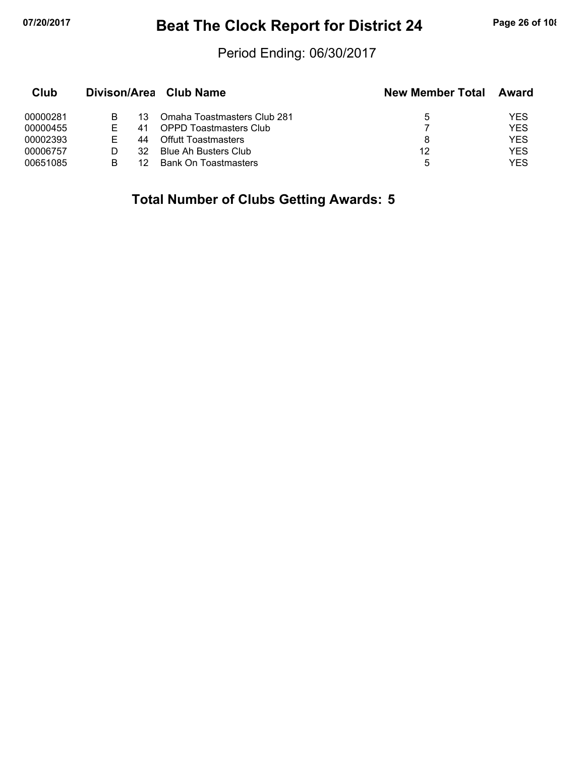# **07/20/2017 Beat The Clock Report for District 24 Page 26 of 108**

#### Period Ending: 06/30/2017

| Club     |   |     | Divison/Area Club Name        | <b>New Member Total</b> | Award      |
|----------|---|-----|-------------------------------|-------------------------|------------|
| 00000281 |   | 13  | Omaha Toastmasters Club 281   | 5                       | YES        |
| 00000455 |   |     | <b>OPPD Toastmasters Club</b> |                         | YES        |
| 00002393 |   | 44  | <b>Offutt Toastmasters</b>    | 8                       | YES        |
| 00006757 |   | 32. | Blue Ah Busters Club          | 12                      | <b>YES</b> |
| 00651085 | в |     | <b>Bank On Toastmasters</b>   | 5                       | YES        |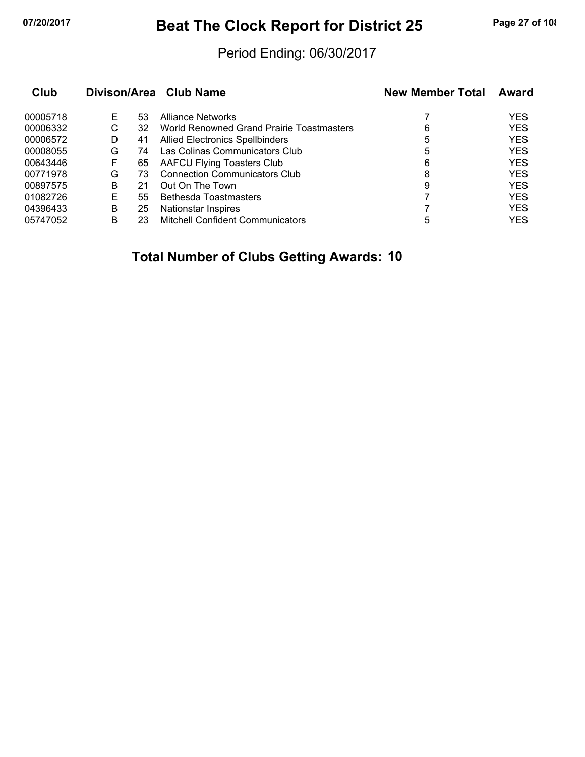# **07/20/2017 Beat The Clock Report for District 25 Page 27 of 108**

#### Period Ending: 06/30/2017

| Club     |   |    | Divison/Area Club Name                    | <b>New Member Total</b> | Award      |
|----------|---|----|-------------------------------------------|-------------------------|------------|
| 00005718 | E | 53 | Alliance Networks                         |                         | <b>YES</b> |
| 00006332 | С | 32 | World Renowned Grand Prairie Toastmasters | 6                       | <b>YES</b> |
| 00006572 | D | 41 | <b>Allied Electronics Spellbinders</b>    | 5                       | <b>YES</b> |
| 00008055 | G | 74 | Las Colinas Communicators Club            | 5                       | <b>YES</b> |
| 00643446 | F | 65 | <b>AAFCU Flying Toasters Club</b>         | 6                       | <b>YES</b> |
| 00771978 | G | 73 | <b>Connection Communicators Club</b>      | 8                       | <b>YES</b> |
| 00897575 | В | 21 | Out On The Town                           | 9                       | <b>YES</b> |
| 01082726 | Е | 55 | Bethesda Toastmasters                     |                         | <b>YES</b> |
| 04396433 | В | 25 | Nationstar Inspires                       |                         | <b>YES</b> |
| 05747052 | в | 23 | <b>Mitchell Confident Communicators</b>   | 5                       | <b>YES</b> |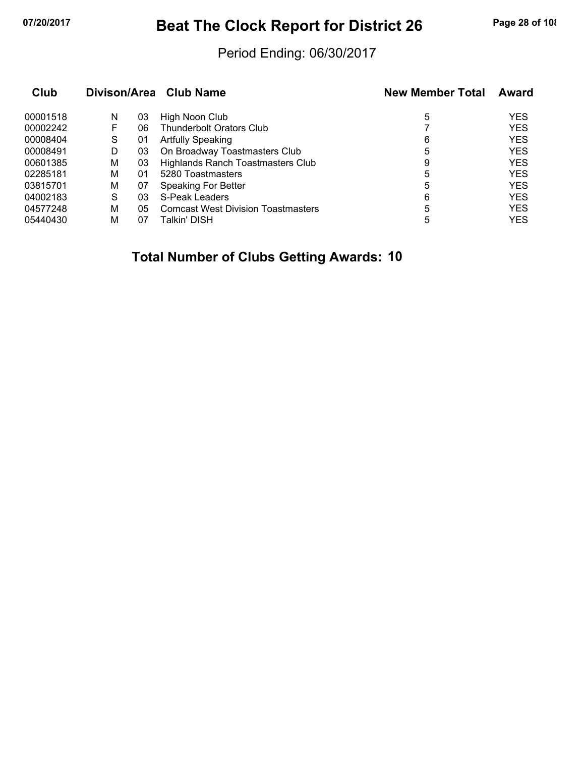# **07/20/2017 Beat The Clock Report for District 26 Page 28 of 108**

#### Period Ending: 06/30/2017

| Club     | Divison/Area Club Name |    |                                           | <b>New Member Total</b> | Award      |
|----------|------------------------|----|-------------------------------------------|-------------------------|------------|
| 00001518 | N                      | 03 | High Noon Club                            | 5                       | <b>YES</b> |
| 00002242 | F                      | 06 | <b>Thunderbolt Orators Club</b>           |                         | <b>YES</b> |
| 00008404 | S                      | 01 | <b>Artfully Speaking</b>                  | 6                       | <b>YES</b> |
| 00008491 | D                      | 03 | On Broadway Toastmasters Club             | 5                       | <b>YES</b> |
| 00601385 | М                      | 03 | Highlands Ranch Toastmasters Club         | 9                       | <b>YES</b> |
| 02285181 | М                      | 01 | 5280 Toastmasters                         | 5                       | <b>YES</b> |
| 03815701 | М                      | 07 | <b>Speaking For Better</b>                | 5                       | <b>YES</b> |
| 04002183 | S                      | 03 | S-Peak Leaders                            | 6                       | <b>YES</b> |
| 04577248 | М                      | 05 | <b>Comcast West Division Toastmasters</b> | 5                       | <b>YES</b> |
| 05440430 | м                      | 07 | Talkin' DISH                              | 5                       | <b>YES</b> |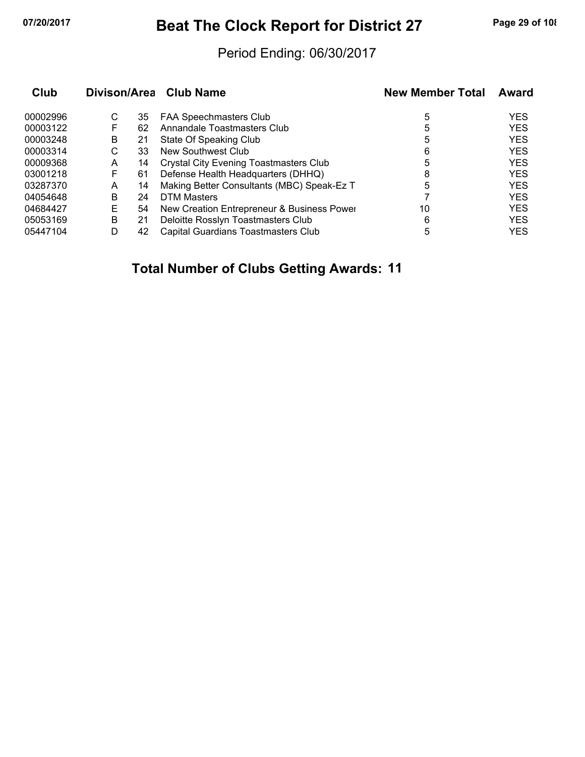# **07/20/2017 Beat The Clock Report for District 27 Page 29 of 108**

#### Period Ending: 06/30/2017

|   |    |                                               | <b>New Member Total</b>                                              | Award      |
|---|----|-----------------------------------------------|----------------------------------------------------------------------|------------|
| С | 35 | <b>FAA Speechmasters Club</b>                 | 5                                                                    | <b>YES</b> |
|   | 62 | Annandale Toastmasters Club                   | 5                                                                    | <b>YES</b> |
| B | 21 | State Of Speaking Club                        | 5                                                                    | <b>YES</b> |
| С | 33 | New Southwest Club                            | 6                                                                    | <b>YES</b> |
| A | 14 | <b>Crystal City Evening Toastmasters Club</b> | 5                                                                    | <b>YES</b> |
| F | 61 | Defense Health Headquarters (DHHQ)            | 8                                                                    | <b>YES</b> |
| А | 14 | Making Better Consultants (MBC) Speak-Ez T    | 5                                                                    | <b>YES</b> |
| В | 24 | DTM Masters                                   |                                                                      | <b>YES</b> |
| E | 54 |                                               | 10                                                                   | <b>YES</b> |
| B | 21 | Deloitte Rosslyn Toastmasters Club            | 6                                                                    | <b>YES</b> |
| D | 42 | Capital Guardians Toastmasters Club           | 5                                                                    | <b>YES</b> |
|   |    |                                               | Divison/Area Club Name<br>New Creation Entrepreneur & Business Power |            |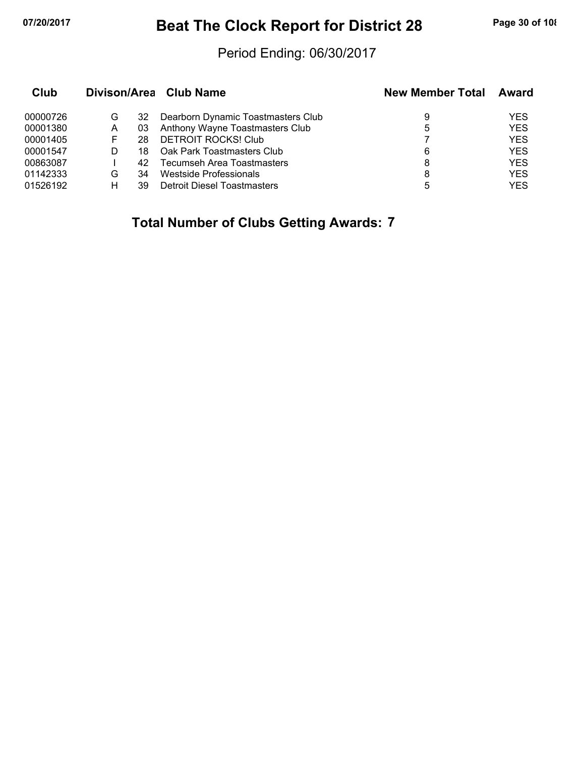# **07/20/2017 Beat The Clock Report for District 28 Page 30 of 108**

#### Period Ending: 06/30/2017

| Club     |   |    | Divison/Area Club Name             | <b>New Member Total</b> | Award      |
|----------|---|----|------------------------------------|-------------------------|------------|
| 00000726 | G | 32 | Dearborn Dynamic Toastmasters Club | 9                       | YES        |
| 00001380 | A | 03 | Anthony Wayne Toastmasters Club    | 5                       | <b>YES</b> |
| 00001405 |   | 28 | <b>DETROIT ROCKS! Club</b>         |                         | <b>YES</b> |
| 00001547 | D | 18 | Oak Park Toastmasters Club         | 6                       | <b>YES</b> |
| 00863087 |   | 42 | Tecumseh Area Toastmasters         | 8                       | <b>YES</b> |
| 01142333 | G | 34 | Westside Professionals             | 8                       | <b>YES</b> |
| 01526192 | н | 39 | <b>Detroit Diesel Toastmasters</b> | 5                       | <b>YES</b> |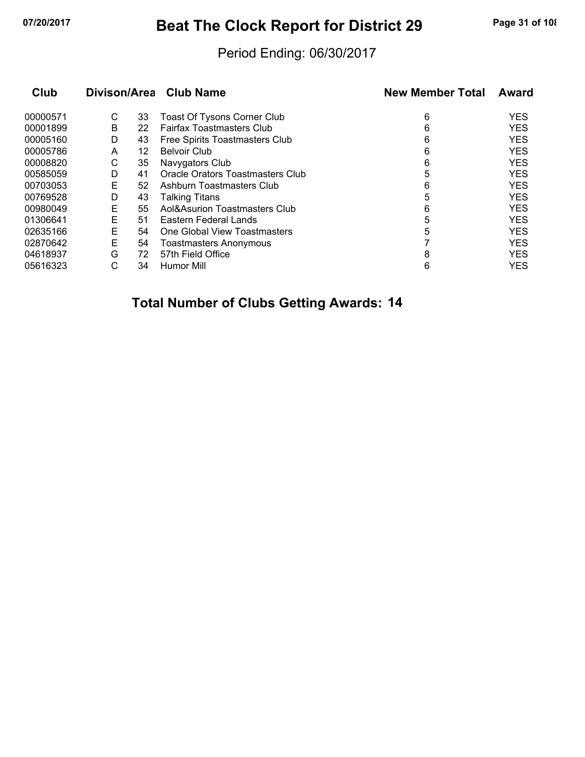# **07/20/2017 Beat The Clock Report for District 29 Page 31 of 108**

#### Period Ending: 06/30/2017

| Club     |   |    | Divison/Area Club Name             | <b>New Member Total</b> | Award      |
|----------|---|----|------------------------------------|-------------------------|------------|
| 00000571 | С | 33 | <b>Toast Of Tysons Corner Club</b> | 6                       | <b>YES</b> |
| 00001899 | В | 22 | <b>Fairfax Toastmasters Club</b>   | 6                       | <b>YES</b> |
| 00005160 | D | 43 | Free Spirits Toastmasters Club     | 6                       | <b>YES</b> |
| 00005786 | A | 12 | <b>Belvoir Club</b>                | 6                       | <b>YES</b> |
| 00008820 | С | 35 | Navygators Club                    | 6                       | <b>YES</b> |
| 00585059 | D | 41 | Oracle Orators Toastmasters Club   | 5                       | <b>YES</b> |
| 00703053 | Е | 52 | Ashburn Toastmasters Club          | 6                       | <b>YES</b> |
| 00769528 | D | 43 | <b>Talking Titans</b>              | 5                       | <b>YES</b> |
| 00980049 | E | 55 | Aol&Asurion Toastmasters Club      | 6                       | <b>YES</b> |
| 01306641 | Е | 51 | Eastern Federal Lands              | 5                       | <b>YES</b> |
| 02635166 | E | 54 | One Global View Toastmasters       | 5                       | <b>YES</b> |
| 02870642 | Е | 54 | <b>Toastmasters Anonymous</b>      |                         | <b>YES</b> |
| 04618937 | G | 72 | 57th Field Office                  | 8                       | <b>YES</b> |
| 05616323 | С | 34 | Humor Mill                         | 6                       | <b>YES</b> |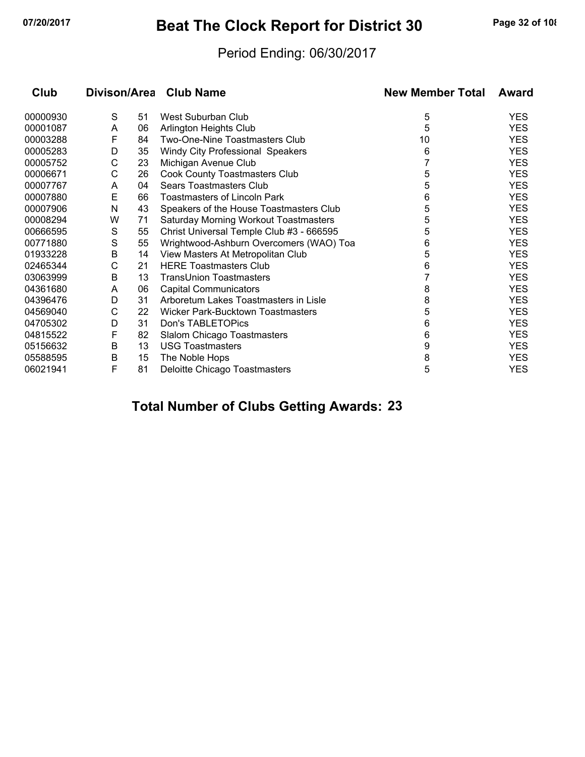# **07/20/2017 Beat The Clock Report for District 30 Page 32 of 108**

#### Period Ending: 06/30/2017

| Club     |   |    | Divison/Area Club Name                   | <b>New Member Total</b> | Award      |
|----------|---|----|------------------------------------------|-------------------------|------------|
| 00000930 | S | 51 | West Suburban Club                       | 5                       | <b>YES</b> |
| 00001087 | A | 06 | Arlington Heights Club                   | 5                       | <b>YES</b> |
| 00003288 | F | 84 | Two-One-Nine Toastmasters Club           | 10                      | <b>YES</b> |
| 00005283 | D | 35 | Windy City Professional Speakers         | 6                       | <b>YES</b> |
| 00005752 | C | 23 | Michigan Avenue Club                     |                         | <b>YES</b> |
| 00006671 | С | 26 | <b>Cook County Toastmasters Club</b>     | 5                       | <b>YES</b> |
| 00007767 | A | 04 | <b>Sears Toastmasters Club</b>           | 5                       | <b>YES</b> |
| 00007880 | E | 66 | <b>Toastmasters of Lincoln Park</b>      | 6                       | <b>YES</b> |
| 00007906 | N | 43 | Speakers of the House Toastmasters Club  | 5                       | <b>YES</b> |
| 00008294 | W | 71 | Saturday Morning Workout Toastmasters    | 5                       | <b>YES</b> |
| 00666595 | S | 55 | Christ Universal Temple Club #3 - 666595 | 5                       | <b>YES</b> |
| 00771880 | S | 55 | Wrightwood-Ashburn Overcomers (WAO) Toa  | 6                       | <b>YES</b> |
| 01933228 | В | 14 | View Masters At Metropolitan Club        | 5                       | <b>YES</b> |
| 02465344 | С | 21 | <b>HERE Toastmasters Club</b>            | 6                       | <b>YES</b> |
| 03063999 | B | 13 | TransUnion Toastmasters                  | 7                       | <b>YES</b> |
| 04361680 | A | 06 | <b>Capital Communicators</b>             | 8                       | <b>YES</b> |
| 04396476 | D | 31 | Arboretum Lakes Toastmasters in Lisle    | 8                       | <b>YES</b> |
| 04569040 | С | 22 | Wicker Park-Bucktown Toastmasters        | 5                       | <b>YES</b> |
| 04705302 | D | 31 | Don's TABLETOPics                        | 6                       | <b>YES</b> |
| 04815522 | F | 82 | Slalom Chicago Toastmasters              | 6                       | <b>YES</b> |
| 05156632 | В | 13 | <b>USG Toastmasters</b>                  | 9                       | <b>YES</b> |
| 05588595 | В | 15 | The Noble Hops                           | 8                       | <b>YES</b> |
| 06021941 | F | 81 | Deloitte Chicago Toastmasters            | 5                       | <b>YES</b> |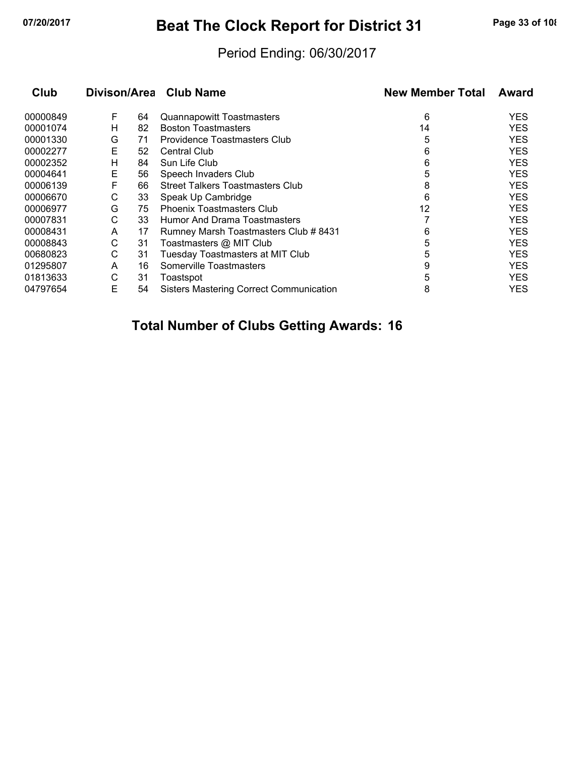# **07/20/2017 Beat The Clock Report for District 31 Page 33 of 108**

#### Period Ending: 06/30/2017

| Club     |   |    | Divison/Area Club Name                         | <b>New Member Total</b> | Award      |
|----------|---|----|------------------------------------------------|-------------------------|------------|
| 00000849 | F | 64 | <b>Quannapowitt Toastmasters</b>               | 6                       | <b>YES</b> |
| 00001074 | н | 82 | <b>Boston Toastmasters</b>                     | 14                      | <b>YES</b> |
| 00001330 | G | 71 | Providence Toastmasters Club                   | 5                       | <b>YES</b> |
| 00002277 | Е | 52 | <b>Central Club</b>                            | 6                       | <b>YES</b> |
| 00002352 | н | 84 | Sun Life Club                                  | 6                       | <b>YES</b> |
| 00004641 | Е | 56 | Speech Invaders Club                           | 5                       | YES        |
| 00006139 | F | 66 | <b>Street Talkers Toastmasters Club</b>        | 8                       | <b>YES</b> |
| 00006670 | С | 33 | Speak Up Cambridge                             | 6                       | <b>YES</b> |
| 00006977 | G | 75 | <b>Phoenix Toastmasters Club</b>               | 12                      | <b>YES</b> |
| 00007831 | С | 33 | Humor And Drama Toastmasters                   |                         | <b>YES</b> |
| 00008431 | A | 17 | Rumney Marsh Toastmasters Club # 8431          | 6                       | <b>YES</b> |
| 00008843 | С | 31 | Toastmasters @ MIT Club                        | 5                       | <b>YES</b> |
| 00680823 | С | 31 | <b>Tuesday Toastmasters at MIT Club</b>        | 5                       | <b>YES</b> |
| 01295807 | A | 16 | Somerville Toastmasters                        | 9                       | <b>YES</b> |
| 01813633 | С | 31 | Toastspot                                      | 5                       | <b>YES</b> |
| 04797654 | Е | 54 | <b>Sisters Mastering Correct Communication</b> | 8                       | YES        |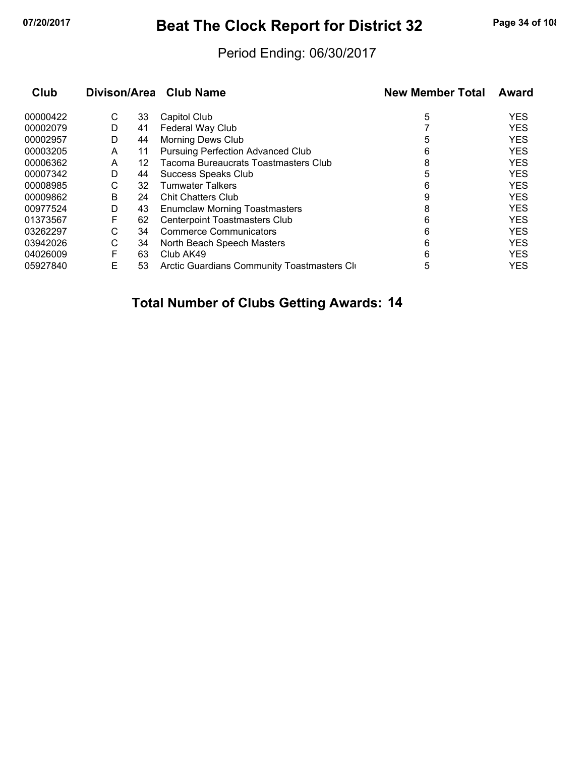# **07/20/2017 Beat The Clock Report for District 32 Page 34 of 108**

#### Period Ending: 06/30/2017

| Club     | Divison/Area |    | Club Name                                   | <b>New Member Total</b> | Award      |
|----------|--------------|----|---------------------------------------------|-------------------------|------------|
| 00000422 | С            | 33 | Capitol Club                                | 5                       | <b>YES</b> |
| 00002079 | D            | 41 | Federal Way Club                            |                         | <b>YES</b> |
| 00002957 | D            | 44 | <b>Morning Dews Club</b>                    | 5                       | <b>YES</b> |
| 00003205 | A            | 11 | <b>Pursuing Perfection Advanced Club</b>    | 6                       | <b>YES</b> |
| 00006362 | A            | 12 | Tacoma Bureaucrats Toastmasters Club        | 8                       | <b>YES</b> |
| 00007342 | D            | 44 | Success Speaks Club                         | 5                       | <b>YES</b> |
| 00008985 | С            | 32 | <b>Tumwater Talkers</b>                     | 6                       | <b>YES</b> |
| 00009862 | B            | 24 | <b>Chit Chatters Club</b>                   | 9                       | <b>YES</b> |
| 00977524 | D            | 43 | <b>Enumclaw Morning Toastmasters</b>        | 8                       | <b>YES</b> |
| 01373567 | F            | 62 | <b>Centerpoint Toastmasters Club</b>        | 6                       | <b>YES</b> |
| 03262297 | С            | 34 | <b>Commerce Communicators</b>               | 6                       | <b>YES</b> |
| 03942026 | С            | 34 | North Beach Speech Masters                  | 6                       | <b>YES</b> |
| 04026009 | F            | 63 | Club AK49                                   | 6                       | <b>YES</b> |
| 05927840 | E            | 53 | Arctic Guardians Community Toastmasters Cli | 5                       | <b>YES</b> |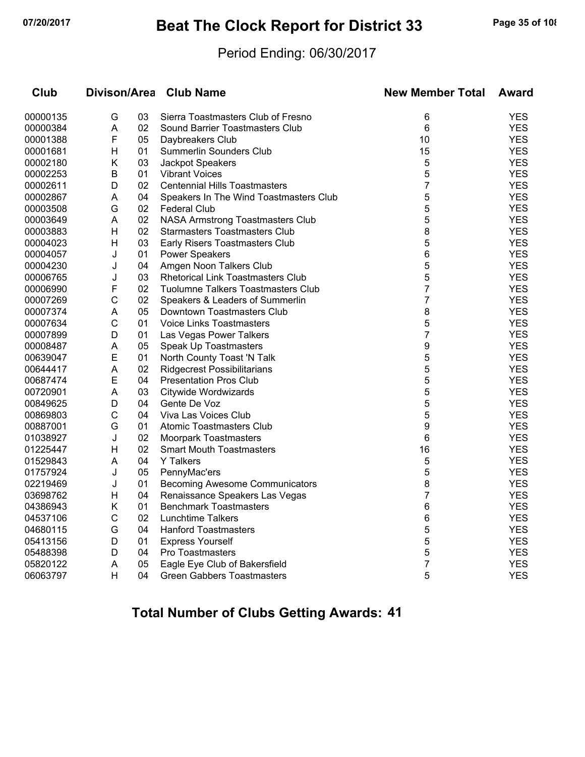# **07/20/2017 Beat The Clock Report for District 33 Page 35 of 108**

#### Period Ending: 06/30/2017

| Club     | Divison/Area |    | <b>Club Name</b>                         | <b>New Member Total</b> | <b>Award</b> |
|----------|--------------|----|------------------------------------------|-------------------------|--------------|
| 00000135 | G            | 03 | Sierra Toastmasters Club of Fresno       | 6                       | YES          |
| 00000384 | A            | 02 | Sound Barrier Toastmasters Club          | 6                       | <b>YES</b>   |
| 00001388 | F            | 05 | Daybreakers Club                         | 10                      | <b>YES</b>   |
| 00001681 | H            | 01 | Summerlin Sounders Club                  | 15                      | <b>YES</b>   |
| 00002180 | Κ            | 03 | Jackpot Speakers                         | 5                       | <b>YES</b>   |
| 00002253 | B            | 01 | <b>Vibrant Voices</b>                    | 5                       | <b>YES</b>   |
| 00002611 | D            | 02 | <b>Centennial Hills Toastmasters</b>     | $\overline{7}$          | <b>YES</b>   |
| 00002867 | A            | 04 | Speakers In The Wind Toastmasters Club   | 5                       | <b>YES</b>   |
| 00003508 | G            | 02 | <b>Federal Club</b>                      | 5                       | <b>YES</b>   |
| 00003649 | A            | 02 | NASA Armstrong Toastmasters Club         | 5                       | <b>YES</b>   |
| 00003883 | H            | 02 | <b>Starmasters Toastmasters Club</b>     | 8                       | <b>YES</b>   |
| 00004023 | H            | 03 | Early Risers Toastmasters Club           | 5                       | <b>YES</b>   |
| 00004057 | J            | 01 | <b>Power Speakers</b>                    | 6                       | <b>YES</b>   |
| 00004230 | J            | 04 | Amgen Noon Talkers Club                  | 5                       | <b>YES</b>   |
| 00006765 | J            | 03 | <b>Rhetorical Link Toastmasters Club</b> | 5                       | <b>YES</b>   |
| 00006990 | F            | 02 | Tuolumne Talkers Toastmasters Club       | $\overline{7}$          | <b>YES</b>   |
| 00007269 | C            | 02 | Speakers & Leaders of Summerlin          | $\overline{7}$          | <b>YES</b>   |
| 00007374 | A            | 05 | Downtown Toastmasters Club               | 8                       | <b>YES</b>   |
| 00007634 | $\mathsf{C}$ | 01 | <b>Voice Links Toastmasters</b>          | 5                       | <b>YES</b>   |
| 00007899 | D            | 01 | Las Vegas Power Talkers                  | 7                       | <b>YES</b>   |
| 00008487 | A            | 05 | Speak Up Toastmasters                    | 9                       | <b>YES</b>   |
| 00639047 | E            | 01 | North County Toast 'N Talk               | 5                       | <b>YES</b>   |
| 00644417 | A            | 02 | <b>Ridgecrest Possibilitarians</b>       | 5                       | <b>YES</b>   |
| 00687474 | Е            | 04 | <b>Presentation Pros Club</b>            | 5                       | <b>YES</b>   |
| 00720901 | Α            | 03 | Citywide Wordwizards                     | 5                       | <b>YES</b>   |
| 00849625 | D            | 04 | Gente De Voz                             | 5                       | <b>YES</b>   |
| 00869803 | $\mathsf{C}$ | 04 | Viva Las Voices Club                     | 5                       | <b>YES</b>   |
| 00887001 | G            | 01 | <b>Atomic Toastmasters Club</b>          | 9                       | <b>YES</b>   |
| 01038927 | J            | 02 | Moorpark Toastmasters                    | 6                       | <b>YES</b>   |
| 01225447 | H            | 02 | <b>Smart Mouth Toastmasters</b>          | 16                      | <b>YES</b>   |
| 01529843 | A            | 04 | <b>Y</b> Talkers                         | 5                       | <b>YES</b>   |
| 01757924 | J            | 05 | PennyMac'ers                             | 5                       | <b>YES</b>   |
| 02219469 | J            | 01 | <b>Becoming Awesome Communicators</b>    | 8                       | <b>YES</b>   |
| 03698762 | H            | 04 | Renaissance Speakers Las Vegas           | 7                       | <b>YES</b>   |
| 04386943 | Κ            | 01 | <b>Benchmark Toastmasters</b>            | 6                       | <b>YES</b>   |
| 04537106 | $\mathsf{C}$ | 02 | Lunchtime Talkers                        | 6                       | <b>YES</b>   |
| 04680115 | G            | 04 | <b>Hanford Toastmasters</b>              | 5                       | <b>YES</b>   |
| 05413156 | D            | 01 | <b>Express Yourself</b>                  | 5                       | <b>YES</b>   |
| 05488398 | D            | 04 | Pro Toastmasters                         | 5                       | <b>YES</b>   |
| 05820122 | A            | 05 | Eagle Eye Club of Bakersfield            | $\overline{7}$          | <b>YES</b>   |
| 06063797 | н            | 04 | <b>Green Gabbers Toastmasters</b>        | 5                       | <b>YES</b>   |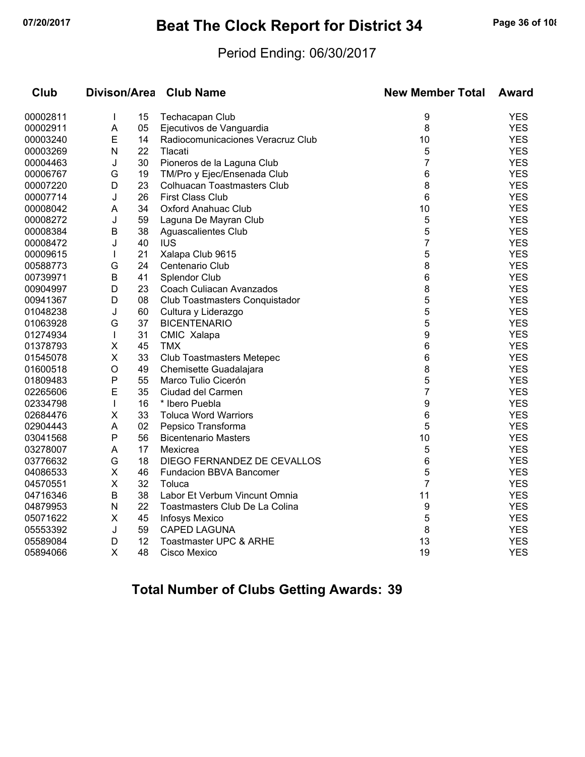# **07/20/2017 Beat The Clock Report for District 34 Page 36 of 108**

#### Period Ending: 06/30/2017

| Club     | <b>Divison/Area</b> |    | <b>Club Name</b>                   | <b>New Member Total</b> | <b>Award</b> |
|----------|---------------------|----|------------------------------------|-------------------------|--------------|
| 00002811 | $\mathbf{I}$        | 15 | Techacapan Club                    | 9                       | <b>YES</b>   |
| 00002911 | A                   | 05 | Ejecutivos de Vanguardia           | 8                       | <b>YES</b>   |
| 00003240 | E                   | 14 | Radiocomunicaciones Veracruz Club  | 10                      | <b>YES</b>   |
| 00003269 | N                   | 22 | Tlacati                            | 5                       | <b>YES</b>   |
| 00004463 | J                   | 30 | Pioneros de la Laguna Club         | 7                       | <b>YES</b>   |
| 00006767 | G                   | 19 | TM/Pro y Ejec/Ensenada Club        | $\,6$                   | <b>YES</b>   |
| 00007220 | D                   | 23 | <b>Colhuacan Toastmasters Club</b> | 8                       | <b>YES</b>   |
| 00007714 | J                   | 26 | <b>First Class Club</b>            | 6                       | <b>YES</b>   |
| 00008042 | A                   | 34 | <b>Oxford Anahuac Club</b>         | 10                      | <b>YES</b>   |
| 00008272 | J                   | 59 | Laguna De Mayran Club              | 5                       | <b>YES</b>   |
| 00008384 | B                   | 38 | Aguascalientes Club                | 5                       | <b>YES</b>   |
| 00008472 | J                   | 40 | <b>IUS</b>                         | 7                       | <b>YES</b>   |
| 00009615 | T                   | 21 | Xalapa Club 9615                   | 5                       | <b>YES</b>   |
| 00588773 | G                   | 24 | Centenario Club                    | 8                       | <b>YES</b>   |
| 00739971 | B                   | 41 | Splendor Club                      | 6                       | <b>YES</b>   |
| 00904997 | D                   | 23 | Coach Culiacan Avanzados           | 8                       | <b>YES</b>   |
| 00941367 | D                   | 08 | Club Toastmasters Conquistador     | 5                       | <b>YES</b>   |
| 01048238 | J                   | 60 | Cultura y Liderazgo                | 5                       | <b>YES</b>   |
| 01063928 | G                   | 37 | <b>BICENTENARIO</b>                | 5                       | <b>YES</b>   |
| 01274934 | $\mathbf{I}$        | 31 | CMIC Xalapa                        | 9                       | <b>YES</b>   |
| 01378793 | X                   | 45 | <b>TMX</b>                         | 6                       | <b>YES</b>   |
| 01545078 | X                   | 33 | <b>Club Toastmasters Metepec</b>   | 6                       | <b>YES</b>   |
| 01600518 | O                   | 49 | Chemisette Guadalajara             | 8                       | <b>YES</b>   |
| 01809483 | P                   | 55 | Marco Tulio Cicerón                | 5                       | <b>YES</b>   |
| 02265606 | E                   | 35 | Ciudad del Carmen                  | $\overline{7}$          | <b>YES</b>   |
| 02334798 | $\mathbf{I}$        | 16 | * Ibero Puebla                     | 9                       | <b>YES</b>   |
| 02684476 | X                   | 33 | <b>Toluca Word Warriors</b>        | 6                       | <b>YES</b>   |
| 02904443 | A                   | 02 | Pepsico Transforma                 | 5                       | <b>YES</b>   |
| 03041568 | $\mathsf{P}$        | 56 | <b>Bicentenario Masters</b>        | 10                      | <b>YES</b>   |
| 03278007 | A                   | 17 | Mexicrea                           | 5                       | <b>YES</b>   |
| 03776632 | G                   | 18 | DIEGO FERNANDEZ DE CEVALLOS        | 6                       | <b>YES</b>   |
| 04086533 | X                   | 46 | <b>Fundacion BBVA Bancomer</b>     | 5                       | <b>YES</b>   |
| 04570551 | X                   | 32 | Toluca                             | $\overline{7}$          | <b>YES</b>   |
| 04716346 | B                   | 38 | Labor Et Verbum Vincunt Omnia      | 11                      | <b>YES</b>   |
| 04879953 | N                   | 22 | Toastmasters Club De La Colina     | 9                       | <b>YES</b>   |
| 05071622 | X                   | 45 | <b>Infosys Mexico</b>              | 5                       | <b>YES</b>   |
| 05553392 | J                   | 59 | <b>CAPED LAGUNA</b>                | 8                       | <b>YES</b>   |
| 05589084 | D                   | 12 | Toastmaster UPC & ARHE             | 13                      | <b>YES</b>   |
| 05894066 | X                   | 48 | Cisco Mexico                       | 19                      | <b>YES</b>   |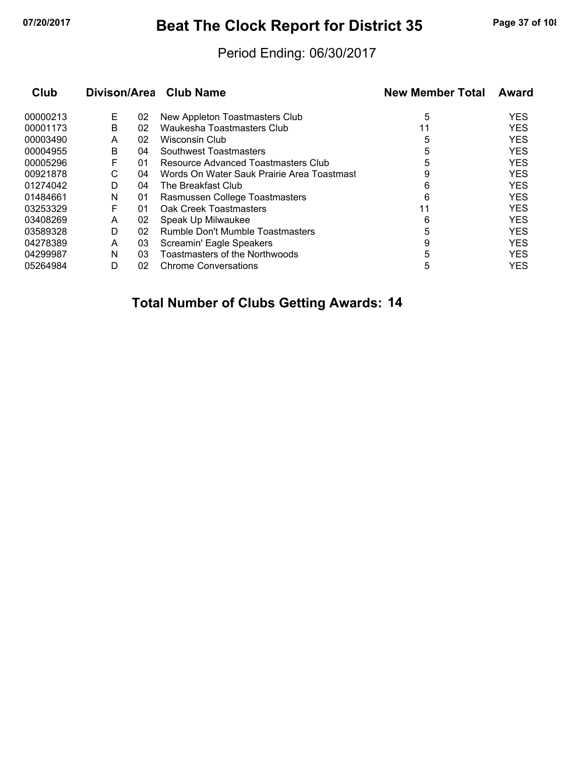## **07/20/2017 Beat The Clock Report for District 35 Page 37 of 108**

### Period Ending: 06/30/2017

| Club     |   |    | Divison/Area Club Name                     | <b>New Member Total</b> | Award      |
|----------|---|----|--------------------------------------------|-------------------------|------------|
| 00000213 | Е | 02 | New Appleton Toastmasters Club             | 5                       | <b>YES</b> |
| 00001173 | B | 02 | Waukesha Toastmasters Club                 | 11                      | <b>YES</b> |
| 00003490 | A | 02 | Wisconsin Club                             | 5                       | <b>YES</b> |
| 00004955 | B | 04 | Southwest Toastmasters                     | 5                       | <b>YES</b> |
| 00005296 | F | 01 | Resource Advanced Toastmasters Club        | 5                       | <b>YES</b> |
| 00921878 | С | 04 | Words On Water Sauk Prairie Area Toastmast | 9                       | <b>YES</b> |
| 01274042 | D | 04 | The Breakfast Club                         | 6                       | <b>YES</b> |
| 01484661 | N | 01 | Rasmussen College Toastmasters             | 6                       | <b>YES</b> |
| 03253329 | F | 01 | Oak Creek Toastmasters                     | 11                      | <b>YES</b> |
| 03408269 | A | 02 | Speak Up Milwaukee                         | 6                       | <b>YES</b> |
| 03589328 | D | 02 | Rumble Don't Mumble Toastmasters           | 5                       | <b>YES</b> |
| 04278389 | A | 03 | Screamin' Eagle Speakers                   | 9                       | <b>YES</b> |
| 04299987 | N | 03 | Toastmasters of the Northwoods             | 5                       | <b>YES</b> |
| 05264984 | D | 02 | <b>Chrome Conversations</b>                | 5                       | <b>YES</b> |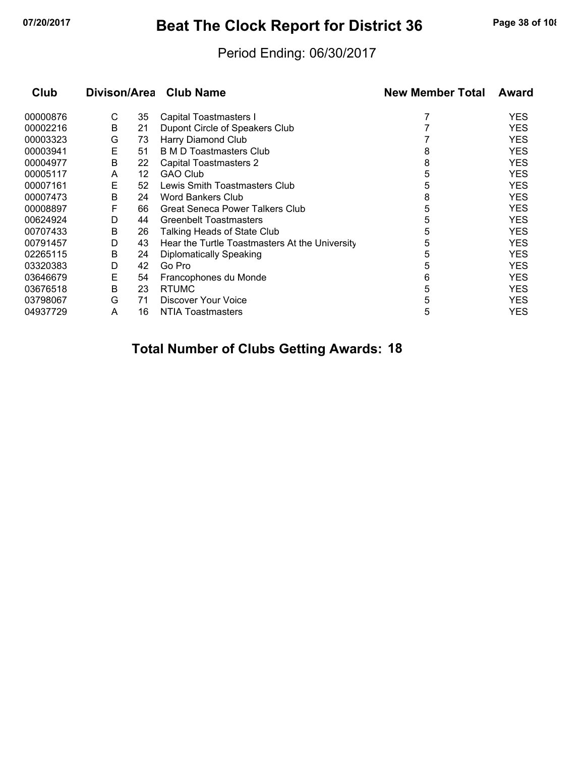## **07/20/2017 Beat The Clock Report for District 36 Page 38 of 108**

### Period Ending: 06/30/2017

| Club     |   |    | Divison/Area Club Name                         | <b>New Member Total</b> | Award      |
|----------|---|----|------------------------------------------------|-------------------------|------------|
| 00000876 | С | 35 | Capital Toastmasters I                         |                         | <b>YES</b> |
| 00002216 | B | 21 | Dupont Circle of Speakers Club                 |                         | <b>YES</b> |
| 00003323 | G | 73 | Harry Diamond Club                             |                         | <b>YES</b> |
| 00003941 | Е | 51 | <b>B M D Toastmasters Club</b>                 | 8                       | <b>YES</b> |
| 00004977 | В | 22 | <b>Capital Toastmasters 2</b>                  | 8                       | <b>YES</b> |
| 00005117 | A | 12 | <b>GAO Club</b>                                | 5                       | <b>YES</b> |
| 00007161 | E | 52 | Lewis Smith Toastmasters Club                  | 5                       | <b>YES</b> |
| 00007473 | B | 24 | <b>Word Bankers Club</b>                       | 8                       | <b>YES</b> |
| 00008897 | F | 66 | Great Seneca Power Talkers Club                | 5                       | <b>YES</b> |
| 00624924 | D | 44 | <b>Greenbelt Toastmasters</b>                  | 5                       | <b>YES</b> |
| 00707433 | B | 26 | Talking Heads of State Club                    | 5                       | <b>YES</b> |
| 00791457 | D | 43 | Hear the Turtle Toastmasters At the University | 5                       | <b>YES</b> |
| 02265115 | B | 24 | Diplomatically Speaking                        | 5                       | <b>YES</b> |
| 03320383 | D | 42 | Go Pro                                         | 5                       | <b>YES</b> |
| 03646679 | Е | 54 | Francophones du Monde                          | 6                       | <b>YES</b> |
| 03676518 | B | 23 | <b>RTUMC</b>                                   | 5                       | <b>YES</b> |
| 03798067 | G | 71 | Discover Your Voice                            | 5                       | <b>YES</b> |
| 04937729 | A | 16 | <b>NTIA Toastmasters</b>                       | 5                       | YES        |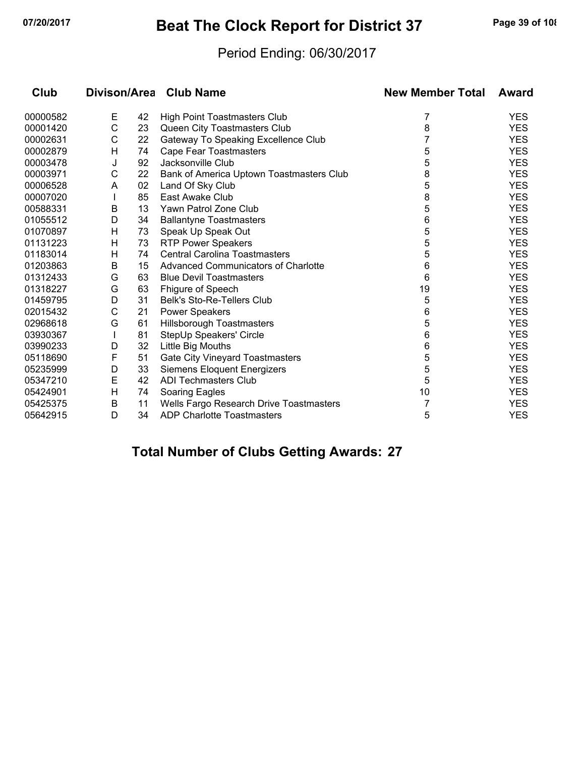## **07/20/2017 Beat The Clock Report for District 37 Page 39 of 108**

### Period Ending: 06/30/2017

| Club     |   |    | Divison/Area Club Name                   | <b>New Member Total</b> | Award      |
|----------|---|----|------------------------------------------|-------------------------|------------|
| 00000582 | Е | 42 | <b>High Point Toastmasters Club</b>      | 7                       | <b>YES</b> |
| 00001420 | C | 23 | Queen City Toastmasters Club             | 8                       | <b>YES</b> |
| 00002631 | С | 22 | Gateway To Speaking Excellence Club      |                         | <b>YES</b> |
| 00002879 | н | 74 | <b>Cape Fear Toastmasters</b>            | 5                       | <b>YES</b> |
| 00003478 | J | 92 | Jacksonville Club                        | 5                       | <b>YES</b> |
| 00003971 | С | 22 | Bank of America Uptown Toastmasters Club | 8                       | <b>YES</b> |
| 00006528 | A | 02 | Land Of Sky Club                         | 5                       | <b>YES</b> |
| 00007020 |   | 85 | East Awake Club                          | 8                       | <b>YES</b> |
| 00588331 | B | 13 | Yawn Patrol Zone Club                    | 5                       | <b>YES</b> |
| 01055512 | D | 34 | <b>Ballantyne Toastmasters</b>           | 6                       | <b>YES</b> |
| 01070897 | H | 73 | Speak Up Speak Out                       | 5                       | <b>YES</b> |
| 01131223 | H | 73 | <b>RTP Power Speakers</b>                | 5                       | <b>YES</b> |
| 01183014 | H | 74 | <b>Central Carolina Toastmasters</b>     | 5                       | <b>YES</b> |
| 01203863 | В | 15 | Advanced Communicators of Charlotte      | 6                       | <b>YES</b> |
| 01312433 | G | 63 | <b>Blue Devil Toastmasters</b>           | 6                       | <b>YES</b> |
| 01318227 | G | 63 | Fhigure of Speech                        | 19                      | <b>YES</b> |
| 01459795 | D | 31 | <b>Belk's Sto-Re-Tellers Club</b>        | 5                       | <b>YES</b> |
| 02015432 | C | 21 | <b>Power Speakers</b>                    | 6                       | <b>YES</b> |
| 02968618 | G | 61 | Hillsborough Toastmasters                | 5                       | <b>YES</b> |
| 03930367 |   | 81 | StepUp Speakers' Circle                  | 6                       | <b>YES</b> |
| 03990233 | D | 32 | Little Big Mouths                        | 6                       | <b>YES</b> |
| 05118690 | F | 51 | Gate City Vineyard Toastmasters          | 5                       | <b>YES</b> |
| 05235999 | D | 33 | <b>Siemens Eloquent Energizers</b>       | 5                       | <b>YES</b> |
| 05347210 | E | 42 | <b>ADI Techmasters Club</b>              | 5                       | <b>YES</b> |
| 05424901 | H | 74 | Soaring Eagles                           | 10                      | <b>YES</b> |
| 05425375 | B | 11 | Wells Fargo Research Drive Toastmasters  | 7                       | <b>YES</b> |
| 05642915 | D | 34 | ADP Charlotte Toastmasters               | 5                       | <b>YES</b> |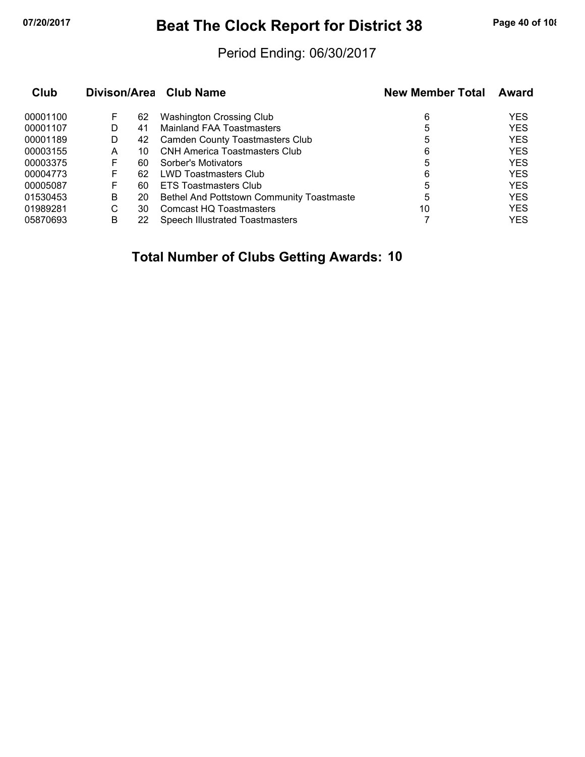## **07/20/2017 Beat The Clock Report for District 38 Page 40 of 108**

### Period Ending: 06/30/2017

| Club     |   |    | Divison/Area Club Name                    | <b>New Member Total</b> | Award      |
|----------|---|----|-------------------------------------------|-------------------------|------------|
| 00001100 | F | 62 | <b>Washington Crossing Club</b>           | 6                       | <b>YES</b> |
| 00001107 | D | 41 | Mainland FAA Toastmasters                 | 5                       | <b>YES</b> |
| 00001189 | D | 42 | <b>Camden County Toastmasters Club</b>    | 5                       | <b>YES</b> |
| 00003155 | А | 10 | <b>CNH America Toastmasters Club</b>      | 6                       | <b>YES</b> |
| 00003375 |   | 60 | Sorber's Motivators                       | 5                       | <b>YES</b> |
| 00004773 | F | 62 | <b>LWD Toastmasters Club</b>              | 6                       | <b>YES</b> |
| 00005087 | F | 60 | <b>ETS Toastmasters Club</b>              | 5                       | <b>YES</b> |
| 01530453 | В | 20 | Bethel And Pottstown Community Toastmaste | 5                       | <b>YES</b> |
| 01989281 | С | 30 | Comcast HQ Toastmasters                   | 10                      | <b>YES</b> |
| 05870693 | в |    | <b>Speech Illustrated Toastmasters</b>    |                         | <b>YES</b> |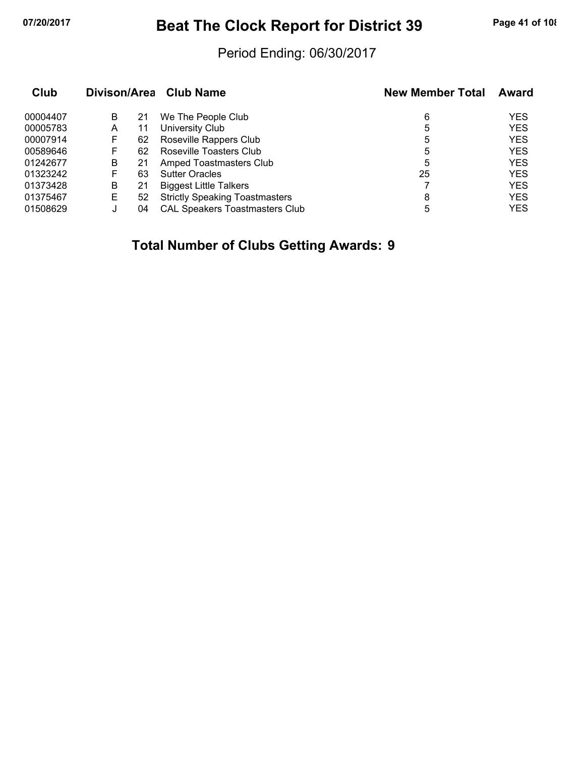## **07/20/2017 Beat The Clock Report for District 39 Page 41 of 108**

### Period Ending: 06/30/2017

| Club     |   |    | Divison/Area Club Name                | <b>New Member Total</b> | Award      |
|----------|---|----|---------------------------------------|-------------------------|------------|
| 00004407 | B | 21 | We The People Club                    | 6                       | <b>YES</b> |
| 00005783 | A | 11 | University Club                       | 5                       | <b>YES</b> |
| 00007914 | ۲ | 62 | Roseville Rappers Club                | 5                       | <b>YES</b> |
| 00589646 | F | 62 | Roseville Toasters Club               | 5                       | <b>YES</b> |
| 01242677 | В | 21 | Amped Toastmasters Club               | 5                       | <b>YES</b> |
| 01323242 | F | 63 | <b>Sutter Oracles</b>                 | 25                      | <b>YES</b> |
| 01373428 | В | 21 | <b>Biggest Little Talkers</b>         |                         | <b>YES</b> |
| 01375467 | Е | 52 | <b>Strictly Speaking Toastmasters</b> | 8                       | <b>YES</b> |
| 01508629 |   | 04 | <b>CAL Speakers Toastmasters Club</b> | 5                       | <b>YES</b> |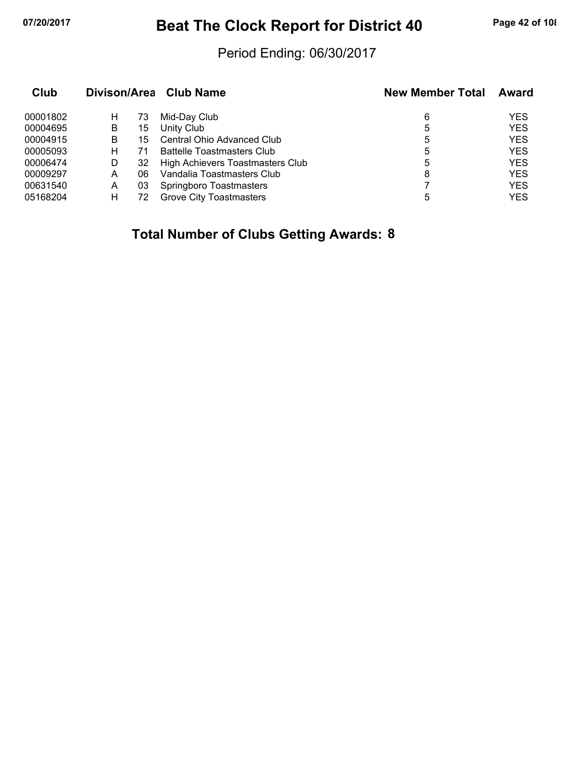## **07/20/2017 Beat The Clock Report for District 40 Page 42 of 108**

### Period Ending: 06/30/2017

| Club     |   |    | Divison/Area Club Name            | <b>New Member Total</b> | Award      |
|----------|---|----|-----------------------------------|-------------------------|------------|
| 00001802 | н | 73 | Mid-Day Club                      | 6                       | <b>YES</b> |
| 00004695 | B | 15 | Unity Club                        | 5                       | <b>YES</b> |
| 00004915 | В | 15 | Central Ohio Advanced Club        | 5                       | <b>YES</b> |
| 00005093 | н | 71 | <b>Battelle Toastmasters Club</b> | 5                       | <b>YES</b> |
| 00006474 | D | 32 | High Achievers Toastmasters Club  | 5                       | <b>YES</b> |
| 00009297 | A | 06 | Vandalia Toastmasters Club        | 8                       | <b>YES</b> |
| 00631540 | A | 03 | Springboro Toastmasters           |                         | <b>YES</b> |
| 05168204 | н | 72 | <b>Grove City Toastmasters</b>    | 5                       | YES        |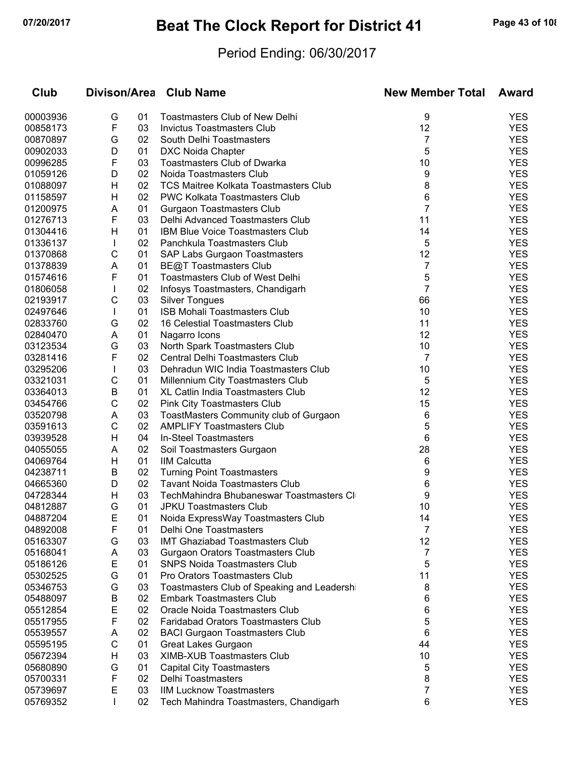# **07/20/2017 Beat The Clock Report for District 41 Page 43 of 108**

### Period Ending: 06/30/2017

| Club     |              |    | Divison/Area Club Name                       | <b>New Member Total</b> | Award      |
|----------|--------------|----|----------------------------------------------|-------------------------|------------|
| 00003936 | G            | 01 | <b>Toastmasters Club of New Delhi</b>        | 9                       | <b>YES</b> |
| 00858173 | F            | 03 | <b>Invictus Toastmasters Club</b>            | 12                      | <b>YES</b> |
| 00870897 | G            | 02 | South Delhi Toastmasters                     | 7                       | <b>YES</b> |
| 00902033 | D            | 01 | <b>DXC Noida Chapter</b>                     | 5                       | <b>YES</b> |
| 00996285 | F            | 03 | <b>Toastmasters Club of Dwarka</b>           | 10                      | <b>YES</b> |
| 01059126 | D            | 02 | Noida Toastmasters Club                      | 9                       | <b>YES</b> |
| 01088097 | H            | 02 | <b>TCS Maitree Kolkata Toastmasters Club</b> | 8                       | <b>YES</b> |
| 01158597 | н            | 02 | PWC Kolkata Toastmasters Club                | 6                       | <b>YES</b> |
| 01200975 | Α            | 01 | <b>Gurgaon Toastmasters Club</b>             | 7                       | <b>YES</b> |
| 01276713 | F            | 03 | Delhi Advanced Toastmasters Club             | 11                      | <b>YES</b> |
| 01304416 | н            | 01 | IBM Blue Voice Toastmasters Club             | 14                      | <b>YES</b> |
| 01336137 | $\mathbf{I}$ | 02 | Panchkula Toastmasters Club                  | 5                       | <b>YES</b> |
| 01370868 | С            | 01 | SAP Labs Gurgaon Toastmasters                | 12                      | <b>YES</b> |
| 01378839 | Α            | 01 | <b>BE@T Toastmasters Club</b>                | 7                       | <b>YES</b> |
| 01574616 | F            | 01 | <b>Toastmasters Club of West Delhi</b>       | 5                       | <b>YES</b> |
| 01806058 |              | 02 | Infosys Toastmasters, Chandigarh             | $\overline{7}$          | <b>YES</b> |
| 02193917 | С            | 03 | <b>Silver Tongues</b>                        | 66                      | <b>YES</b> |
| 02497646 | $\mathbf{I}$ | 01 | <b>ISB Mohali Toastmasters Club</b>          | 10                      | <b>YES</b> |
| 02833760 | G            | 02 | 16 Celestial Toastmasters Club               | 11                      | <b>YES</b> |
| 02840470 | Α            | 01 | Nagarro Icons                                | 12                      | <b>YES</b> |
| 03123534 | G            | 03 | North Spark Toastmasters Club                | 10                      | <b>YES</b> |
| 03281416 | F            | 02 | Central Delhi Toastmasters Club              | 7                       | <b>YES</b> |
| 03295206 |              | 03 | Dehradun WIC India Toastmasters Club         | 10                      | <b>YES</b> |
| 03321031 | С            | 01 | Millennium City Toastmasters Club            | 5                       | <b>YES</b> |
| 03364013 | B            | 01 | XL Catlin India Toastmasters Club            | 12                      | <b>YES</b> |
| 03454766 | С            | 02 | <b>Pink City Toastmasters Club</b>           | 15                      | <b>YES</b> |
| 03520798 | Α            | 03 | ToastMasters Community club of Gurgaon       | 6                       | <b>YES</b> |
| 03591613 | С            | 02 | <b>AMPLIFY Toastmasters Club</b>             | 5                       | <b>YES</b> |
| 03939528 | H            | 04 | In-Steel Toastmasters                        | 6                       | <b>YES</b> |
| 04055055 | Α            | 02 | Soil Toastmasters Gurgaon                    | 28                      | <b>YES</b> |
| 04069764 | н            | 01 | <b>IIM Calcutta</b>                          | 6                       | <b>YES</b> |
| 04238711 | В            | 02 | <b>Turning Point Toastmasters</b>            | 9                       | <b>YES</b> |
| 04665360 | D            | 02 | <b>Tavant Noida Toastmasters Club</b>        | 6                       | <b>YES</b> |
| 04728344 | H            | 03 | TechMahindra Bhubaneswar Toastmasters CI     | 9                       | <b>YES</b> |
| 04812887 | G            | 01 | <b>JPKU Toastmasters Club</b>                | 10                      | <b>YES</b> |
| 04887204 | E            | 01 | Noida ExpressWay Toastmasters Club           | 14                      | YES        |
| 04892008 | F            | 01 | Delhi One Toastmasters                       | 7                       | <b>YES</b> |
| 05163307 | G            | 03 | <b>IMT Ghaziabad Toastmasters Club</b>       | 12                      | <b>YES</b> |
| 05168041 | A            | 03 | Gurgaon Orators Toastmasters Club            | 7                       | <b>YES</b> |
| 05186126 | E            | 01 | <b>SNPS Noida Toastmasters Club</b>          | 5                       | <b>YES</b> |
| 05302525 | G            | 01 | Pro Orators Toastmasters Club                | 11                      | <b>YES</b> |
| 05346753 | G            | 03 | Toastmasters Club of Speaking and Leadersh   | 8                       | <b>YES</b> |
| 05488097 | B            | 02 | <b>Embark Toastmasters Club</b>              | 6                       | <b>YES</b> |
| 05512854 | Е            | 02 | Oracle Noida Toastmasters Club               | 6                       | <b>YES</b> |
| 05517955 | F            | 02 | <b>Faridabad Orators Toastmasters Club</b>   | 5                       | <b>YES</b> |
| 05539557 | A            | 02 | <b>BACI Gurgaon Toastmasters Club</b>        | 6                       | <b>YES</b> |
| 05595195 | С            | 01 | Great Lakes Gurgaon                          | 44                      | <b>YES</b> |
| 05672394 | H            | 03 | <b>XIMB-XUB Toastmasters Club</b>            | 10                      | <b>YES</b> |
| 05680890 | G            | 01 | <b>Capital City Toastmasters</b>             | 5                       | <b>YES</b> |
| 05700331 | F            | 02 | Delhi Toastmasters                           | 8                       | <b>YES</b> |
| 05739697 | Е            | 03 | <b>IIM Lucknow Toastmasters</b>              | 7                       | <b>YES</b> |
| 05769352 | $\mathbf{I}$ | 02 | Tech Mahindra Toastmasters, Chandigarh       | 6                       | <b>YES</b> |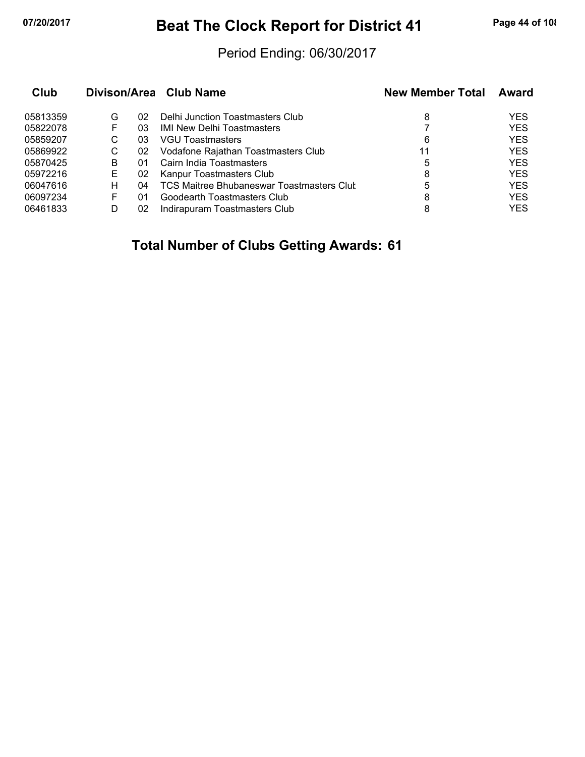## **07/20/2017 Beat The Clock Report for District 41 Page 44 of 108**

### Period Ending: 06/30/2017

| Club     |   |    | Divison/Area Club Name                           | <b>New Member Total</b> | Award      |
|----------|---|----|--------------------------------------------------|-------------------------|------------|
| 05813359 | G | 02 | Delhi Junction Toastmasters Club                 | 8                       | <b>YES</b> |
| 05822078 |   | 03 | <b>IMI New Delhi Toastmasters</b>                |                         | <b>YES</b> |
| 05859207 | С | 03 | VGU Toastmasters                                 | 6                       | <b>YES</b> |
| 05869922 | С | 02 | Vodafone Rajathan Toastmasters Club              | 11                      | <b>YES</b> |
| 05870425 | в | 01 | Cairn India Toastmasters                         | 5                       | <b>YES</b> |
| 05972216 | Е | 02 | Kanpur Toastmasters Club                         | 8                       | <b>YES</b> |
| 06047616 | н | 04 | <b>TCS Maitree Bhubaneswar Toastmasters Clut</b> | 5                       | <b>YES</b> |
| 06097234 | F | 01 | Goodearth Toastmasters Club                      | 8                       | <b>YES</b> |
| 06461833 |   | 02 | Indirapuram Toastmasters Club                    | 8                       | <b>YES</b> |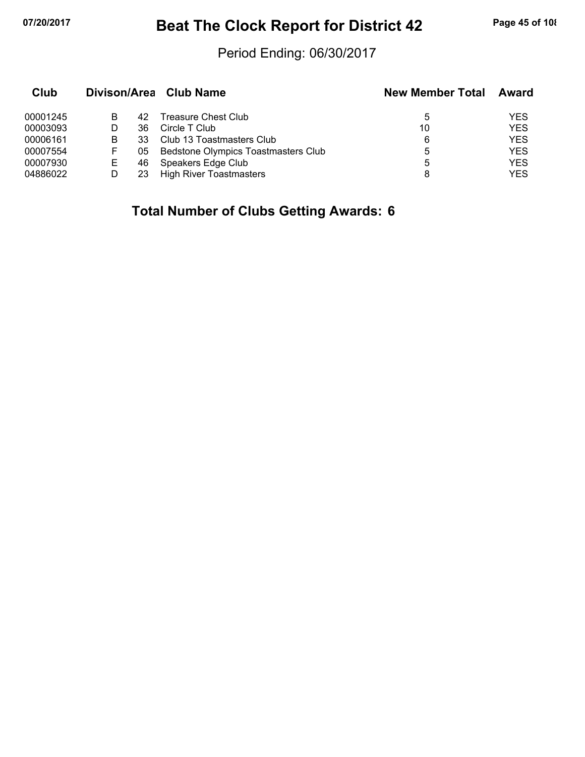## **07/20/2017 Beat The Clock Report for District 42 Page 45 of 108**

### Period Ending: 06/30/2017

| Club     |    |     | Divison/Area Club Name              | <b>New Member Total</b> | Award      |
|----------|----|-----|-------------------------------------|-------------------------|------------|
| 00001245 | В  | 42  | Treasure Chest Club                 | 5                       | YES        |
| 00003093 |    | 36  | Circle T Club                       | 10                      | <b>YES</b> |
| 00006161 | в  | 33  | Club 13 Toastmasters Club           | 6                       | <b>YES</b> |
| 00007554 | F  | 05  | Bedstone Olympics Toastmasters Club | 5                       | <b>YES</b> |
| 00007930 | E. | 46. | Speakers Edge Club                  | 5                       | <b>YES</b> |
| 04886022 |    | 23. | <b>High River Toastmasters</b>      | 8                       | <b>YES</b> |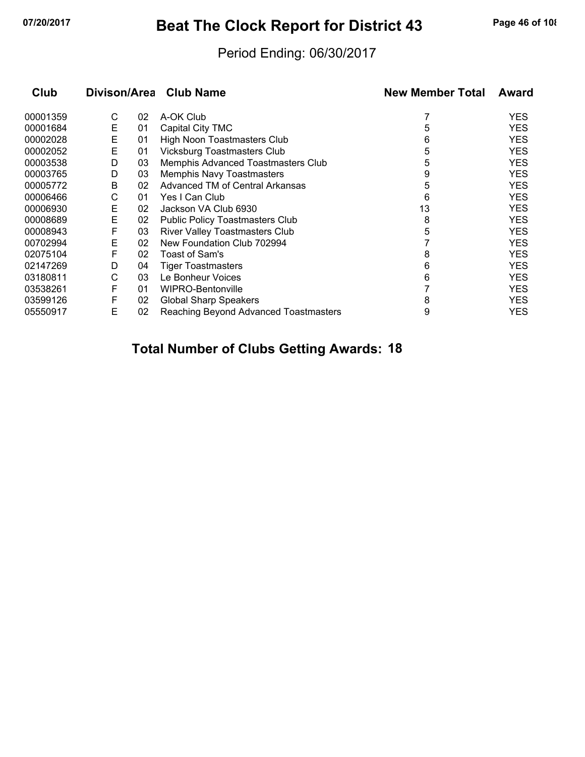## **07/20/2017 Beat The Clock Report for District 43 Page 46 of 108**

### Period Ending: 06/30/2017

| Club     | Divison/Area |    | <b>Club Name</b>                       | <b>New Member Total</b> | <b>Award</b> |
|----------|--------------|----|----------------------------------------|-------------------------|--------------|
| 00001359 | С            | 02 | A-OK Club                              |                         | <b>YES</b>   |
| 00001684 | Е            | 01 | Capital City TMC                       | 5                       | <b>YES</b>   |
| 00002028 | Е            | 01 | High Noon Toastmasters Club            | 6                       | <b>YES</b>   |
| 00002052 | Е            | 01 | <b>Vicksburg Toastmasters Club</b>     | 5                       | <b>YES</b>   |
| 00003538 | D            | 03 | Memphis Advanced Toastmasters Club     | 5                       | <b>YES</b>   |
| 00003765 | D            | 03 | Memphis Navy Toastmasters              | 9                       | <b>YES</b>   |
| 00005772 | В            | 02 | Advanced TM of Central Arkansas        | 5                       | <b>YES</b>   |
| 00006466 | С            | 01 | Yes I Can Club                         | 6                       | <b>YES</b>   |
| 00006930 | Е            | 02 | Jackson VA Club 6930                   | 13                      | <b>YES</b>   |
| 00008689 | Е            | 02 | <b>Public Policy Toastmasters Club</b> | 8                       | <b>YES</b>   |
| 00008943 | F            | 03 | <b>River Valley Toastmasters Club</b>  | 5                       | <b>YES</b>   |
| 00702994 | Е            | 02 | New Foundation Club 702994             |                         | <b>YES</b>   |
| 02075104 | F            | 02 | Toast of Sam's                         | 8                       | <b>YES</b>   |
| 02147269 | D            | 04 | <b>Tiger Toastmasters</b>              | 6                       | <b>YES</b>   |
| 03180811 | С            | 03 | Le Bonheur Voices                      | 6                       | <b>YES</b>   |
| 03538261 | F            | 01 | WIPRO-Bentonville                      |                         | <b>YES</b>   |
| 03599126 | F            | 02 | <b>Global Sharp Speakers</b>           | 8                       | <b>YES</b>   |
| 05550917 | Е            | 02 | Reaching Beyond Advanced Toastmasters  | 9                       | YES          |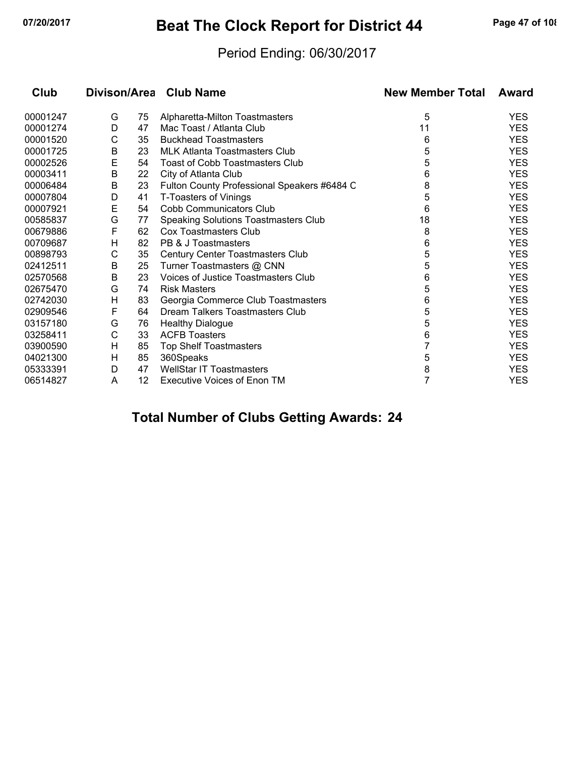## **07/20/2017 Beat The Clock Report for District 44 Page 47 of 108**

### Period Ending: 06/30/2017

| Club     |         |    | Divison/Area Club Name                      | <b>New Member Total</b> | Award      |
|----------|---------|----|---------------------------------------------|-------------------------|------------|
| 00001247 | G       | 75 | Alpharetta-Milton Toastmasters              | 5                       | <b>YES</b> |
| 00001274 | D       | 47 | Mac Toast / Atlanta Club                    | 11                      | <b>YES</b> |
| 00001520 | С       | 35 | <b>Buckhead Toastmasters</b>                | 6                       | <b>YES</b> |
| 00001725 | $\sf B$ | 23 | MLK Atlanta Toastmasters Club               | 5                       | <b>YES</b> |
| 00002526 | E       | 54 | Toast of Cobb Toastmasters Club             | 5                       | <b>YES</b> |
| 00003411 | B       | 22 | City of Atlanta Club                        | 6                       | <b>YES</b> |
| 00006484 | B       | 23 | Fulton County Professional Speakers #6484 C | 8                       | <b>YES</b> |
| 00007804 | D       | 41 | T-Toasters of Vinings                       | 5                       | <b>YES</b> |
| 00007921 | E       | 54 | Cobb Communicators Club                     | 6                       | <b>YES</b> |
| 00585837 | G       | 77 | <b>Speaking Solutions Toastmasters Club</b> | 18                      | <b>YES</b> |
| 00679886 | F       | 62 | <b>Cox Toastmasters Club</b>                | 8                       | <b>YES</b> |
| 00709687 | Н       | 82 | PB & J Toastmasters                         | 6                       | <b>YES</b> |
| 00898793 | C       | 35 | Century Center Toastmasters Club            | 5                       | <b>YES</b> |
| 02412511 | B       | 25 | Turner Toastmasters @ CNN                   | 5                       | <b>YES</b> |
| 02570568 | В       | 23 | Voices of Justice Toastmasters Club         | 6                       | <b>YES</b> |
| 02675470 | G       | 74 | <b>Risk Masters</b>                         | 5                       | <b>YES</b> |
| 02742030 | Н       | 83 | Georgia Commerce Club Toastmasters          | 6                       | <b>YES</b> |
| 02909546 | F       | 64 | Dream Talkers Toastmasters Club             | 5                       | <b>YES</b> |
| 03157180 | G       | 76 | <b>Healthy Dialogue</b>                     | 5                       | <b>YES</b> |
| 03258411 | C       | 33 | <b>ACFB Toasters</b>                        | 6                       | <b>YES</b> |
| 03900590 | Н       | 85 | <b>Top Shelf Toastmasters</b>               | 7                       | <b>YES</b> |
| 04021300 | н       | 85 | 360Speaks                                   | 5                       | <b>YES</b> |
| 05333391 | D       | 47 | <b>WellStar IT Toastmasters</b>             | 8                       | <b>YES</b> |
| 06514827 | A       | 12 | <b>Executive Voices of Enon TM</b>          | 7                       | <b>YES</b> |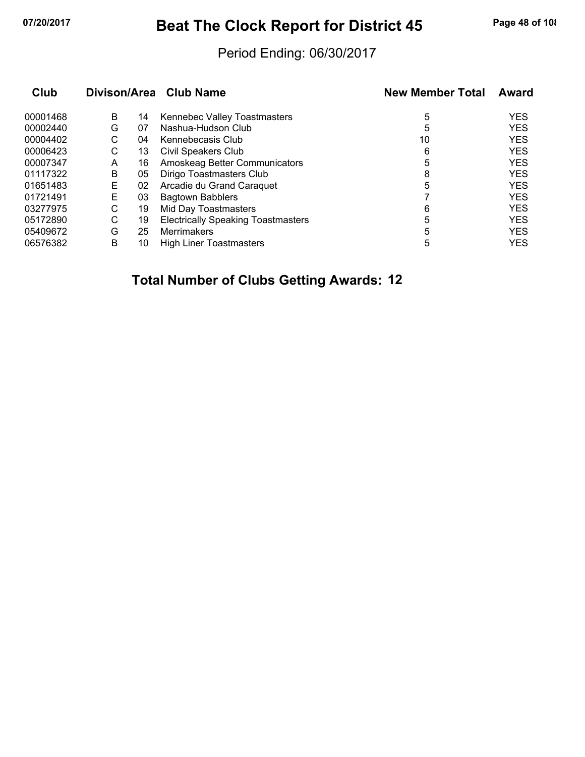## **07/20/2017 Beat The Clock Report for District 45 Page 48 of 108**

### Period Ending: 06/30/2017

| Club     |   |    | Divison/Area Club Name                    | <b>New Member Total</b> | Award      |
|----------|---|----|-------------------------------------------|-------------------------|------------|
| 00001468 | B | 14 | Kennebec Valley Toastmasters              | 5                       | <b>YES</b> |
| 00002440 | G | 07 | Nashua-Hudson Club                        | 5                       | <b>YES</b> |
| 00004402 | С | 04 | Kennebecasis Club                         | 10                      | <b>YES</b> |
| 00006423 | С | 13 | Civil Speakers Club                       | 6                       | <b>YES</b> |
| 00007347 | A | 16 | Amoskeag Better Communicators             | 5                       | <b>YES</b> |
| 01117322 | B | 05 | Dirigo Toastmasters Club                  | 8                       | <b>YES</b> |
| 01651483 | Е | 02 | Arcadie du Grand Caraquet                 | 5                       | <b>YES</b> |
| 01721491 | Е | 03 | <b>Bagtown Babblers</b>                   |                         | <b>YES</b> |
| 03277975 | С | 19 | Mid Day Toastmasters                      | 6                       | <b>YES</b> |
| 05172890 | C | 19 | <b>Electrically Speaking Toastmasters</b> | 5                       | <b>YES</b> |
| 05409672 | G | 25 | <b>Merrimakers</b>                        | 5                       | <b>YES</b> |
| 06576382 | B | 10 | <b>High Liner Toastmasters</b>            | 5                       | <b>YES</b> |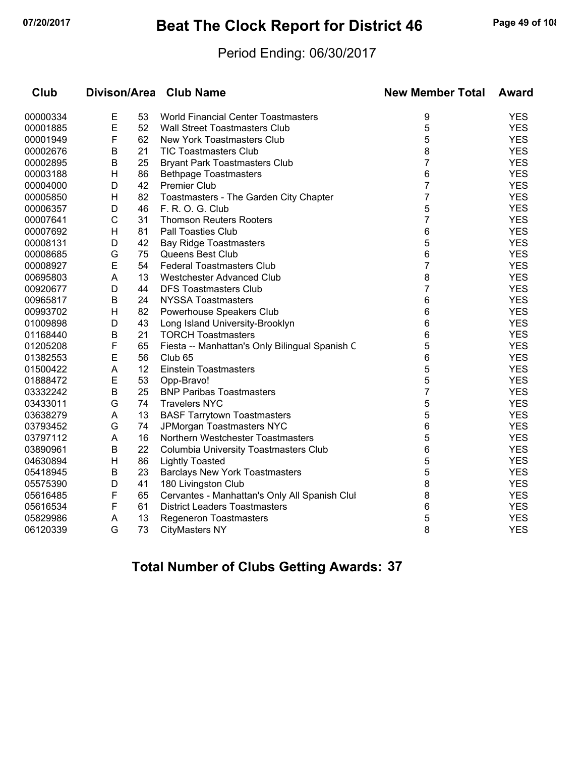## **07/20/2017 Beat The Clock Report for District 46 Page 49 of 108**

### Period Ending: 06/30/2017

| Club     | Divison/Area |    | <b>Club Name</b>                               | <b>New Member Total</b> | <b>Award</b> |  |
|----------|--------------|----|------------------------------------------------|-------------------------|--------------|--|
| 00000334 | E            | 53 | <b>World Financial Center Toastmasters</b>     | 9                       | <b>YES</b>   |  |
| 00001885 | E            | 52 | <b>Wall Street Toastmasters Club</b>           | 5                       | <b>YES</b>   |  |
| 00001949 | F            | 62 | <b>New York Toastmasters Club</b>              | 5                       | <b>YES</b>   |  |
| 00002676 | В            | 21 | <b>TIC Toastmasters Club</b>                   | 8                       | <b>YES</b>   |  |
| 00002895 | В            | 25 | <b>Bryant Park Toastmasters Club</b>           | $\overline{7}$          | <b>YES</b>   |  |
| 00003188 | H            | 86 | <b>Bethpage Toastmasters</b>                   | 6                       | <b>YES</b>   |  |
| 00004000 | D            | 42 | <b>Premier Club</b>                            | 7                       | <b>YES</b>   |  |
| 00005850 | H            | 82 | Toastmasters - The Garden City Chapter         | 7                       | <b>YES</b>   |  |
| 00006357 | D            | 46 | F. R. O. G. Club                               | 5                       | <b>YES</b>   |  |
| 00007641 | $\mathsf{C}$ | 31 | <b>Thomson Reuters Rooters</b>                 | $\overline{7}$          | <b>YES</b>   |  |
| 00007692 | Н            | 81 | <b>Pall Toasties Club</b>                      | 6                       | <b>YES</b>   |  |
| 00008131 | D            | 42 | <b>Bay Ridge Toastmasters</b>                  | 5                       | <b>YES</b>   |  |
| 00008685 | G            | 75 | Queens Best Club                               | 6                       | <b>YES</b>   |  |
| 00008927 | E            | 54 | <b>Federal Toastmasters Club</b>               | $\overline{7}$          | <b>YES</b>   |  |
| 00695803 | A            | 13 | Westchester Advanced Club                      | 8                       | <b>YES</b>   |  |
| 00920677 | D            | 44 | <b>DFS Toastmasters Club</b>                   | 7                       | <b>YES</b>   |  |
| 00965817 | B            | 24 | <b>NYSSA Toastmasters</b>                      | 6                       | <b>YES</b>   |  |
| 00993702 | Н            | 82 | Powerhouse Speakers Club                       | 6                       | <b>YES</b>   |  |
| 01009898 | D            | 43 | Long Island University-Brooklyn                | 6                       | <b>YES</b>   |  |
| 01168440 | В            | 21 | <b>TORCH Toastmasters</b>                      | 6                       | <b>YES</b>   |  |
| 01205208 | F            | 65 | Fiesta -- Manhattan's Only Bilingual Spanish C | 5                       | <b>YES</b>   |  |
| 01382553 | E            | 56 | Club <sub>65</sub>                             | 6                       | <b>YES</b>   |  |
| 01500422 | A            | 12 | <b>Einstein Toastmasters</b>                   | 5                       | <b>YES</b>   |  |
| 01888472 | E            | 53 | Opp-Bravo!                                     | 5                       | <b>YES</b>   |  |
| 03332242 | В            | 25 | <b>BNP Paribas Toastmasters</b>                | 7                       | <b>YES</b>   |  |
| 03433011 | G            | 74 | <b>Travelers NYC</b>                           | 5                       | <b>YES</b>   |  |
| 03638279 | A            | 13 | <b>BASF Tarrytown Toastmasters</b>             | 5                       | <b>YES</b>   |  |
| 03793452 | G            | 74 | JPMorgan Toastmasters NYC                      | 6                       | <b>YES</b>   |  |
| 03797112 | A            | 16 | Northern Westchester Toastmasters              | 5                       | <b>YES</b>   |  |
| 03890961 | В            | 22 | <b>Columbia University Toastmasters Club</b>   | 6                       | <b>YES</b>   |  |
| 04630894 | H            | 86 | <b>Lightly Toasted</b>                         | 5                       | <b>YES</b>   |  |
| 05418945 | B            | 23 | <b>Barclays New York Toastmasters</b>          | 5                       | <b>YES</b>   |  |
| 05575390 | D            | 41 | 180 Livingston Club                            | 8                       | <b>YES</b>   |  |
| 05616485 | F            | 65 | Cervantes - Manhattan's Only All Spanish Clul  | 8                       | <b>YES</b>   |  |
| 05616534 | F            | 61 | <b>District Leaders Toastmasters</b>           | 6                       | <b>YES</b>   |  |
| 05829986 | A            | 13 | <b>Regeneron Toastmasters</b>                  | 5                       | <b>YES</b>   |  |
| 06120339 | G            | 73 | <b>CityMasters NY</b>                          | 8                       | <b>YES</b>   |  |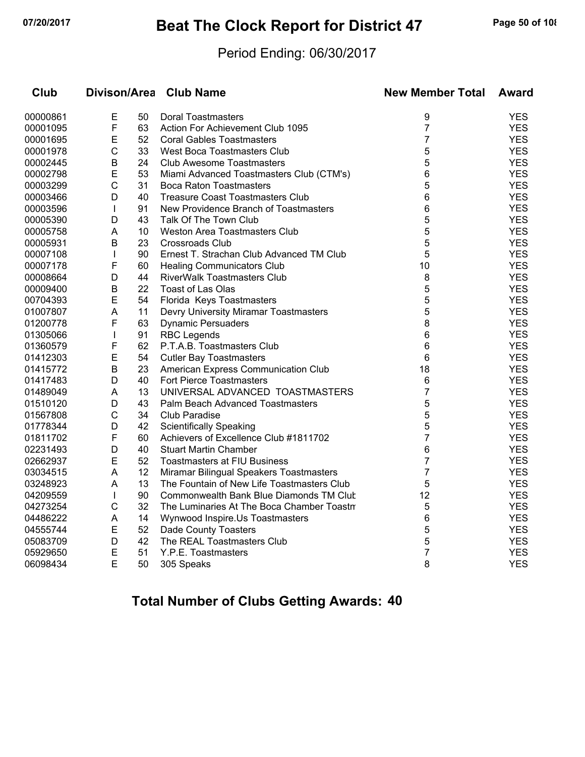## **07/20/2017 Beat The Clock Report for District 47 Page 50 of 108**

### Period Ending: 06/30/2017

| Club     | <b>Divison/Area</b> |    | <b>Club Name</b>                           | <b>New Member Total</b> | <b>Award</b> |
|----------|---------------------|----|--------------------------------------------|-------------------------|--------------|
| 00000861 | E                   | 50 | Doral Toastmasters                         | 9                       | <b>YES</b>   |
| 00001095 | F                   | 63 | Action For Achievement Club 1095           | $\overline{7}$          | <b>YES</b>   |
| 00001695 | E                   | 52 | <b>Coral Gables Toastmasters</b>           | 7                       | <b>YES</b>   |
| 00001978 | $\mathsf{C}$        | 33 | <b>West Boca Toastmasters Club</b>         | 5                       | <b>YES</b>   |
| 00002445 | B                   | 24 | <b>Club Awesome Toastmasters</b>           | 5                       | <b>YES</b>   |
| 00002798 | E                   | 53 | Miami Advanced Toastmasters Club (CTM's)   | 6                       | <b>YES</b>   |
| 00003299 | $\mathsf{C}$        | 31 | <b>Boca Raton Toastmasters</b>             | 5                       | <b>YES</b>   |
| 00003466 | D                   | 40 | <b>Treasure Coast Toastmasters Club</b>    | 6                       | <b>YES</b>   |
| 00003596 | $\mathbf{I}$        | 91 | New Providence Branch of Toastmasters      | 6                       | <b>YES</b>   |
| 00005390 | D                   | 43 | Talk Of The Town Club                      | 5                       | <b>YES</b>   |
| 00005758 | A                   | 10 | <b>Weston Area Toastmasters Club</b>       | 5                       | <b>YES</b>   |
| 00005931 | Β                   | 23 | <b>Crossroads Club</b>                     | 5                       | <b>YES</b>   |
| 00007108 | $\mathbf{I}$        | 90 | Ernest T. Strachan Club Advanced TM Club   | 5                       | <b>YES</b>   |
| 00007178 | F                   | 60 | <b>Healing Communicators Club</b>          | 10                      | <b>YES</b>   |
| 00008664 | D                   | 44 | <b>RiverWalk Toastmasters Club</b>         | 8                       | <b>YES</b>   |
| 00009400 | B                   | 22 | <b>Toast of Las Olas</b>                   | 5                       | <b>YES</b>   |
| 00704393 | E                   | 54 | Florida Keys Toastmasters                  | 5                       | <b>YES</b>   |
| 01007807 | A                   | 11 | Devry University Miramar Toastmasters      | 5                       | <b>YES</b>   |
| 01200778 | F                   | 63 | <b>Dynamic Persuaders</b>                  | 8                       | <b>YES</b>   |
| 01305066 | $\mathbf{I}$        | 91 | <b>RBC Legends</b>                         | 6                       | <b>YES</b>   |
| 01360579 | F                   | 62 | P.T.A.B. Toastmasters Club                 | 6                       | <b>YES</b>   |
| 01412303 | E                   | 54 | <b>Cutler Bay Toastmasters</b>             | 6                       | <b>YES</b>   |
| 01415772 | B                   | 23 | American Express Communication Club        | 18                      | <b>YES</b>   |
| 01417483 | D                   | 40 | Fort Pierce Toastmasters                   | $\,6$                   | <b>YES</b>   |
| 01489049 | A                   | 13 | UNIVERSAL ADVANCED TOASTMASTERS            | $\overline{7}$          | <b>YES</b>   |
| 01510120 | D                   | 43 | Palm Beach Advanced Toastmasters           | 5                       | <b>YES</b>   |
| 01567808 | C                   | 34 | <b>Club Paradise</b>                       | 5                       | <b>YES</b>   |
| 01778344 | D                   | 42 | <b>Scientifically Speaking</b>             | 5                       | <b>YES</b>   |
| 01811702 | F                   | 60 | Achievers of Excellence Club #1811702      | $\overline{7}$          | <b>YES</b>   |
| 02231493 | D                   | 40 | <b>Stuart Martin Chamber</b>               | 6                       | <b>YES</b>   |
| 02662937 | E                   | 52 | <b>Toastmasters at FIU Business</b>        | 7                       | <b>YES</b>   |
| 03034515 | A                   | 12 | Miramar Bilingual Speakers Toastmasters    | 7                       | <b>YES</b>   |
| 03248923 | A                   | 13 | The Fountain of New Life Toastmasters Club | 5                       | <b>YES</b>   |
| 04209559 | T                   | 90 | Commonwealth Bank Blue Diamonds TM Clut    | 12                      | <b>YES</b>   |
| 04273254 | C                   | 32 | The Luminaries At The Boca Chamber Toastn  | 5                       | <b>YES</b>   |
| 04486222 | A                   | 14 | Wynwood Inspire.Us Toastmasters            | 6                       | <b>YES</b>   |
| 04555744 | E                   | 52 | Dade County Toasters                       | 5                       | <b>YES</b>   |
| 05083709 | D                   | 42 | The REAL Toastmasters Club                 | 5                       | <b>YES</b>   |
| 05929650 | Ε                   | 51 | Y.P.E. Toastmasters                        | $\overline{7}$          | <b>YES</b>   |
| 06098434 | E                   | 50 | 305 Speaks                                 | 8                       | <b>YES</b>   |
|          |                     |    |                                            |                         |              |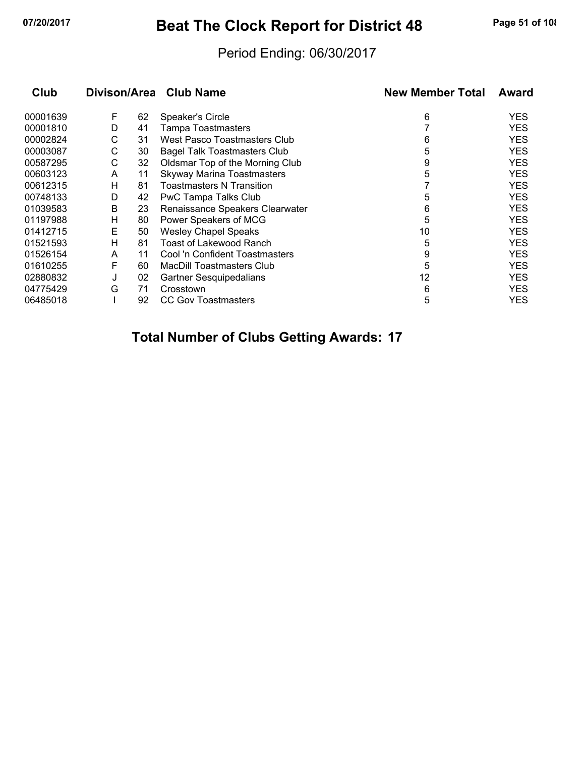## **07/20/2017 Beat The Clock Report for District 48 Page 51 of 108**

### Period Ending: 06/30/2017

| Club     |   |    | Divison/Area Club Name              | <b>New Member Total</b> | Award      |
|----------|---|----|-------------------------------------|-------------------------|------------|
| 00001639 | F | 62 | Speaker's Circle                    | 6                       | <b>YES</b> |
| 00001810 | D | 41 | Tampa Toastmasters                  |                         | <b>YES</b> |
| 00002824 | C | 31 | <b>West Pasco Toastmasters Club</b> | 6                       | <b>YES</b> |
| 00003087 | С | 30 | <b>Bagel Talk Toastmasters Club</b> | 5                       | <b>YES</b> |
| 00587295 | С | 32 | Oldsmar Top of the Morning Club     | 9                       | <b>YES</b> |
| 00603123 | A | 11 | <b>Skyway Marina Toastmasters</b>   | 5                       | <b>YES</b> |
| 00612315 | н | 81 | Toastmasters N Transition           |                         | <b>YES</b> |
| 00748133 | D | 42 | PwC Tampa Talks Club                | 5                       | <b>YES</b> |
| 01039583 | В | 23 | Renaissance Speakers Clearwater     | 6                       | <b>YES</b> |
| 01197988 | Н | 80 | Power Speakers of MCG               | 5                       | <b>YES</b> |
| 01412715 | Е | 50 | <b>Wesley Chapel Speaks</b>         | 10                      | <b>YES</b> |
| 01521593 | н | 81 | Toast of Lakewood Ranch             | 5                       | <b>YES</b> |
| 01526154 | A | 11 | Cool 'n Confident Toastmasters      | 9                       | <b>YES</b> |
| 01610255 | F | 60 | <b>MacDill Toastmasters Club</b>    | 5                       | <b>YES</b> |
| 02880832 | J | 02 | Gartner Sesquipedalians             | 12                      | <b>YES</b> |
| 04775429 | G | 71 | Crosstown                           | 6                       | <b>YES</b> |
| 06485018 |   | 92 | <b>CC Gov Toastmasters</b>          | 5                       | YES        |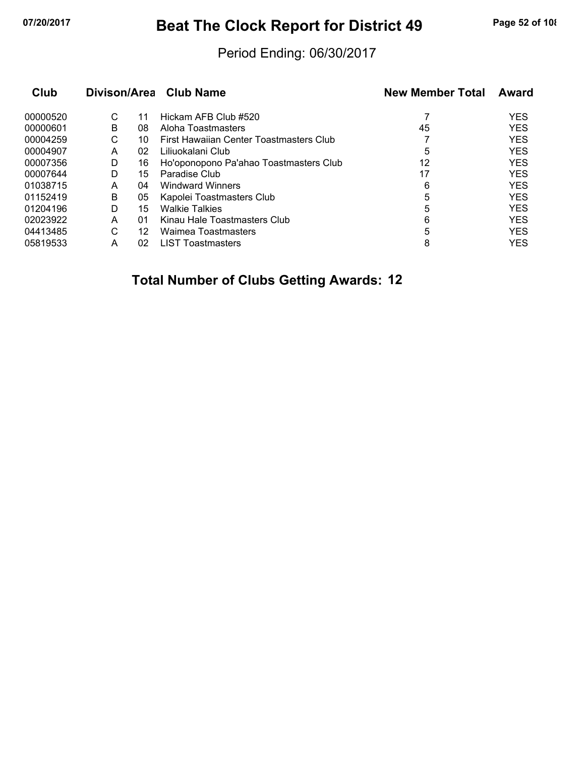## **07/20/2017 Beat The Clock Report for District 49 Page 52 of 108**

### Period Ending: 06/30/2017

|   |    |                                         | <b>New Member Total</b> | Award      |
|---|----|-----------------------------------------|-------------------------|------------|
| С | 11 | Hickam AFB Club #520                    |                         | <b>YES</b> |
| В |    | Aloha Toastmasters                      | 45                      | <b>YES</b> |
| С | 10 | First Hawaiian Center Toastmasters Club |                         | <b>YES</b> |
| A |    | Liliuokalani Club                       | 5                       | <b>YES</b> |
| D | 16 | Ho'oponopono Pa'ahao Toastmasters Club  | 12                      | <b>YES</b> |
| D | 15 | Paradise Club                           | 17                      | <b>YES</b> |
| A |    | <b>Windward Winners</b>                 | 6                       | <b>YES</b> |
| B |    | Kapolei Toastmasters Club               | 5                       | <b>YES</b> |
| D | 15 | <b>Walkie Talkies</b>                   | 5                       | <b>YES</b> |
| A |    | Kinau Hale Toastmasters Club            | 6                       | <b>YES</b> |
| C | 12 | <b>Waimea Toastmasters</b>              | 5                       | <b>YES</b> |
| Α | 02 | <b>LIST Toastmasters</b>                | 8                       | <b>YES</b> |
|   |    | 08<br>02<br>04<br>05<br>01              | Divison/Area Club Name  |            |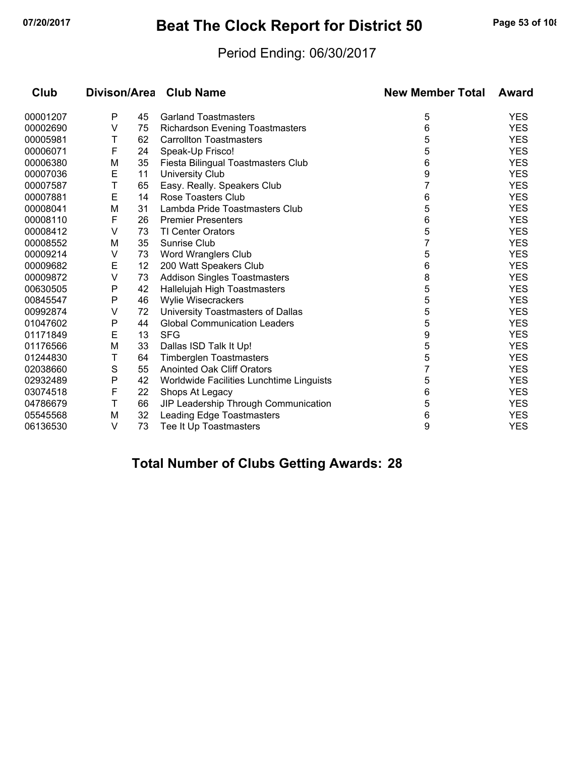## **07/20/2017 Beat The Clock Report for District 50 Page 53 of 108**

### Period Ending: 06/30/2017

| Club     |   |    | Divison/Area Club Name                   | <b>New Member Total</b> | Award      |
|----------|---|----|------------------------------------------|-------------------------|------------|
| 00001207 | P | 45 | <b>Garland Toastmasters</b>              | 5                       | <b>YES</b> |
| 00002690 | V | 75 | <b>Richardson Evening Toastmasters</b>   | 6                       | <b>YES</b> |
| 00005981 | Τ | 62 | <b>Carrollton Toastmasters</b>           | 5                       | <b>YES</b> |
| 00006071 | F | 24 | Speak-Up Frisco!                         | 5                       | <b>YES</b> |
| 00006380 | M | 35 | Fiesta Bilingual Toastmasters Club       | 6                       | <b>YES</b> |
| 00007036 | E | 11 | <b>University Club</b>                   | 9                       | <b>YES</b> |
| 00007587 | T | 65 | Easy. Really. Speakers Club              | 7                       | <b>YES</b> |
| 00007881 | E | 14 | Rose Toasters Club                       | 6                       | <b>YES</b> |
| 00008041 | M | 31 | Lambda Pride Toastmasters Club           | 5                       | <b>YES</b> |
| 00008110 | F | 26 | <b>Premier Presenters</b>                | 6                       | <b>YES</b> |
| 00008412 | V | 73 | TI Center Orators                        | 5                       | <b>YES</b> |
| 00008552 | M | 35 | <b>Sunrise Club</b>                      | 7                       | <b>YES</b> |
| 00009214 | V | 73 | Word Wranglers Club                      | 5                       | <b>YES</b> |
| 00009682 | E | 12 | 200 Watt Speakers Club                   | 6                       | <b>YES</b> |
| 00009872 | V | 73 | <b>Addison Singles Toastmasters</b>      | 8                       | <b>YES</b> |
| 00630505 | P | 42 | Hallelujah High Toastmasters             | 5                       | <b>YES</b> |
| 00845547 | P | 46 | Wylie Wisecrackers                       | 5                       | <b>YES</b> |
| 00992874 | V | 72 | University Toastmasters of Dallas        | 5                       | <b>YES</b> |
| 01047602 | Ρ | 44 | <b>Global Communication Leaders</b>      | 5                       | <b>YES</b> |
| 01171849 | E | 13 | <b>SFG</b>                               | 9                       | <b>YES</b> |
| 01176566 | M | 33 | Dallas ISD Talk It Up!                   | 5                       | <b>YES</b> |
| 01244830 | Τ | 64 | <b>Timberglen Toastmasters</b>           | 5                       | <b>YES</b> |
| 02038660 | S | 55 | <b>Anointed Oak Cliff Orators</b>        |                         | <b>YES</b> |
| 02932489 | Ρ | 42 | Worldwide Facilities Lunchtime Linguists | 5                       | <b>YES</b> |
| 03074518 | F | 22 | Shops At Legacy                          | 6                       | <b>YES</b> |
| 04786679 | T | 66 | JIP Leadership Through Communication     | 5                       | <b>YES</b> |
| 05545568 | M | 32 | <b>Leading Edge Toastmasters</b>         | 6                       | <b>YES</b> |
| 06136530 | V | 73 | Tee It Up Toastmasters                   | 9                       | <b>YES</b> |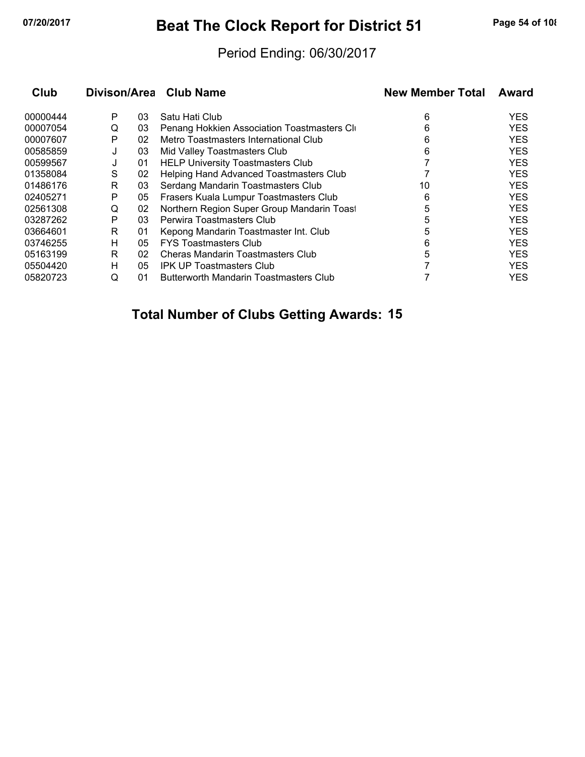## **07/20/2017 Beat The Clock Report for District 51 Page 54 of 108**

### Period Ending: 06/30/2017

| Club     |   |    | Divison/Area Club Name                      | <b>New Member Total</b> | Award      |
|----------|---|----|---------------------------------------------|-------------------------|------------|
| 00000444 | Р | 03 | Satu Hati Club                              | 6                       | <b>YES</b> |
| 00007054 | Q | 03 | Penang Hokkien Association Toastmasters Cli | 6                       | <b>YES</b> |
| 00007607 | P | 02 | Metro Toastmasters International Club       | 6                       | <b>YES</b> |
| 00585859 | J | 03 | Mid Valley Toastmasters Club                | 6                       | <b>YES</b> |
| 00599567 | J | 01 | <b>HELP University Toastmasters Club</b>    |                         | <b>YES</b> |
| 01358084 | S | 02 | Helping Hand Advanced Toastmasters Club     |                         | <b>YES</b> |
| 01486176 | R | 03 | Serdang Mandarin Toastmasters Club          | 10                      | <b>YES</b> |
| 02405271 | P | 05 | Frasers Kuala Lumpur Toastmasters Club      | 6                       | <b>YES</b> |
| 02561308 | Q | 02 | Northern Region Super Group Mandarin Toast  | 5                       | <b>YES</b> |
| 03287262 | Р | 03 | Perwira Toastmasters Club                   | 5                       | <b>YES</b> |
| 03664601 | R | 01 | Kepong Mandarin Toastmaster Int. Club       | 5                       | <b>YES</b> |
| 03746255 | н | 05 | <b>FYS Toastmasters Club</b>                | 6                       | <b>YES</b> |
| 05163199 | R | 02 | Cheras Mandarin Toastmasters Club           | 5                       | <b>YES</b> |
| 05504420 | н | 05 | <b>IPK UP Toastmasters Club</b>             |                         | <b>YES</b> |
| 05820723 | Q | 01 | Butterworth Mandarin Toastmasters Club      |                         | <b>YES</b> |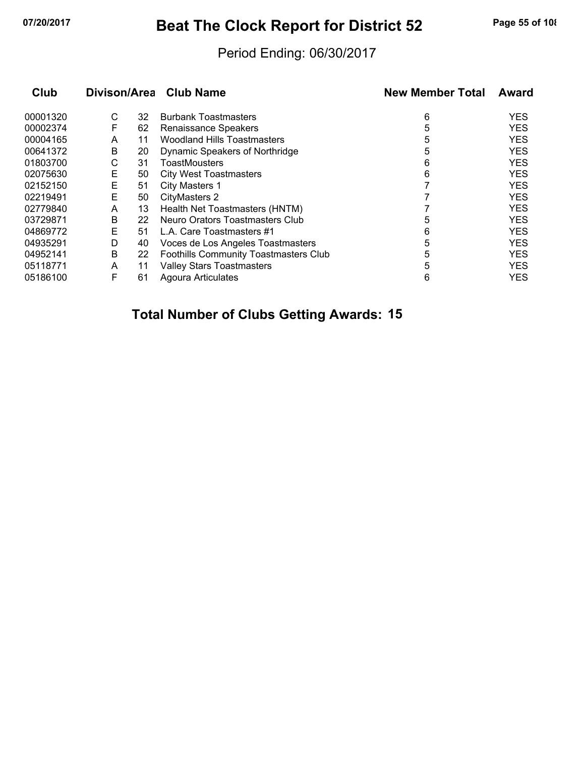## **07/20/2017 Beat The Clock Report for District 52 Page 55 of 108**

### Period Ending: 06/30/2017

| Club     | Divison/Area |    | <b>Club Name</b>                             | <b>New Member Total</b> | Award      |
|----------|--------------|----|----------------------------------------------|-------------------------|------------|
| 00001320 | С            | 32 | <b>Burbank Toastmasters</b>                  | 6                       | <b>YES</b> |
| 00002374 | F            | 62 | Renaissance Speakers                         | 5                       | <b>YES</b> |
| 00004165 | A            | 11 | <b>Woodland Hills Toastmasters</b>           | 5                       | <b>YES</b> |
| 00641372 | B            | 20 | Dynamic Speakers of Northridge               | 5                       | <b>YES</b> |
| 01803700 | С            | 31 | <b>ToastMousters</b>                         | 6                       | <b>YES</b> |
| 02075630 | Е            | 50 | <b>City West Toastmasters</b>                | 6                       | <b>YES</b> |
| 02152150 | Е            | 51 | City Masters 1                               |                         | <b>YES</b> |
| 02219491 | Е            | 50 | <b>CityMasters 2</b>                         |                         | <b>YES</b> |
| 02779840 | A            | 13 | Health Net Toastmasters (HNTM)               |                         | <b>YES</b> |
| 03729871 | B            | 22 | Neuro Orators Toastmasters Club              | 5                       | <b>YES</b> |
| 04869772 | Е            | 51 | L.A. Care Toastmasters #1                    | 6                       | <b>YES</b> |
| 04935291 | D            | 40 | Voces de Los Angeles Toastmasters            | 5                       | <b>YES</b> |
| 04952141 | В            | 22 | <b>Foothills Community Toastmasters Club</b> | 5                       | <b>YES</b> |
| 05118771 | A            | 11 | <b>Valley Stars Toastmasters</b>             | 5                       | <b>YES</b> |
| 05186100 | F            | 61 | Agoura Articulates                           | 6                       | <b>YES</b> |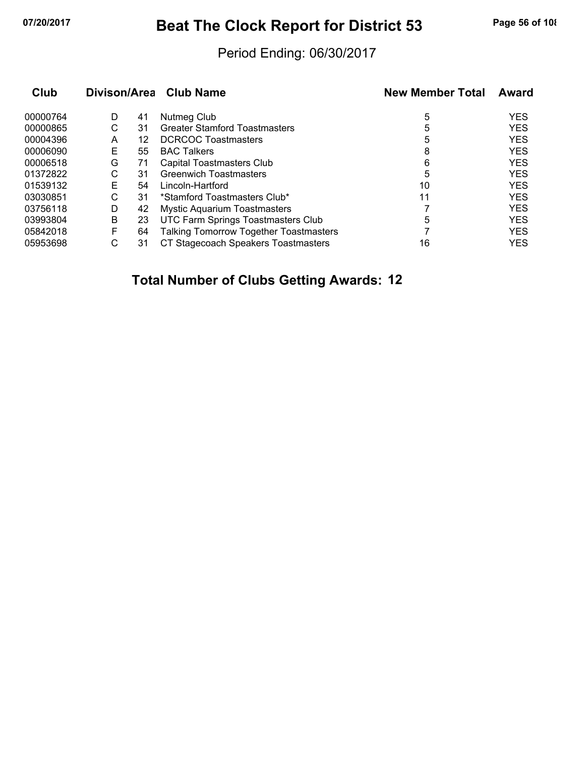## **07/20/2017 Beat The Clock Report for District 53 Page 56 of 108**

### Period Ending: 06/30/2017

| Club     | Divison/Area |    | <b>Club Name</b>                              | <b>New Member Total</b> | Award      |
|----------|--------------|----|-----------------------------------------------|-------------------------|------------|
| 00000764 | D            | 41 | Nutmeg Club                                   | 5                       | <b>YES</b> |
| 00000865 | С            | 31 | <b>Greater Stamford Toastmasters</b>          | 5                       | <b>YES</b> |
| 00004396 | A            | 12 | <b>DCRCOC Toastmasters</b>                    | 5                       | <b>YES</b> |
| 00006090 | Е            | 55 | <b>BAC Talkers</b>                            | 8                       | <b>YES</b> |
| 00006518 | G            | 71 | Capital Toastmasters Club                     | 6                       | <b>YES</b> |
| 01372822 | С            | 31 | <b>Greenwich Toastmasters</b>                 | 5                       | <b>YES</b> |
| 01539132 | Е            | 54 | Lincoln-Hartford                              | 10                      | <b>YES</b> |
| 03030851 | C            | 31 | *Stamford Toastmasters Club*                  | 11                      | <b>YES</b> |
| 03756118 | D            | 42 | <b>Mystic Aquarium Toastmasters</b>           |                         | <b>YES</b> |
| 03993804 | B            | 23 | UTC Farm Springs Toastmasters Club            | 5                       | <b>YES</b> |
| 05842018 | F            | 64 | <b>Talking Tomorrow Together Toastmasters</b> |                         | <b>YES</b> |
| 05953698 | С            | 31 | CT Stagecoach Speakers Toastmasters           | 16                      | <b>YES</b> |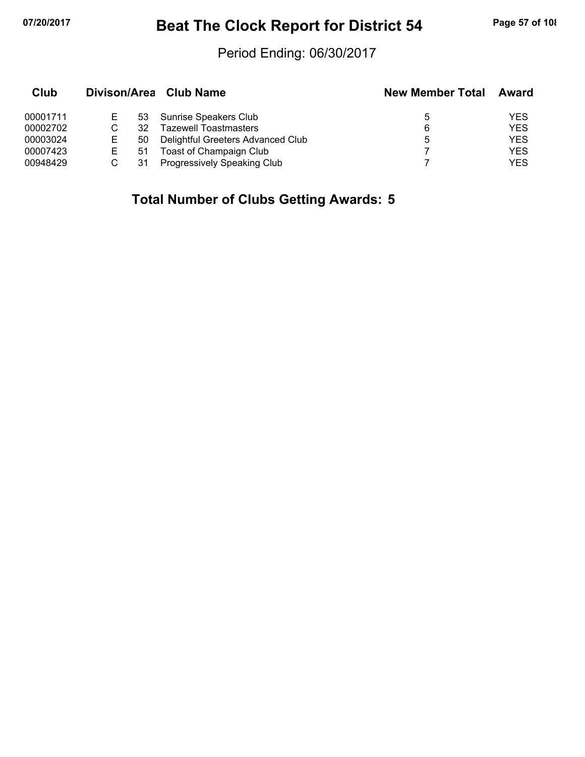## **07/20/2017 Beat The Clock Report for District 54 Page 57 of 108**

### Period Ending: 06/30/2017

| Club     |    | Divison/Area Club Name             | <b>New Member Total</b> | Award      |
|----------|----|------------------------------------|-------------------------|------------|
| 00001711 | 53 | Sunrise Speakers Club              | 5                       | YES        |
| 00002702 | 32 | <b>Tazewell Toastmasters</b>       | 6                       | <b>YES</b> |
| 00003024 | 50 | Delightful Greeters Advanced Club  | 5                       | <b>YES</b> |
| 00007423 | 51 | Toast of Champaign Club            |                         | <b>YES</b> |
| 00948429 |    | <b>Progressively Speaking Club</b> |                         | YES        |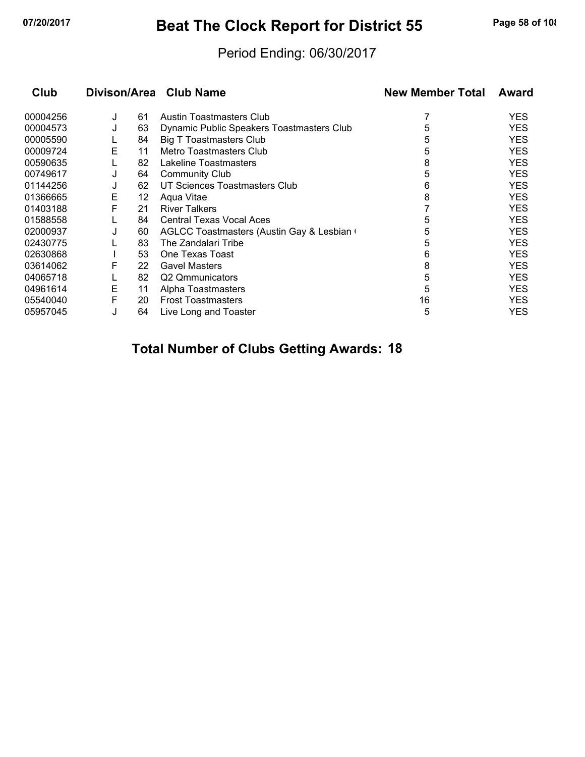## **07/20/2017 Beat The Clock Report for District 55 Page 58 of 108**

### Period Ending: 06/30/2017

| Club     |   |    | Divison/Area Club Name                    | <b>New Member Total</b> | Award      |  |
|----------|---|----|-------------------------------------------|-------------------------|------------|--|
| 00004256 | J | 61 | <b>Austin Toastmasters Club</b>           |                         | <b>YES</b> |  |
| 00004573 | J | 63 | Dynamic Public Speakers Toastmasters Club | 5                       | <b>YES</b> |  |
| 00005590 |   | 84 | <b>Big T Toastmasters Club</b>            | 5                       | <b>YES</b> |  |
| 00009724 | E | 11 | Metro Toastmasters Club                   | 5                       | <b>YES</b> |  |
| 00590635 |   | 82 | Lakeline Toastmasters                     | 8                       | <b>YES</b> |  |
| 00749617 | J | 64 | <b>Community Club</b>                     | 5                       | <b>YES</b> |  |
| 01144256 | J | 62 | UT Sciences Toastmasters Club             | 6                       | <b>YES</b> |  |
| 01366665 | Е | 12 | Aqua Vitae                                | 8                       | <b>YES</b> |  |
| 01403188 | F | 21 | <b>River Talkers</b>                      |                         | <b>YES</b> |  |
| 01588558 |   | 84 | <b>Central Texas Vocal Aces</b>           | 5                       | <b>YES</b> |  |
| 02000937 | J | 60 | AGLCC Toastmasters (Austin Gay & Lesbian  | 5                       | <b>YES</b> |  |
| 02430775 |   | 83 | The Zandalari Tribe                       | 5                       | <b>YES</b> |  |
| 02630868 |   | 53 | One Texas Toast                           | 6                       | <b>YES</b> |  |
| 03614062 | F | 22 | <b>Gavel Masters</b>                      | 8                       | <b>YES</b> |  |
| 04065718 |   | 82 | Q2 Qmmunicators                           | 5                       | <b>YES</b> |  |
| 04961614 | Е | 11 | Alpha Toastmasters                        | 5                       | <b>YES</b> |  |
| 05540040 | F | 20 | <b>Frost Toastmasters</b>                 | 16                      | <b>YES</b> |  |
| 05957045 |   | 64 | Live Long and Toaster                     | 5                       | YES        |  |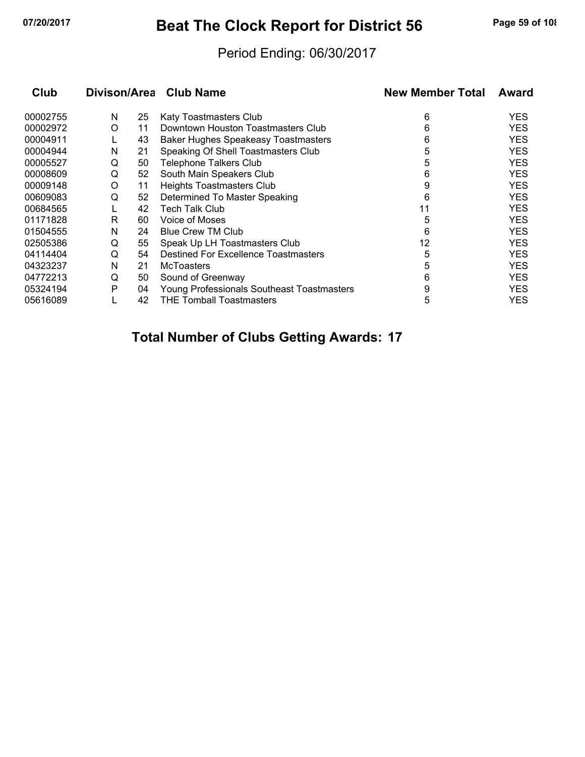## **07/20/2017 Beat The Clock Report for District 56 Page 59 of 108**

### Period Ending: 06/30/2017

| Club     | Divison/Area |    | <b>Club Name</b>                           | <b>New Member Total</b> | Award      |
|----------|--------------|----|--------------------------------------------|-------------------------|------------|
| 00002755 | N            | 25 | Katy Toastmasters Club                     | 6                       | <b>YES</b> |
| 00002972 | O            | 11 | Downtown Houston Toastmasters Club         | 6                       | <b>YES</b> |
| 00004911 |              | 43 | <b>Baker Hughes Speakeasy Toastmasters</b> | 6                       | <b>YES</b> |
| 00004944 | N            | 21 | Speaking Of Shell Toastmasters Club        | 5                       | <b>YES</b> |
| 00005527 | Q            | 50 | <b>Telephone Talkers Club</b>              | 5                       | <b>YES</b> |
| 00008609 | Q            | 52 | South Main Speakers Club                   | 6                       | <b>YES</b> |
| 00009148 | O            | 11 | Heights Toastmasters Club                  | 9                       | <b>YES</b> |
| 00609083 | Q            | 52 | Determined To Master Speaking              | 6                       | <b>YES</b> |
| 00684565 |              | 42 | <b>Tech Talk Club</b>                      | 11                      | <b>YES</b> |
| 01171828 | R            | 60 | <b>Voice of Moses</b>                      | 5                       | <b>YES</b> |
| 01504555 | N            | 24 | <b>Blue Crew TM Club</b>                   | 6                       | <b>YES</b> |
| 02505386 | Q            | 55 | Speak Up LH Toastmasters Club              | 12                      | <b>YES</b> |
| 04114404 | Q            | 54 | Destined For Excellence Toastmasters       | 5                       | <b>YES</b> |
| 04323237 | N            | 21 | <b>McToasters</b>                          | 5                       | <b>YES</b> |
| 04772213 | Q            | 50 | Sound of Greenway                          | 6                       | <b>YES</b> |
| 05324194 | Р            | 04 | Young Professionals Southeast Toastmasters | 9                       | <b>YES</b> |
| 05616089 |              | 42 | <b>THE Tomball Toastmasters</b>            | 5                       | YES        |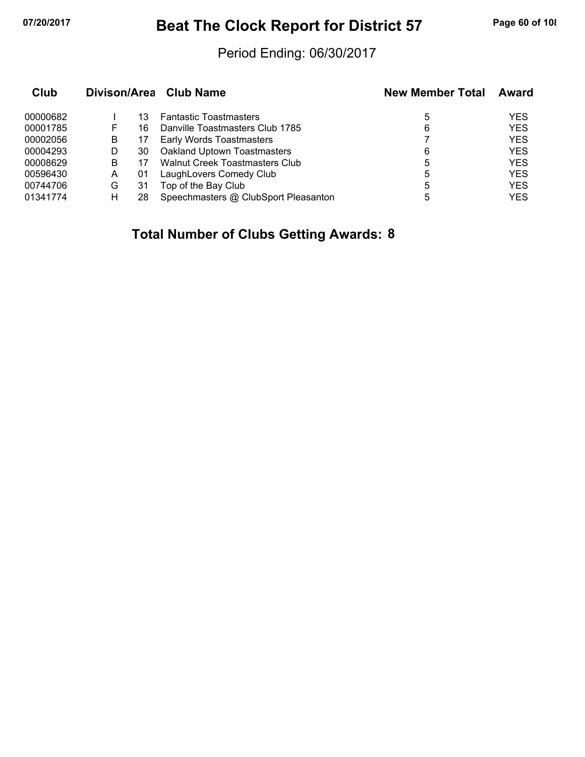## **07/20/2017 Beat The Clock Report for District 57 Page 60 of 108**

### Period Ending: 06/30/2017

| Club     |   |    | Divison/Area Club Name                | <b>New Member Total</b> | Award      |
|----------|---|----|---------------------------------------|-------------------------|------------|
| 00000682 |   | 13 | <b>Fantastic Toastmasters</b>         | 5                       | <b>YES</b> |
| 00001785 | F | 16 | Danville Toastmasters Club 1785       | 6                       | <b>YES</b> |
| 00002056 | B | 17 | <b>Early Words Toastmasters</b>       |                         | <b>YES</b> |
| 00004293 | D | 30 | Oakland Uptown Toastmasters           | 6                       | <b>YES</b> |
| 00008629 | B |    | <b>Walnut Creek Toastmasters Club</b> | 5                       | <b>YES</b> |
| 00596430 | A | 01 | LaughLovers Comedy Club               | 5                       | <b>YES</b> |
| 00744706 | G | 31 | Top of the Bay Club                   | 5                       | <b>YES</b> |
| 01341774 | н | 28 | Speechmasters @ ClubSport Pleasanton  | 5                       | <b>YES</b> |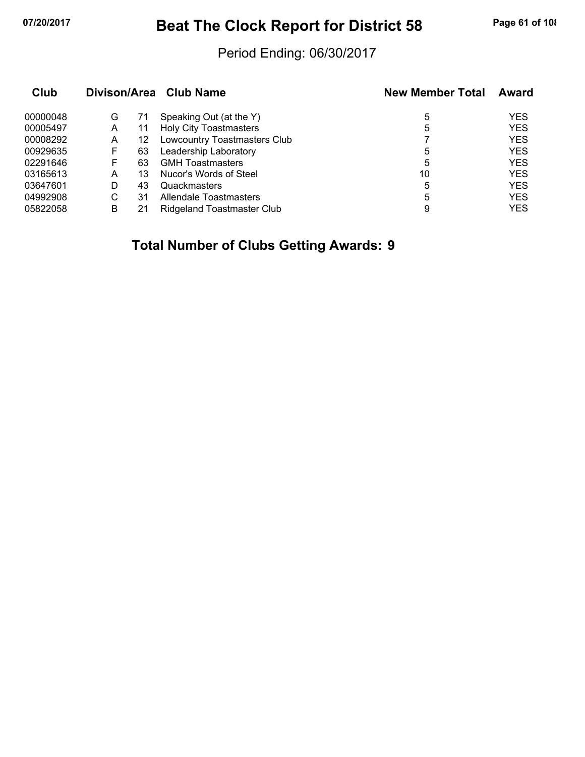## **07/20/2017 Beat The Clock Report for District 58 Page 61 of 108**

### Period Ending: 06/30/2017

| Club     |   |    | Divison/Area Club Name        | <b>New Member Total</b> | Award      |
|----------|---|----|-------------------------------|-------------------------|------------|
| 00000048 | G | 71 | Speaking Out (at the Y)       | 5                       | <b>YES</b> |
| 00005497 | A | 11 | <b>Holy City Toastmasters</b> | 5                       | <b>YES</b> |
| 00008292 | Α | 12 | Lowcountry Toastmasters Club  |                         | <b>YES</b> |
| 00929635 | F | 63 | Leadership Laboratory         | 5                       | <b>YES</b> |
| 02291646 | F | 63 | <b>GMH</b> Toastmasters       | 5                       | <b>YES</b> |
| 03165613 | А | 13 | Nucor's Words of Steel        | 10                      | <b>YES</b> |
| 03647601 | D | 43 | Quackmasters                  | 5                       | <b>YES</b> |
| 04992908 | С | 31 | Allendale Toastmasters        | 5                       | <b>YES</b> |
| 05822058 | В |    | Ridgeland Toastmaster Club    | 9                       | <b>YES</b> |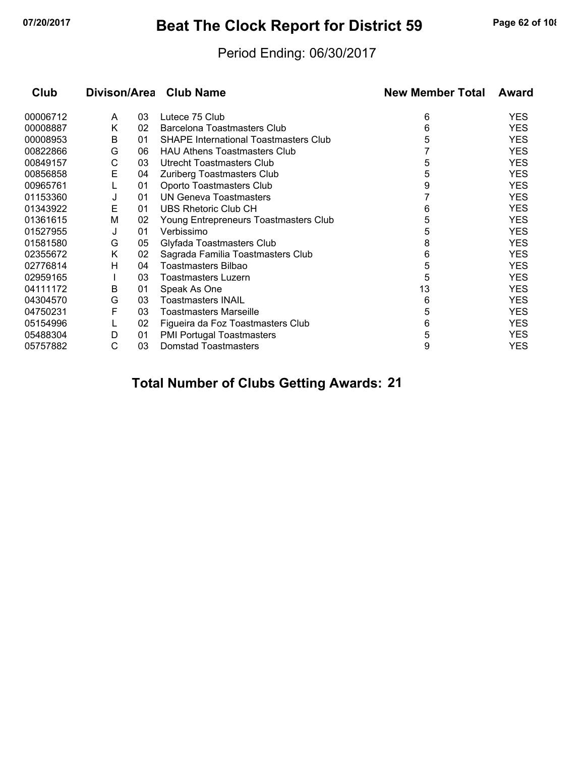## **07/20/2017 Beat The Clock Report for District 59 Page 62 of 108**

### Period Ending: 06/30/2017

| Club     |   |    | Divison/Area Club Name                       | <b>New Member Total</b> | Award      |
|----------|---|----|----------------------------------------------|-------------------------|------------|
| 00006712 | A | 03 | Lutece 75 Club                               | 6                       | <b>YES</b> |
| 00008887 | Κ | 02 | <b>Barcelona Toastmasters Club</b>           | 6                       | <b>YES</b> |
| 00008953 | B | 01 | <b>SHAPE International Toastmasters Club</b> | 5                       | <b>YES</b> |
| 00822866 | G | 06 | <b>HAU Athens Toastmasters Club</b>          |                         | <b>YES</b> |
| 00849157 | С | 03 | Utrecht Toastmasters Club                    | 5                       | <b>YES</b> |
| 00856858 | Е | 04 | Zuriberg Toastmasters Club                   | 5                       | <b>YES</b> |
| 00965761 |   | 01 | Oporto Toastmasters Club                     | 9                       | <b>YES</b> |
| 01153360 | J | 01 | <b>UN Geneva Toastmasters</b>                |                         | <b>YES</b> |
| 01343922 | E | 01 | UBS Rhetoric Club CH                         | 6                       | <b>YES</b> |
| 01361615 | М | 02 | Young Entrepreneurs Toastmasters Club        | 5                       | <b>YES</b> |
| 01527955 | J | 01 | Verbissimo                                   | 5                       | <b>YES</b> |
| 01581580 | G | 05 | Glyfada Toastmasters Club                    | 8                       | <b>YES</b> |
| 02355672 | Κ | 02 | Sagrada Familia Toastmasters Club            | 6                       | <b>YES</b> |
| 02776814 | н | 04 | Toastmasters Bilbao                          | 5                       | <b>YES</b> |
| 02959165 |   | 03 | Toastmasters Luzern                          | 5                       | <b>YES</b> |
| 04111172 | В | 01 | Speak As One                                 | 13                      | <b>YES</b> |
| 04304570 | G | 03 | <b>Toastmasters INAIL</b>                    | 6                       | <b>YES</b> |
| 04750231 | F | 03 | <b>Toastmasters Marseille</b>                | 5                       | <b>YES</b> |
| 05154996 |   | 02 | Figueira da Foz Toastmasters Club            | 6                       | <b>YES</b> |
| 05488304 | D | 01 | <b>PMI Portugal Toastmasters</b>             | 5                       | <b>YES</b> |
| 05757882 | С | 03 | Domstad Toastmasters                         | 9                       | <b>YES</b> |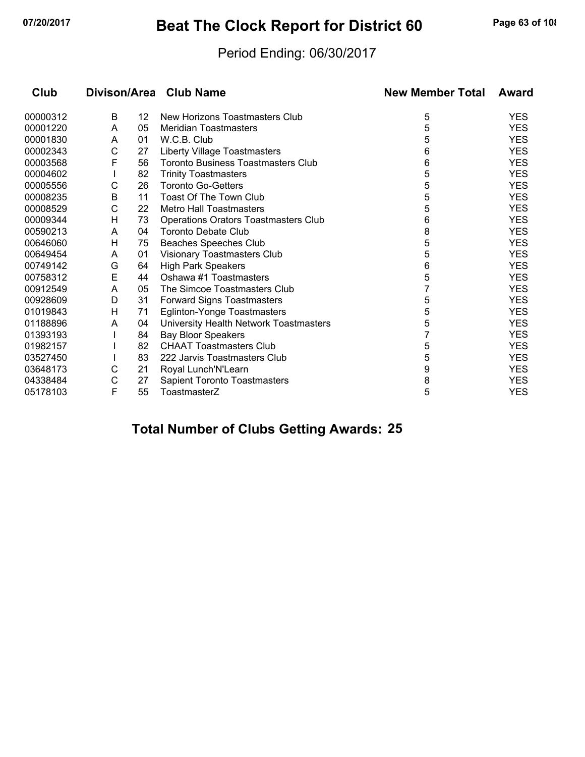## **07/20/2017 Beat The Clock Report for District 60 Page 63 of 108**

### Period Ending: 06/30/2017

| Club     |   |    | Divison/Area Club Name                    | <b>New Member Total</b> | Award      |
|----------|---|----|-------------------------------------------|-------------------------|------------|
| 00000312 | B | 12 | New Horizons Toastmasters Club            | 5                       | <b>YES</b> |
| 00001220 | A | 05 | <b>Meridian Toastmasters</b>              | 5                       | <b>YES</b> |
| 00001830 | A | 01 | W.C.B. Club                               | 5                       | <b>YES</b> |
| 00002343 | C | 27 | <b>Liberty Village Toastmasters</b>       | 6                       | <b>YES</b> |
| 00003568 | F | 56 | <b>Toronto Business Toastmasters Club</b> | 6                       | <b>YES</b> |
| 00004602 |   | 82 | <b>Trinity Toastmasters</b>               | 5                       | <b>YES</b> |
| 00005556 | С | 26 | <b>Toronto Go-Getters</b>                 | 5                       | <b>YES</b> |
| 00008235 | B | 11 | <b>Toast Of The Town Club</b>             | 5                       | <b>YES</b> |
| 00008529 | C | 22 | <b>Metro Hall Toastmasters</b>            | 5                       | <b>YES</b> |
| 00009344 | н | 73 | Operations Orators Toastmasters Club      | 6                       | <b>YES</b> |
| 00590213 | A | 04 | <b>Toronto Debate Club</b>                | 8                       | <b>YES</b> |
| 00646060 | Η | 75 | Beaches Speeches Club                     | 5                       | <b>YES</b> |
| 00649454 | A | 01 | Visionary Toastmasters Club               | 5                       | <b>YES</b> |
| 00749142 | G | 64 | <b>High Park Speakers</b>                 | 6                       | <b>YES</b> |
| 00758312 | E | 44 | Oshawa #1 Toastmasters                    | 5                       | <b>YES</b> |
| 00912549 | Α | 05 | The Simcoe Toastmasters Club              | 7                       | <b>YES</b> |
| 00928609 | D | 31 | <b>Forward Signs Toastmasters</b>         | 5                       | <b>YES</b> |
| 01019843 | Н | 71 | <b>Eglinton-Yonge Toastmasters</b>        | 5                       | <b>YES</b> |
| 01188896 | A | 04 | University Health Network Toastmasters    | 5                       | <b>YES</b> |
| 01393193 |   | 84 | Bay Bloor Speakers                        | 7                       | <b>YES</b> |
| 01982157 |   | 82 | <b>CHAAT Toastmasters Club</b>            | 5                       | <b>YES</b> |
| 03527450 |   | 83 | 222 Jarvis Toastmasters Club              | 5                       | <b>YES</b> |
| 03648173 | С | 21 | Royal Lunch'N'Learn                       | 9                       | <b>YES</b> |
| 04338484 | С | 27 | Sapient Toronto Toastmasters              | 8                       | <b>YES</b> |
| 05178103 | F | 55 | ToastmasterZ                              | 5                       | <b>YES</b> |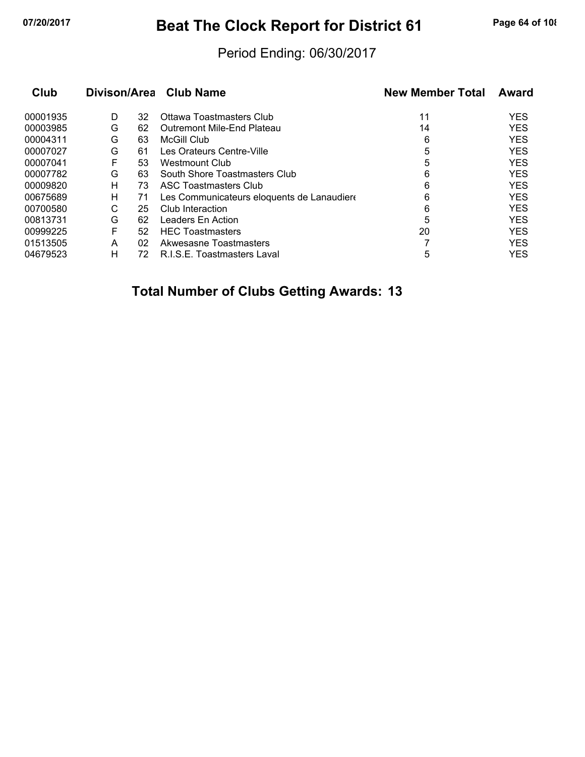## **07/20/2017 Beat The Clock Report for District 61 Page 64 of 108**

### Period Ending: 06/30/2017

| Club     |   |    | Divison/Area Club Name                    | <b>New Member Total</b> | Award      |
|----------|---|----|-------------------------------------------|-------------------------|------------|
| 00001935 | D | 32 | Ottawa Toastmasters Club                  | 11                      | <b>YES</b> |
| 00003985 | G | 62 | Outremont Mile-End Plateau                | 14                      | <b>YES</b> |
| 00004311 | G | 63 | McGill Club                               | 6                       | <b>YES</b> |
| 00007027 | G | 61 | Les Orateurs Centre-Ville                 | 5                       | <b>YES</b> |
| 00007041 | F | 53 | Westmount Club                            | 5                       | <b>YES</b> |
| 00007782 | G | 63 | South Shore Toastmasters Club             | 6                       | <b>YES</b> |
| 00009820 | н | 73 | <b>ASC Toastmasters Club</b>              | 6                       | <b>YES</b> |
| 00675689 | н | 71 | Les Communicateurs eloquents de Lanaudier | 6                       | <b>YES</b> |
| 00700580 | С | 25 | Club Interaction                          | 6                       | <b>YES</b> |
| 00813731 | G | 62 | Leaders En Action                         | 5                       | <b>YES</b> |
| 00999225 | F | 52 | <b>HEC Toastmasters</b>                   | 20                      | <b>YES</b> |
| 01513505 | А | 02 | Akwesasne Toastmasters                    |                         | <b>YES</b> |
| 04679523 | н | 72 | R.I.S.E. Toastmasters Laval               | 5                       | <b>YES</b> |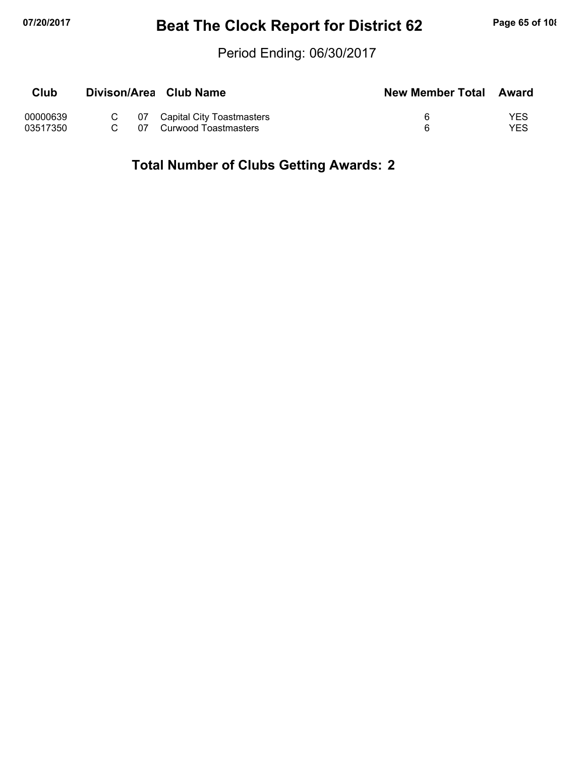## **07/20/2017 Beat The Clock Report for District 62 Page 65 of 108**

### Period Ending: 06/30/2017

| Club     |      | Divison/Area Club Name         | New Member Total Award |     |
|----------|------|--------------------------------|------------------------|-----|
| 00000639 |      | C 07 Capital City Toastmasters |                        | YES |
| 03517350 | 07 I | Curwood Toastmasters           |                        | YES |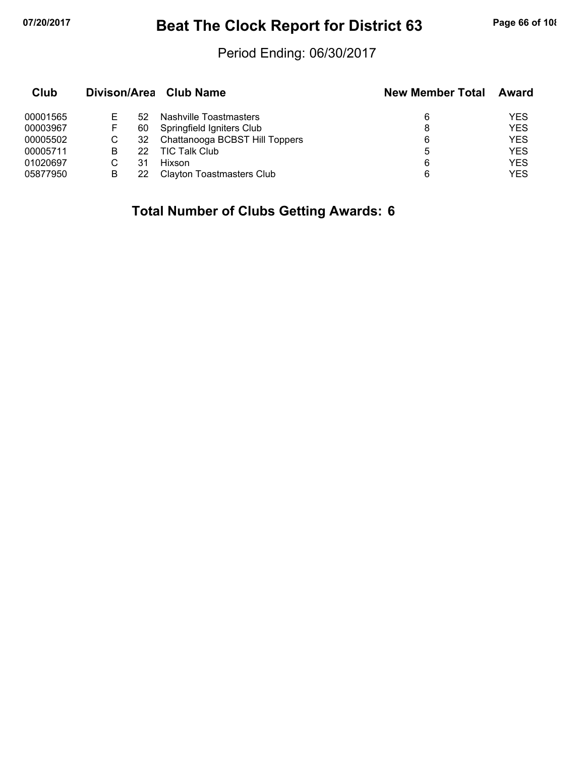## **07/20/2017 Beat The Clock Report for District 63 Page 66 of 108**

### Period Ending: 06/30/2017

| Club     |   |    | Divison/Area Club Name           | <b>New Member Total</b> | <b>Award</b> |
|----------|---|----|----------------------------------|-------------------------|--------------|
| 00001565 |   | 52 | Nashville Toastmasters           | 6                       | YES          |
| 00003967 | F | 60 | Springfield Igniters Club        | 8                       | <b>YES</b>   |
| 00005502 | С | 32 | Chattanooga BCBST Hill Toppers   | 6                       | <b>YES</b>   |
| 00005711 | в | 22 | <b>TIC Talk Club</b>             | 5                       | <b>YES</b>   |
| 01020697 |   | 31 | Hixson                           | 6                       | <b>YES</b>   |
| 05877950 | в | 22 | <b>Clayton Toastmasters Club</b> | 6                       | YES          |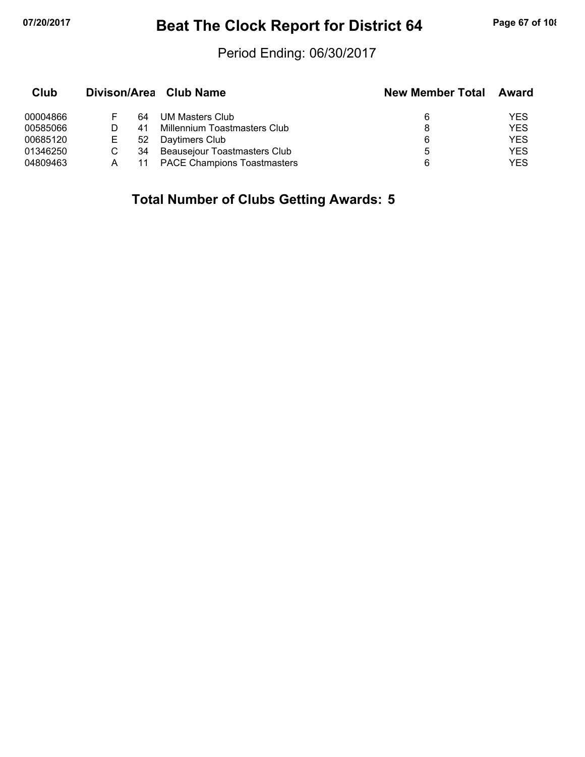## **07/20/2017 Beat The Clock Report for District 64 Page 67 of 108**

### Period Ending: 06/30/2017

| Club     |   |    | Divison/Area Club Name             | <b>New Member Total</b> | Award      |
|----------|---|----|------------------------------------|-------------------------|------------|
| 00004866 |   | 64 | UM Masters Club                    | 6                       | YES        |
| 00585066 |   | 41 | Millennium Toastmasters Club       |                         | <b>YES</b> |
| 00685120 | E | 52 | Daytimers Club                     | 6                       | YES        |
| 01346250 |   | 34 | Beausejour Toastmasters Club       | 5                       | <b>YES</b> |
| 04809463 |   |    | <b>PACE Champions Toastmasters</b> | 6                       | YES        |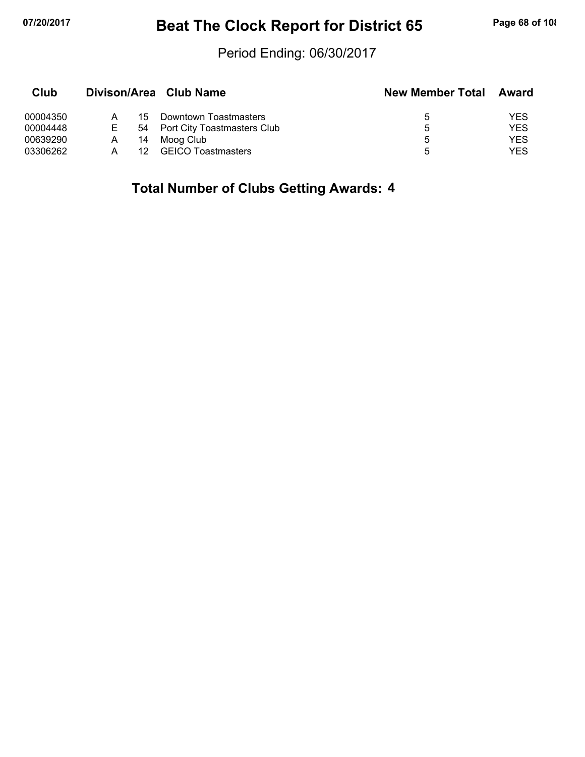## **07/20/2017 Beat The Clock Report for District 65 Page 68 of 108**

### Period Ending: 06/30/2017

| Club     |   |     | Divison/Area Club Name         | <b>New Member Total</b> | Award      |
|----------|---|-----|--------------------------------|-------------------------|------------|
| 00004350 |   | 15. | Downtown Toastmasters          | 5.                      | YES        |
| 00004448 | Е |     | 54 Port City Toastmasters Club | ხ                       | <b>YES</b> |
| 00639290 | A | 14  | Moog Club                      | ხ                       | YES        |
| 03306262 |   | 12  | <b>GEICO Toastmasters</b>      | 5.                      | YES        |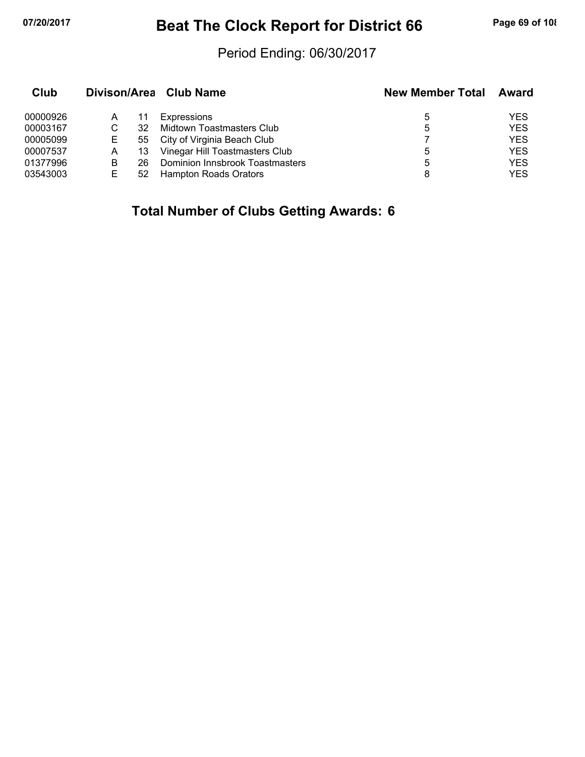## **07/20/2017 Beat The Clock Report for District 66 Page 69 of 108**

### Period Ending: 06/30/2017

| Club     |    |    | Divison/Area Club Name          | <b>New Member Total</b> | Award      |
|----------|----|----|---------------------------------|-------------------------|------------|
| 00000926 | А  | 11 | Expressions                     | 5                       | YES        |
| 00003167 |    | 32 | Midtown Toastmasters Club       | 5                       | <b>YES</b> |
| 00005099 | E. | 55 | City of Virginia Beach Club     |                         | <b>YES</b> |
| 00007537 | A  | 13 | Vinegar Hill Toastmasters Club  | 5                       | <b>YES</b> |
| 01377996 | В  | 26 | Dominion Innsbrook Toastmasters | 5                       | <b>YES</b> |
| 03543003 | F  | 52 | Hampton Roads Orators           |                         | YES        |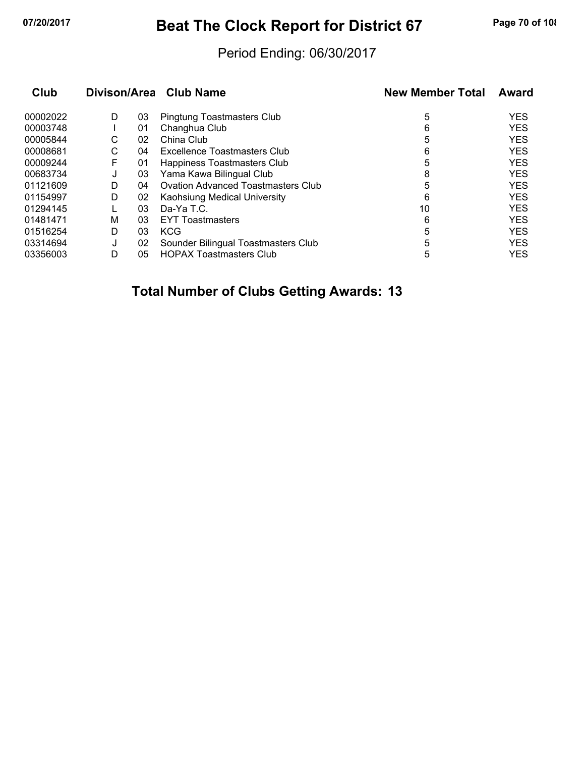## **07/20/2017 Beat The Clock Report for District 67 Page 70 of 108**

### Period Ending: 06/30/2017

| Club     |   |    | Divison/Area Club Name                    | <b>New Member Total</b> | Award      |
|----------|---|----|-------------------------------------------|-------------------------|------------|
| 00002022 | D | 03 | Pingtung Toastmasters Club                | 5                       | <b>YES</b> |
| 00003748 |   | 01 | Changhua Club                             | 6                       | <b>YES</b> |
| 00005844 | С | 02 | China Club                                | 5                       | <b>YES</b> |
| 00008681 | С | 04 | Excellence Toastmasters Club              | 6                       | <b>YES</b> |
| 00009244 | F | 01 | Happiness Toastmasters Club               | 5                       | <b>YES</b> |
| 00683734 | J | 03 | Yama Kawa Bilingual Club                  | 8                       | <b>YES</b> |
| 01121609 | D | 04 | <b>Ovation Advanced Toastmasters Club</b> | 5                       | <b>YES</b> |
| 01154997 | D | 02 | Kaohsiung Medical University              | 6                       | <b>YES</b> |
| 01294145 |   | 03 | Da-Ya T.C.                                | 10                      | <b>YES</b> |
| 01481471 | M | 03 | <b>EYT Toastmasters</b>                   | 6                       | <b>YES</b> |
| 01516254 | D | 03 | <b>KCG</b>                                | 5                       | <b>YES</b> |
| 03314694 | J | 02 | Sounder Bilingual Toastmasters Club       | 5                       | <b>YES</b> |
| 03356003 | D | 05 | <b>HOPAX Toastmasters Club</b>            | 5                       | <b>YES</b> |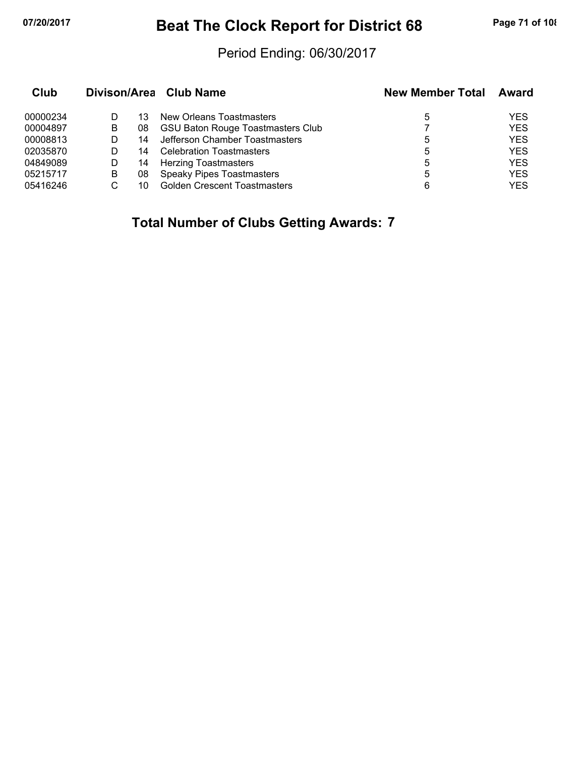## **07/20/2017 Beat The Clock Report for District 68 Page 71 of 108**

### Period Ending: 06/30/2017

| Club     |   |    | Divison/Area Club Name                   | <b>New Member Total</b> | <b>Award</b> |
|----------|---|----|------------------------------------------|-------------------------|--------------|
| 00000234 |   | 13 | New Orleans Toastmasters                 | 5                       | YES          |
| 00004897 | В | 08 | <b>GSU Baton Rouge Toastmasters Club</b> |                         | <b>YES</b>   |
| 00008813 |   | 14 | Jefferson Chamber Toastmasters           | 5                       | <b>YES</b>   |
| 02035870 |   | 14 | <b>Celebration Toastmasters</b>          | 5                       | <b>YES</b>   |
| 04849089 | D | 14 | <b>Herzing Toastmasters</b>              | 5                       | <b>YES</b>   |
| 05215717 | B | 08 | <b>Speaky Pipes Toastmasters</b>         | 5                       | <b>YES</b>   |
| 05416246 |   | 10 | <b>Golden Crescent Toastmasters</b>      | 6                       | <b>YES</b>   |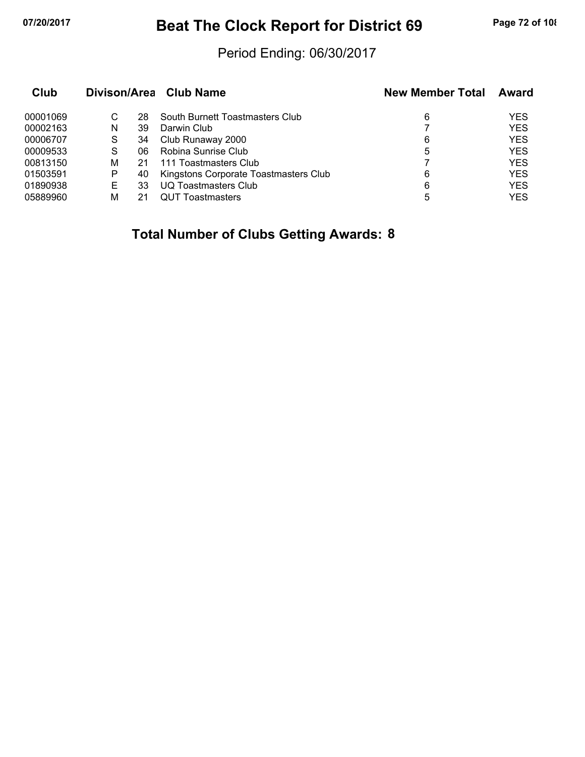## **07/20/2017 Beat The Clock Report for District 69 Page 72 of 108**

### Period Ending: 06/30/2017

| Club     |   |    | Divison/Area Club Name                | <b>New Member Total</b> | <b>Award</b> |
|----------|---|----|---------------------------------------|-------------------------|--------------|
| 00001069 | С | 28 | South Burnett Toastmasters Club       | 6                       | YES          |
| 00002163 | N | 39 | Darwin Club                           |                         | <b>YES</b>   |
| 00006707 | S | 34 | Club Runaway 2000                     | 6                       | <b>YES</b>   |
| 00009533 | S | 06 | Robina Sunrise Club                   | 5                       | <b>YES</b>   |
| 00813150 | М | 21 | 111 Toastmasters Club                 |                         | <b>YES</b>   |
| 01503591 | Р | 40 | Kingstons Corporate Toastmasters Club | 6                       | <b>YES</b>   |
| 01890938 | E | 33 | UQ Toastmasters Club                  | 6                       | <b>YES</b>   |
| 05889960 | м |    | <b>QUT Toastmasters</b>               | 5                       | <b>YES</b>   |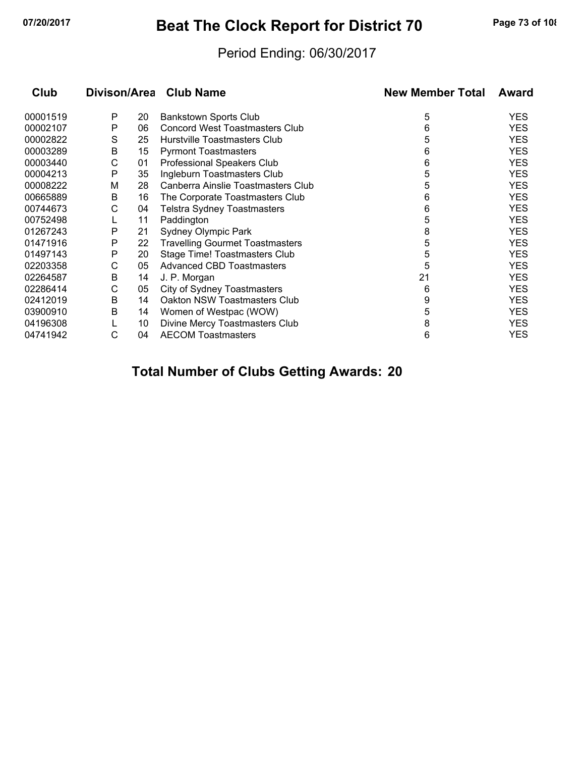# **07/20/2017 Beat The Clock Report for District 70 Page 73 of 108**

### Period Ending: 06/30/2017

| Club     |   |    | Divison/Area Club Name                 | <b>New Member Total</b> | Award      |
|----------|---|----|----------------------------------------|-------------------------|------------|
| 00001519 | P | 20 | <b>Bankstown Sports Club</b>           | 5                       | <b>YES</b> |
| 00002107 | P | 06 | <b>Concord West Toastmasters Club</b>  | 6                       | <b>YES</b> |
| 00002822 | S | 25 | Hurstville Toastmasters Club           | 5                       | <b>YES</b> |
| 00003289 | В | 15 | <b>Pyrmont Toastmasters</b>            | 6                       | <b>YES</b> |
| 00003440 | С | 01 | Professional Speakers Club             | 6                       | <b>YES</b> |
| 00004213 | P | 35 | Ingleburn Toastmasters Club            | 5                       | <b>YES</b> |
| 00008222 | M | 28 | Canberra Ainslie Toastmasters Club     | 5                       | <b>YES</b> |
| 00665889 | B | 16 | The Corporate Toastmasters Club        | 6                       | <b>YES</b> |
| 00744673 | С | 04 | <b>Telstra Sydney Toastmasters</b>     | 6                       | <b>YES</b> |
| 00752498 |   | 11 | Paddington                             | 5                       | <b>YES</b> |
| 01267243 | P | 21 | <b>Sydney Olympic Park</b>             | 8                       | <b>YES</b> |
| 01471916 | Р | 22 | <b>Travelling Gourmet Toastmasters</b> | 5                       | <b>YES</b> |
| 01497143 | P | 20 | Stage Time! Toastmasters Club          | 5                       | <b>YES</b> |
| 02203358 | С | 05 | <b>Advanced CBD Toastmasters</b>       | 5                       | <b>YES</b> |
| 02264587 | В | 14 | J. P. Morgan                           | 21                      | <b>YES</b> |
| 02286414 | С | 05 | City of Sydney Toastmasters            | 6                       | <b>YES</b> |
| 02412019 | В | 14 | Oakton NSW Toastmasters Club           | 9                       | <b>YES</b> |
| 03900910 | B | 14 | Women of Westpac (WOW)                 | 5                       | <b>YES</b> |
| 04196308 |   | 10 | Divine Mercy Toastmasters Club         | 8                       | <b>YES</b> |
| 04741942 | С | 04 | <b>AECOM Toastmasters</b>              | 6                       | <b>YES</b> |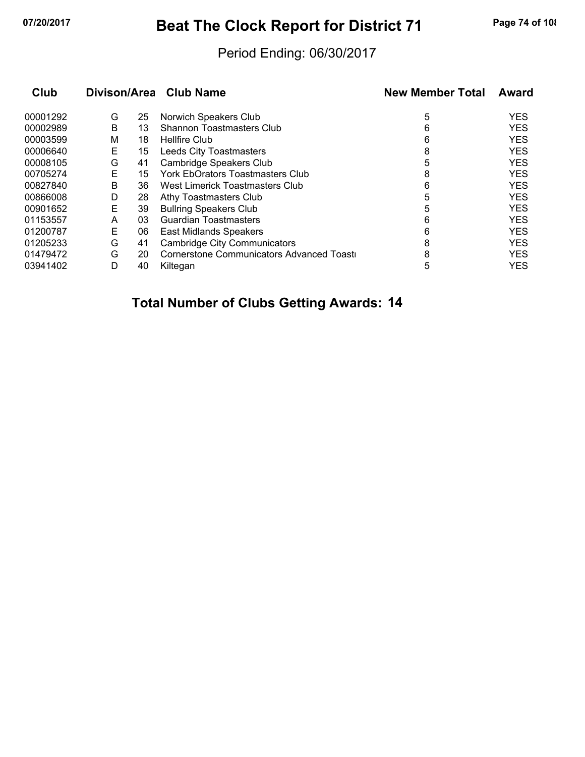# **07/20/2017 Beat The Clock Report for District 71 Page 74 of 108**

#### Period Ending: 06/30/2017

| Club     | Divison/Area |    | <b>Club Name</b>                         | <b>New Member Total</b> | Award      |
|----------|--------------|----|------------------------------------------|-------------------------|------------|
| 00001292 | G            | 25 | Norwich Speakers Club                    | 5                       | <b>YES</b> |
| 00002989 | B            | 13 | <b>Shannon Toastmasters Club</b>         | 6                       | <b>YES</b> |
| 00003599 | M            | 18 | <b>Hellfire Club</b>                     | 6                       | <b>YES</b> |
| 00006640 | Е            | 15 | Leeds City Toastmasters                  | 8                       | <b>YES</b> |
| 00008105 | G            | 41 | Cambridge Speakers Club                  | 5                       | <b>YES</b> |
| 00705274 | E            | 15 | <b>York EbOrators Toastmasters Club</b>  | 8                       | <b>YES</b> |
| 00827840 | B            | 36 | West Limerick Toastmasters Club          | 6                       | <b>YES</b> |
| 00866008 | D            | 28 | Athy Toastmasters Club                   | 5                       | <b>YES</b> |
| 00901652 | E            | 39 | <b>Bullring Speakers Club</b>            | 5                       | <b>YES</b> |
| 01153557 | A            | 03 | <b>Guardian Toastmasters</b>             | 6                       | <b>YES</b> |
| 01200787 | Е            | 06 | <b>East Midlands Speakers</b>            | 6                       | <b>YES</b> |
| 01205233 | G            | 41 | <b>Cambridge City Communicators</b>      | 8                       | <b>YES</b> |
| 01479472 | G            | 20 | Cornerstone Communicators Advanced Toast | 8                       | <b>YES</b> |
| 03941402 | D            | 40 | Kiltegan                                 | 5                       | <b>YES</b> |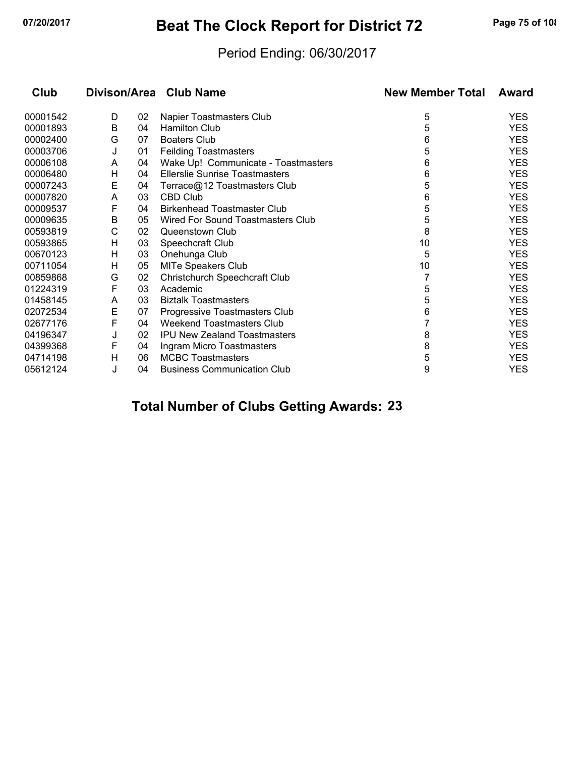# **07/20/2017 Beat The Clock Report for District 72 Page 75 of 108**

#### Period Ending: 06/30/2017

| Club     | Divison/Area |    | <b>Club Name</b>                      | <b>New Member Total</b> | Award      |
|----------|--------------|----|---------------------------------------|-------------------------|------------|
| 00001542 | D            | 02 | Napier Toastmasters Club              | 5                       | YES        |
| 00001893 | B            | 04 | <b>Hamilton Club</b>                  | 5                       | <b>YES</b> |
| 00002400 | G            | 07 | <b>Boaters Club</b>                   | 6                       | <b>YES</b> |
| 00003706 | J            | 01 | <b>Feilding Toastmasters</b>          | 5                       | <b>YES</b> |
| 00006108 | A            | 04 | Wake Up! Communicate - Toastmasters   | 6                       | <b>YES</b> |
| 00006480 | Н            | 04 | <b>Ellerslie Sunrise Toastmasters</b> | 6                       | <b>YES</b> |
| 00007243 | E            | 04 | Terrace@12 Toastmasters Club          | 5                       | <b>YES</b> |
| 00007820 | A            | 03 | <b>CBD Club</b>                       | 6                       | <b>YES</b> |
| 00009537 | F            | 04 | <b>Birkenhead Toastmaster Club</b>    | 5                       | <b>YES</b> |
| 00009635 | B            | 05 | Wired For Sound Toastmasters Club     | 5                       | <b>YES</b> |
| 00593819 | С            | 02 | Queenstown Club                       | 8                       | <b>YES</b> |
| 00593865 | н            | 03 | Speechcraft Club                      | 10                      | <b>YES</b> |
| 00670123 | н            | 03 | Onehunga Club                         | 5                       | <b>YES</b> |
| 00711054 | н            | 05 | <b>MITe Speakers Club</b>             | 10                      | <b>YES</b> |
| 00859868 | G            | 02 | <b>Christchurch Speechcraft Club</b>  |                         | <b>YES</b> |
| 01224319 | F            | 03 | Academic                              | 5                       | YES        |
| 01458145 | A            | 03 | <b>Biztalk Toastmasters</b>           | 5                       | <b>YES</b> |
| 02072534 | Е            | 07 | Progressive Toastmasters Club         | 6                       | YES        |
| 02677176 | F            | 04 | Weekend Toastmasters Club             |                         | <b>YES</b> |
| 04196347 | J            | 02 | <b>IPU New Zealand Toastmasters</b>   | 8                       | <b>YES</b> |
| 04399368 | F            | 04 | Ingram Micro Toastmasters             | 8                       | <b>YES</b> |
| 04714198 | H            | 06 | <b>MCBC Toastmasters</b>              | 5                       | YES        |
| 05612124 | J            | 04 | <b>Business Communication Club</b>    | 9                       | <b>YES</b> |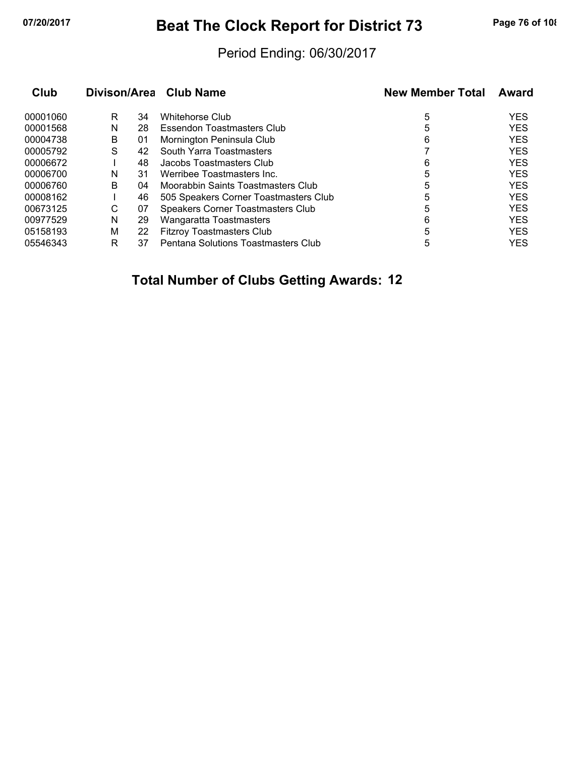# **07/20/2017 Beat The Clock Report for District 73 Page 76 of 108**

#### Period Ending: 06/30/2017

| Club     | Divison/Area Club Name |    |                                       | <b>New Member Total</b> | Award      |  |
|----------|------------------------|----|---------------------------------------|-------------------------|------------|--|
| 00001060 | R                      | 34 | Whitehorse Club                       | 5                       | <b>YES</b> |  |
| 00001568 | N                      | 28 | Essendon Toastmasters Club            | 5                       | <b>YES</b> |  |
| 00004738 | В                      | 01 | Mornington Peninsula Club             | 6                       | <b>YES</b> |  |
| 00005792 | S                      | 42 | South Yarra Toastmasters              |                         | <b>YES</b> |  |
| 00006672 |                        | 48 | Jacobs Toastmasters Club              | 6                       | <b>YES</b> |  |
| 00006700 | N                      | 31 | Werribee Toastmasters Inc.            | 5                       | <b>YES</b> |  |
| 00006760 | B                      | 04 | Moorabbin Saints Toastmasters Club    | 5                       | <b>YES</b> |  |
| 00008162 |                        | 46 | 505 Speakers Corner Toastmasters Club | 5                       | <b>YES</b> |  |
| 00673125 | C                      | 07 | Speakers Corner Toastmasters Club     | 5                       | <b>YES</b> |  |
| 00977529 | N                      | 29 | Wangaratta Toastmasters               | 6                       | <b>YES</b> |  |
| 05158193 | M                      | 22 | <b>Fitzroy Toastmasters Club</b>      | 5                       | <b>YES</b> |  |
| 05546343 | R                      | 37 | Pentana Solutions Toastmasters Club   | 5                       | <b>YES</b> |  |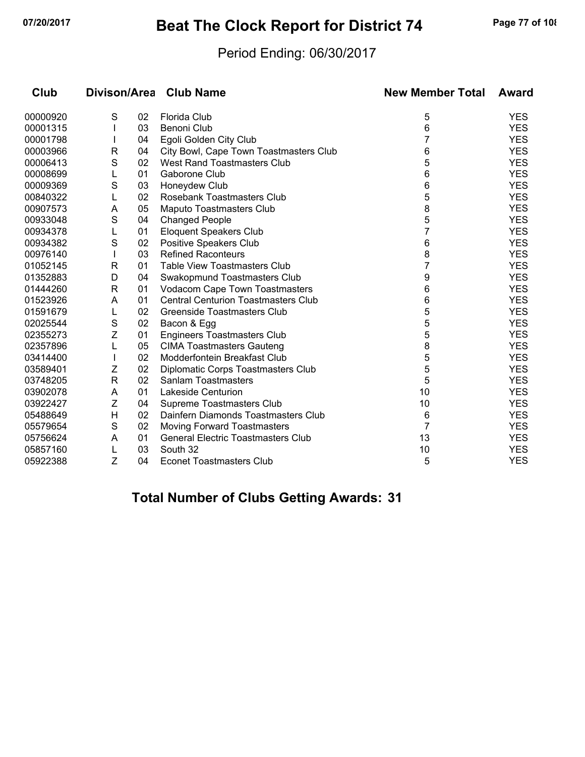# **07/20/2017 Beat The Clock Report for District 74 Page 77 of 108**

#### Period Ending: 06/30/2017

| Club     |              |    | Divison/Area Club Name                     | <b>New Member Total</b> | Award      |
|----------|--------------|----|--------------------------------------------|-------------------------|------------|
| 00000920 | S            | 02 | Florida Club                               | 5                       | <b>YES</b> |
| 00001315 |              | 03 | Benoni Club                                | 6                       | <b>YES</b> |
| 00001798 |              | 04 | Egoli Golden City Club                     | 7                       | <b>YES</b> |
| 00003966 | R            | 04 | City Bowl, Cape Town Toastmasters Club     | 6                       | <b>YES</b> |
| 00006413 | S            | 02 | West Rand Toastmasters Club                | 5                       | <b>YES</b> |
| 00008699 | L            | 01 | Gaborone Club                              | 6                       | <b>YES</b> |
| 00009369 | S            | 03 | Honeydew Club                              | 6                       | <b>YES</b> |
| 00840322 | L            | 02 | Rosebank Toastmasters Club                 | 5                       | <b>YES</b> |
| 00907573 | Α            | 05 | Maputo Toastmasters Club                   | 8                       | <b>YES</b> |
| 00933048 | S            | 04 | <b>Changed People</b>                      | 5                       | <b>YES</b> |
| 00934378 |              | 01 | <b>Eloquent Speakers Club</b>              | 7                       | <b>YES</b> |
| 00934382 | S            | 02 | Positive Speakers Club                     | 6                       | <b>YES</b> |
| 00976140 |              | 03 | <b>Refined Raconteurs</b>                  | 8                       | <b>YES</b> |
| 01052145 | R            | 01 | <b>Table View Toastmasters Club</b>        | 7                       | <b>YES</b> |
| 01352883 | D            | 04 | Swakopmund Toastmasters Club               | 9                       | <b>YES</b> |
| 01444260 | R            | 01 | Vodacom Cape Town Toastmasters             | 6                       | <b>YES</b> |
| 01523926 | A            | 01 | <b>Central Centurion Toastmasters Club</b> | 6                       | <b>YES</b> |
| 01591679 | L            | 02 | Greenside Toastmasters Club                | 5                       | <b>YES</b> |
| 02025544 | S            | 02 | Bacon & Egg                                | 5                       | <b>YES</b> |
| 02355273 | Z            | 01 | <b>Engineers Toastmasters Club</b>         | 5                       | <b>YES</b> |
| 02357896 | L            | 05 | <b>CIMA Toastmasters Gauteng</b>           | 8                       | <b>YES</b> |
| 03414400 |              | 02 | Modderfontein Breakfast Club               | 5                       | <b>YES</b> |
| 03589401 | Ζ            | 02 | Diplomatic Corps Toastmasters Club         | 5                       | <b>YES</b> |
| 03748205 | $\mathsf{R}$ | 02 | Sanlam Toastmasters                        | 5                       | <b>YES</b> |
| 03902078 | A            | 01 | Lakeside Centurion                         | 10                      | <b>YES</b> |
| 03922427 | Ζ            | 04 | Supreme Toastmasters Club                  | 10                      | <b>YES</b> |
| 05488649 | $\mathsf{H}$ | 02 | Dainfern Diamonds Toastmasters Club        | 6                       | <b>YES</b> |
| 05579654 | S            | 02 | <b>Moving Forward Toastmasters</b>         | 7                       | <b>YES</b> |
| 05756624 | A            | 01 | <b>General Electric Toastmasters Club</b>  | 13                      | <b>YES</b> |
| 05857160 | L            | 03 | South 32                                   | 10                      | <b>YES</b> |
| 05922388 | Z            | 04 | Econet Toastmasters Club                   | 5                       | <b>YES</b> |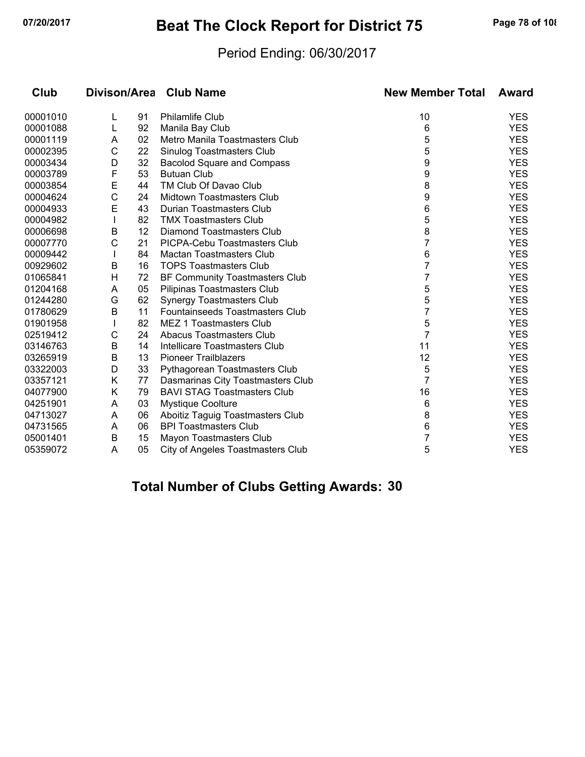# **07/20/2017 Beat The Clock Report for District 75 Page 78 of 108**

#### Period Ending: 06/30/2017

| Club     |   |    | Divison/Area Club Name             | <b>New Member Total</b> | Award      |
|----------|---|----|------------------------------------|-------------------------|------------|
| 00001010 | L | 91 | <b>Philamlife Club</b>             | 10                      | <b>YES</b> |
| 00001088 | L | 92 | Manila Bay Club                    | 6                       | <b>YES</b> |
| 00001119 | A | 02 | Metro Manila Toastmasters Club     | 5                       | <b>YES</b> |
| 00002395 | С | 22 | Sinulog Toastmasters Club          | 5                       | <b>YES</b> |
| 00003434 | D | 32 | <b>Bacolod Square and Compass</b>  | 9                       | <b>YES</b> |
| 00003789 | F | 53 | <b>Butuan Club</b>                 | 9                       | <b>YES</b> |
| 00003854 | E | 44 | TM Club Of Davao Club              | 8                       | <b>YES</b> |
| 00004624 | С | 24 | Midtown Toastmasters Club          | 9                       | <b>YES</b> |
| 00004933 | E | 43 | Durian Toastmasters Club           | 6                       | <b>YES</b> |
| 00004982 |   | 82 | <b>TMX Toastmasters Club</b>       | 5                       | <b>YES</b> |
| 00006698 | B | 12 | Diamond Toastmasters Club          | 8                       | <b>YES</b> |
| 00007770 | С | 21 | PICPA-Cebu Toastmasters Club       | 7                       | <b>YES</b> |
| 00009442 |   | 84 | <b>Mactan Toastmasters Club</b>    | 6                       | <b>YES</b> |
| 00929602 | B | 16 | <b>TOPS Toastmasters Club</b>      | 7                       | <b>YES</b> |
| 01065841 | H | 72 | BF Community Toastmasters Club     | 7                       | <b>YES</b> |
| 01204168 | A | 05 | Pilipinas Toastmasters Club        | 5                       | <b>YES</b> |
| 01244280 | G | 62 | <b>Synergy Toastmasters Club</b>   | 5                       | <b>YES</b> |
| 01780629 | B | 11 | Fountainseeds Toastmasters Club    | 7                       | <b>YES</b> |
| 01901958 |   | 82 | MEZ 1 Toastmasters Club            | 5                       | <b>YES</b> |
| 02519412 | С | 24 | <b>Abacus Toastmasters Club</b>    | 7                       | <b>YES</b> |
| 03146763 | B | 14 | Intellicare Toastmasters Club      | 11                      | <b>YES</b> |
| 03265919 | B | 13 | <b>Pioneer Trailblazers</b>        | 12                      | <b>YES</b> |
| 03322003 | D | 33 | Pythagorean Toastmasters Club      | 5                       | <b>YES</b> |
| 03357121 | Κ | 77 | Dasmarinas City Toastmasters Club  | 7                       | <b>YES</b> |
| 04077900 | Κ | 79 | <b>BAVI STAG Toastmasters Club</b> | 16                      | <b>YES</b> |
| 04251901 | A | 03 | <b>Mystique Coolture</b>           | 6                       | <b>YES</b> |
| 04713027 | A | 06 | Aboitiz Taguig Toastmasters Club   | 8                       | <b>YES</b> |
| 04731565 | A | 06 | <b>BPI Toastmasters Club</b>       | 6                       | <b>YES</b> |
| 05001401 | B | 15 | Mayon Toastmasters Club            | 7                       | <b>YES</b> |
| 05359072 | A | 05 | City of Angeles Toastmasters Club  | 5                       | <b>YES</b> |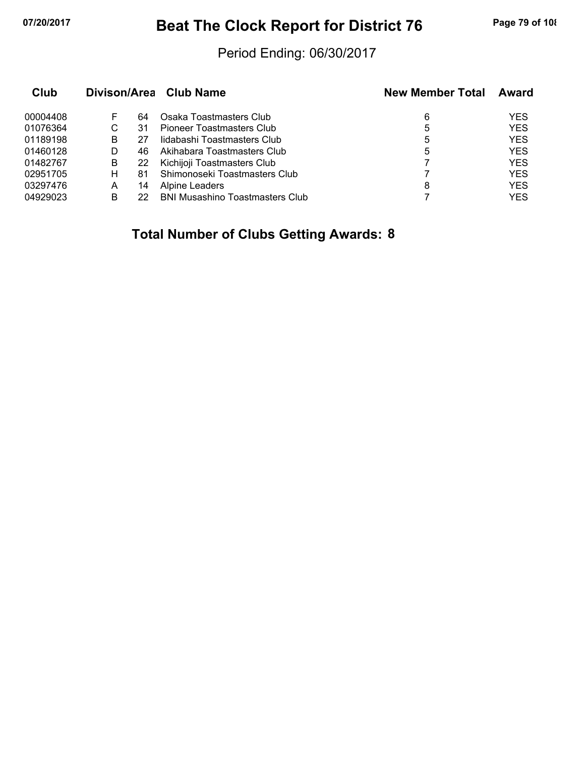# **07/20/2017 Beat The Clock Report for District 76 Page 79 of 108**

#### Period Ending: 06/30/2017

| Club     |   |    | Divison/Area Club Name                 | <b>New Member Total</b> | Award      |
|----------|---|----|----------------------------------------|-------------------------|------------|
| 00004408 | F | 64 | Osaka Toastmasters Club                | 6                       | <b>YES</b> |
| 01076364 | С | 31 | Pioneer Toastmasters Club              | 5                       | <b>YES</b> |
| 01189198 | В |    | lidabashi Toastmasters Club            | 5                       | <b>YES</b> |
| 01460128 | D | 46 | Akihabara Toastmasters Club            | 5                       | <b>YES</b> |
| 01482767 | B | 22 | Kichijoji Toastmasters Club            |                         | <b>YES</b> |
| 02951705 | н | 81 | Shimonoseki Toastmasters Club          |                         | <b>YES</b> |
| 03297476 | А | 14 | Alpine Leaders                         | 8                       | <b>YES</b> |
| 04929023 | В | 22 | <b>BNI Musashino Toastmasters Club</b> |                         | <b>YES</b> |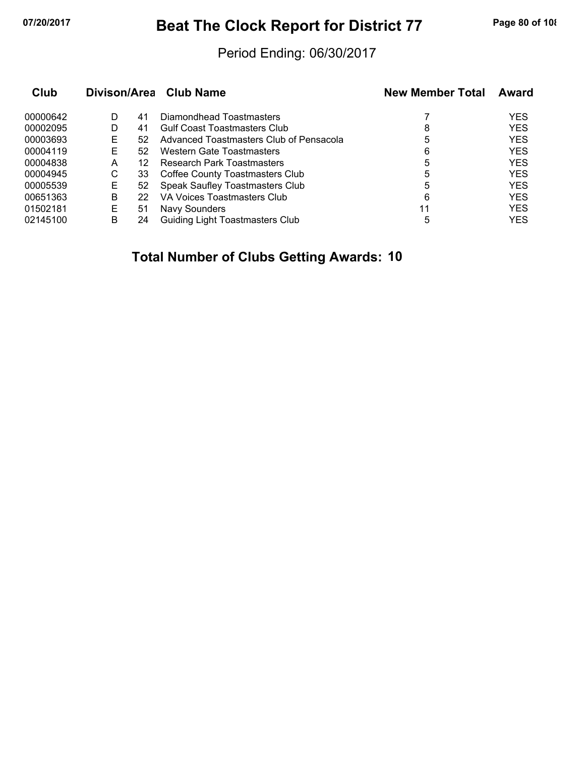# **07/20/2017 Beat The Clock Report for District 77 Page 80 of 108**

#### Period Ending: 06/30/2017

| Club     |   |    | Divison/Area Club Name                  | <b>New Member Total</b> | Award      |
|----------|---|----|-----------------------------------------|-------------------------|------------|
| 00000642 | D | 41 | Diamondhead Toastmasters                |                         | <b>YES</b> |
| 00002095 | D | 41 | <b>Gulf Coast Toastmasters Club</b>     | 8                       | <b>YES</b> |
| 00003693 | Е | 52 | Advanced Toastmasters Club of Pensacola | 5                       | <b>YES</b> |
| 00004119 | Е | 52 | Western Gate Toastmasters               | 6                       | <b>YES</b> |
| 00004838 | A | 12 | Research Park Toastmasters              | 5                       | <b>YES</b> |
| 00004945 | С | 33 | Coffee County Toastmasters Club         | 5                       | <b>YES</b> |
| 00005539 | Е | 52 | <b>Speak Saufley Toastmasters Club</b>  | 5                       | <b>YES</b> |
| 00651363 | В | 22 | VA Voices Toastmasters Club             | 6                       | <b>YES</b> |
| 01502181 | Е | 51 | Navy Sounders                           | 11                      | <b>YES</b> |
| 02145100 | В | 24 | Guiding Light Toastmasters Club         | 5                       | YES        |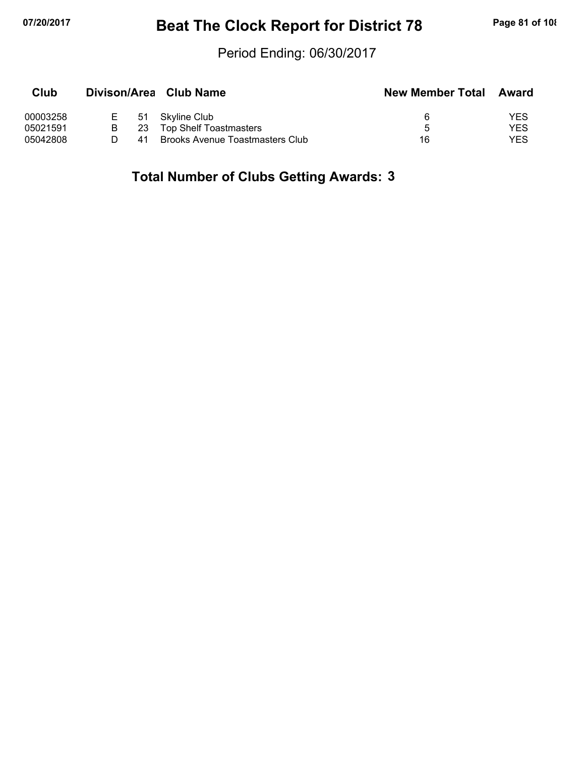# **07/20/2017 Beat The Clock Report for District 78 Page 81 of 108**

#### Period Ending: 06/30/2017

| Club     |    |    | Divison/Area Club Name                 | <b>New Member Total</b> | Award      |
|----------|----|----|----------------------------------------|-------------------------|------------|
| 00003258 | E. |    | 51 Skyline Club                        |                         | YES        |
| 05021591 | B. | 23 | Top Shelf Toastmasters                 | h                       | YES        |
| 05042808 |    | 41 | <b>Brooks Avenue Toastmasters Club</b> | 16                      | <b>YES</b> |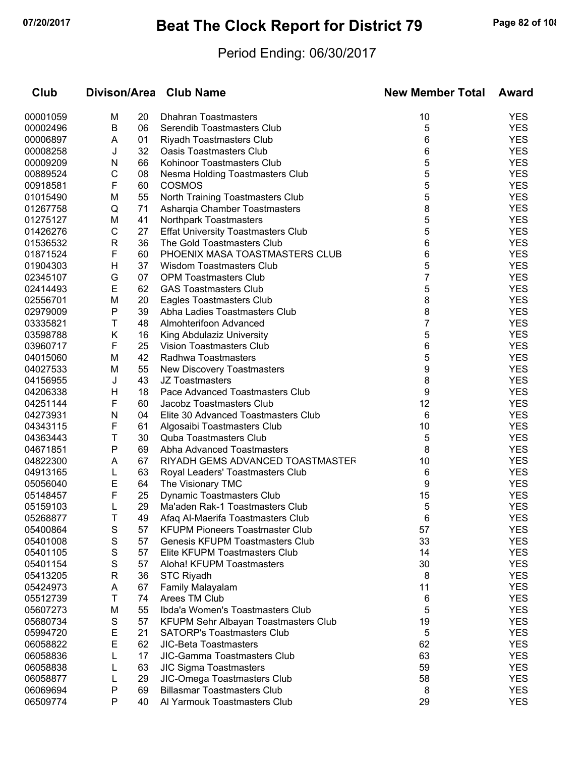# **07/20/2017 Beat The Clock Report for District 79 Page 82 of 108**

### Period Ending: 06/30/2017

| Club     |              |    | Divison/Area Club Name                    | <b>New Member Total</b> | Award      |
|----------|--------------|----|-------------------------------------------|-------------------------|------------|
| 00001059 | М            | 20 | <b>Dhahran Toastmasters</b>               | 10                      | <b>YES</b> |
| 00002496 | В            | 06 | Serendib Toastmasters Club                | 5                       | <b>YES</b> |
| 00006897 | A            | 01 | Riyadh Toastmasters Club                  | 6                       | <b>YES</b> |
| 00008258 | J            | 32 | <b>Oasis Toastmasters Club</b>            | 6                       | <b>YES</b> |
| 00009209 | N            | 66 | Kohinoor Toastmasters Club                | 5                       | <b>YES</b> |
| 00889524 | С            | 08 | Nesma Holding Toastmasters Club           | 5                       | <b>YES</b> |
| 00918581 | F            | 60 | <b>COSMOS</b>                             | 5                       | <b>YES</b> |
| 01015490 | M            | 55 | North Training Toastmasters Club          | 5                       | <b>YES</b> |
| 01267758 | Q            | 71 | Asharqia Chamber Toastmasters             | 8                       | <b>YES</b> |
| 01275127 | M            | 41 | Northpark Toastmasters                    | 5                       | <b>YES</b> |
| 01426276 | $\mathsf{C}$ | 27 | <b>Effat University Toastmasters Club</b> | 5                       | <b>YES</b> |
| 01536532 | R            | 36 | The Gold Toastmasters Club                | 6                       | <b>YES</b> |
| 01871524 | F            | 60 | PHOENIX MASA TOASTMASTERS CLUB            | 6                       | <b>YES</b> |
| 01904303 | H            | 37 | Wisdom Toastmasters Club                  | 5                       | <b>YES</b> |
| 02345107 | G            | 07 | <b>OPM Toastmasters Club</b>              | 7                       | <b>YES</b> |
| 02414493 | Е            | 62 | <b>GAS Toastmasters Club</b>              | 5                       | <b>YES</b> |
| 02556701 | M            | 20 | Eagles Toastmasters Club                  | 8                       | <b>YES</b> |
| 02979009 | P            | 39 | Abha Ladies Toastmasters Club             | 8                       | <b>YES</b> |
| 03335821 | Τ            | 48 | Almohterifoon Advanced                    | 7                       | <b>YES</b> |
| 03598788 | Κ            | 16 | King Abdulaziz University                 | 5                       | <b>YES</b> |
| 03960717 | F            | 25 | <b>Vision Toastmasters Club</b>           | 6                       | <b>YES</b> |
| 04015060 | M            | 42 | Radhwa Toastmasters                       | 5                       | <b>YES</b> |
| 04027533 | M            | 55 | New Discovery Toastmasters                | 9                       | <b>YES</b> |
| 04156955 | J            | 43 | <b>JZ Toastmasters</b>                    | 8                       | <b>YES</b> |
| 04206338 | Н            | 18 | Pace Advanced Toastmasters Club           | 9                       | <b>YES</b> |
| 04251144 | F            | 60 | Jacobz Toastmasters Club                  | 12                      | <b>YES</b> |
| 04273931 | N            | 04 | Elite 30 Advanced Toastmasters Club       | 6                       | <b>YES</b> |
| 04343115 | F            | 61 | Algosaibi Toastmasters Club               | 10                      | <b>YES</b> |
| 04363443 | Τ            | 30 | <b>Quba Toastmasters Club</b>             | 5                       | <b>YES</b> |
| 04671851 | P            | 69 | Abha Advanced Toastmasters                | 8                       | <b>YES</b> |
| 04822300 | A            | 67 | RIYADH GEMS ADVANCED TOASTMASTER          | 10                      | <b>YES</b> |
| 04913165 | L            | 63 | Royal Leaders' Toastmasters Club          | 6                       | <b>YES</b> |
| 05056040 | E            | 64 | The Visionary TMC                         | 9                       | <b>YES</b> |
| 05148457 | F            | 25 | Dynamic Toastmasters Club                 | 15                      | <b>YES</b> |
| 05159103 | L            | 29 | Ma'aden Rak-1 Toastmasters Club           | 5                       | <b>YES</b> |
| 05268877 | $\mathbf{I}$ | 49 | Afaq Al-Maerifa Toastmasters Club         | 6                       | YES        |
| 05400864 | S            | 57 | <b>KFUPM Pioneers Toastmaster Club</b>    | 57                      | <b>YES</b> |
| 05401008 | S            | 57 | Genesis KFUPM Toastmasters Club           | 33                      | <b>YES</b> |
| 05401105 | S            | 57 | Elite KFUPM Toastmasters Club             | 14                      | <b>YES</b> |
| 05401154 | S            | 57 | Aloha! KFUPM Toastmasters                 | 30                      | <b>YES</b> |
| 05413205 | R            | 36 | <b>STC Riyadh</b>                         | 8                       | <b>YES</b> |
| 05424973 | A            | 67 | Family Malayalam                          | 11                      | <b>YES</b> |
| 05512739 | т            | 74 | Arees TM Club                             | 6                       | <b>YES</b> |
| 05607273 | M            | 55 | Ibda'a Women's Toastmasters Club          | 5                       | <b>YES</b> |
| 05680734 | S            | 57 | KFUPM Sehr Albayan Toastmasters Club      | 19                      | <b>YES</b> |
| 05994720 | Е            | 21 | <b>SATORP's Toastmasters Club</b>         | 5                       | <b>YES</b> |
| 06058822 | E            | 62 | <b>JIC-Beta Toastmasters</b>              | 62                      | <b>YES</b> |
| 06058836 |              | 17 | JIC-Gamma Toastmasters Club               | 63                      | <b>YES</b> |
| 06058838 |              | 63 | <b>JIC Sigma Toastmasters</b>             | 59                      | <b>YES</b> |
| 06058877 | L            | 29 | JIC-Omega Toastmasters Club               | 58                      | <b>YES</b> |
| 06069694 | P            | 69 | <b>Billasmar Toastmasters Club</b>        | 8                       | <b>YES</b> |
| 06509774 | P            | 40 | Al Yarmouk Toastmasters Club              | 29                      | <b>YES</b> |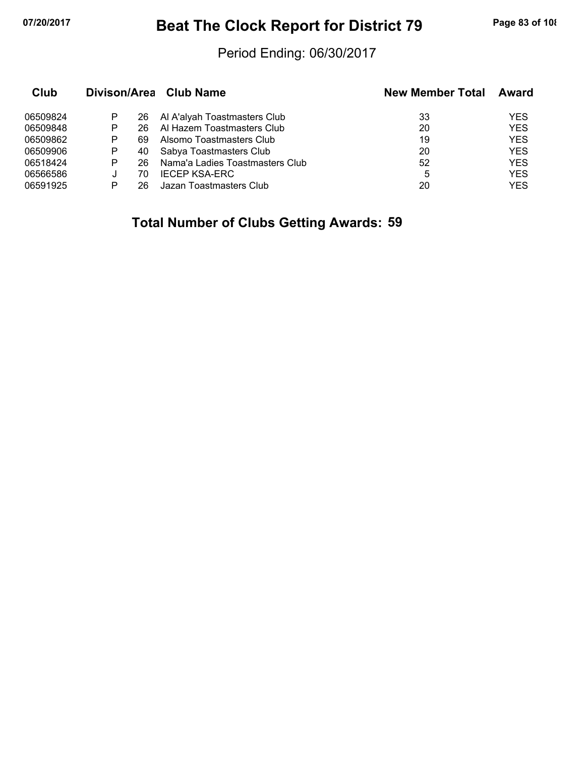# **07/20/2017 Beat The Clock Report for District 79 Page 83 of 108**

#### Period Ending: 06/30/2017

| Club     |   |    | Divison/Area Club Name          | <b>New Member Total</b> | Award      |
|----------|---|----|---------------------------------|-------------------------|------------|
| 06509824 | P | 26 | Al A'alyah Toastmasters Club    | 33                      | YES        |
| 06509848 | Р | 26 | Al Hazem Toastmasters Club      | 20                      | <b>YES</b> |
| 06509862 | Р | 69 | Alsomo Toastmasters Club        | 19                      | <b>YES</b> |
| 06509906 | Р | 40 | Sabya Toastmasters Club         | 20                      | <b>YES</b> |
| 06518424 | P | 26 | Nama'a Ladies Toastmasters Club | 52                      | <b>YES</b> |
| 06566586 | J | 70 | <b>IECEP KSA-ERC</b>            | 5                       | <b>YES</b> |
| 06591925 | P | 26 | Jazan Toastmasters Club         | 20                      | YES        |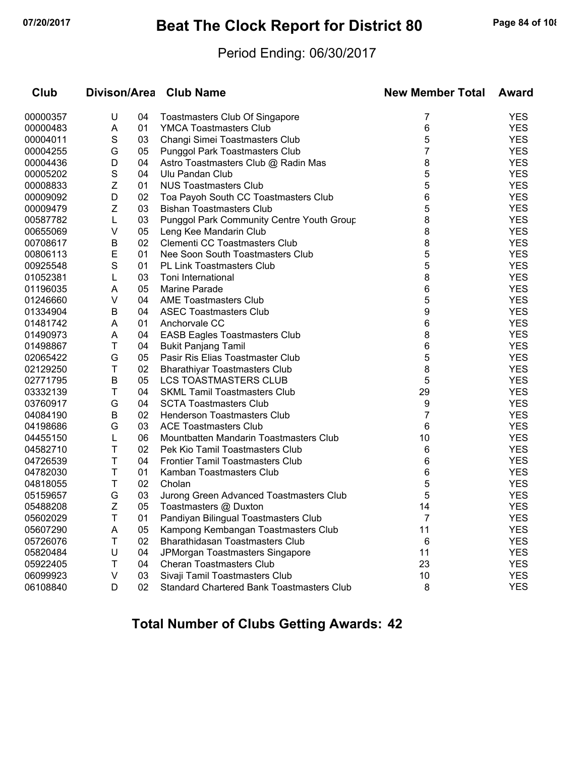# **07/20/2017 Beat The Clock Report for District 80 Page 84 of 108**

#### Period Ending: 06/30/2017

| Club     |             |    | Divison/Area Club Name                           | <b>New Member Total</b> | Award      |
|----------|-------------|----|--------------------------------------------------|-------------------------|------------|
| 00000357 | U           | 04 | <b>Toastmasters Club Of Singapore</b>            | 7                       | <b>YES</b> |
| 00000483 | Α           | 01 | <b>YMCA Toastmasters Club</b>                    | 6                       | <b>YES</b> |
| 00004011 | S           | 03 | Changi Simei Toastmasters Club                   | 5                       | <b>YES</b> |
| 00004255 | G           | 05 | Punggol Park Toastmasters Club                   | 7                       | <b>YES</b> |
| 00004436 | D           | 04 | Astro Toastmasters Club @ Radin Mas              | 8                       | <b>YES</b> |
| 00005202 | $\mathbb S$ | 04 | Ulu Pandan Club                                  | 5                       | <b>YES</b> |
| 00008833 | Z           | 01 | <b>NUS Toastmasters Club</b>                     | 5                       | <b>YES</b> |
| 00009092 | D           | 02 | Toa Payoh South CC Toastmasters Club             | 6                       | <b>YES</b> |
| 00009479 | Z           | 03 | <b>Bishan Toastmasters Club</b>                  | 5                       | <b>YES</b> |
| 00587782 | L           | 03 | <b>Punggol Park Community Centre Youth Group</b> | 8                       | <b>YES</b> |
| 00655069 | V           | 05 | Leng Kee Mandarin Club                           | 8                       | <b>YES</b> |
| 00708617 | B           | 02 | Clementi CC Toastmasters Club                    | 8                       | <b>YES</b> |
| 00806113 | E           | 01 | Nee Soon South Toastmasters Club                 | 5                       | <b>YES</b> |
| 00925548 | S           | 01 | <b>PL Link Toastmasters Club</b>                 | 5                       | <b>YES</b> |
| 01052381 | L           | 03 | Toni International                               | 8                       | <b>YES</b> |
| 01196035 | A           | 05 | Marine Parade                                    | 6                       | <b>YES</b> |
| 01246660 | V           | 04 | <b>AME Toastmasters Club</b>                     | 5                       | <b>YES</b> |
| 01334904 | B           | 04 | <b>ASEC Toastmasters Club</b>                    | 9                       | <b>YES</b> |
| 01481742 | Α           | 01 | Anchorvale CC                                    | 6                       | <b>YES</b> |
| 01490973 | Α           | 04 | <b>EASB Eagles Toastmasters Club</b>             | 8                       | <b>YES</b> |
| 01498867 | Τ           | 04 | <b>Bukit Panjang Tamil</b>                       | 6                       | <b>YES</b> |
| 02065422 | G           | 05 | Pasir Ris Elias Toastmaster Club                 | 5                       | <b>YES</b> |
| 02129250 | T           | 02 | <b>Bharathiyar Toastmasters Club</b>             | 8                       | <b>YES</b> |
| 02771795 | B           | 05 | LCS TOASTMASTERS CLUB                            | 5                       | <b>YES</b> |
| 03332139 | Τ           | 04 | <b>SKML Tamil Toastmasters Club</b>              | 29                      | <b>YES</b> |
| 03760917 | G           | 04 | <b>SCTA Toastmasters Club</b>                    | 9                       | <b>YES</b> |
| 04084190 | B           | 02 | Henderson Toastmasters Club                      | 7                       | <b>YES</b> |
| 04198686 | G           | 03 | <b>ACE Toastmasters Club</b>                     | 6                       | <b>YES</b> |
| 04455150 | L           | 06 | Mountbatten Mandarin Toastmasters Club           | 10                      | <b>YES</b> |
| 04582710 | Τ           | 02 | Pek Kio Tamil Toastmasters Club                  | 6                       | <b>YES</b> |
| 04726539 | Τ           | 04 | <b>Frontier Tamil Toastmasters Club</b>          | 6                       | <b>YES</b> |
| 04782030 | Τ           | 01 | Kamban Toastmasters Club                         | 6                       | <b>YES</b> |
| 04818055 | Т           | 02 | Cholan                                           | 5                       | <b>YES</b> |
| 05159657 | G           | 03 | Jurong Green Advanced Toastmasters Club          | 5                       | <b>YES</b> |
| 05488208 | Z           | 05 | Toastmasters @ Duxton                            | 14                      | <b>YES</b> |
| 05602029 |             | 01 | Pandiyan Bilingual Toastmasters Club             | ſ                       | YES        |
| 05607290 | A           | 05 | Kampong Kembangan Toastmasters Club              | 11                      | <b>YES</b> |
| 05726076 | т           | 02 | Bharathidasan Toastmasters Club                  | 6                       | <b>YES</b> |
| 05820484 | U           | 04 | JPMorgan Toastmasters Singapore                  | 11                      | <b>YES</b> |
| 05922405 | т           | 04 | <b>Cheran Toastmasters Club</b>                  | 23                      | <b>YES</b> |
| 06099923 | V           | 03 | Sivaji Tamil Toastmasters Club                   | 10                      | <b>YES</b> |
| 06108840 | D           | 02 | <b>Standard Chartered Bank Toastmasters Club</b> | 8                       | <b>YES</b> |
|          |             |    |                                                  |                         |            |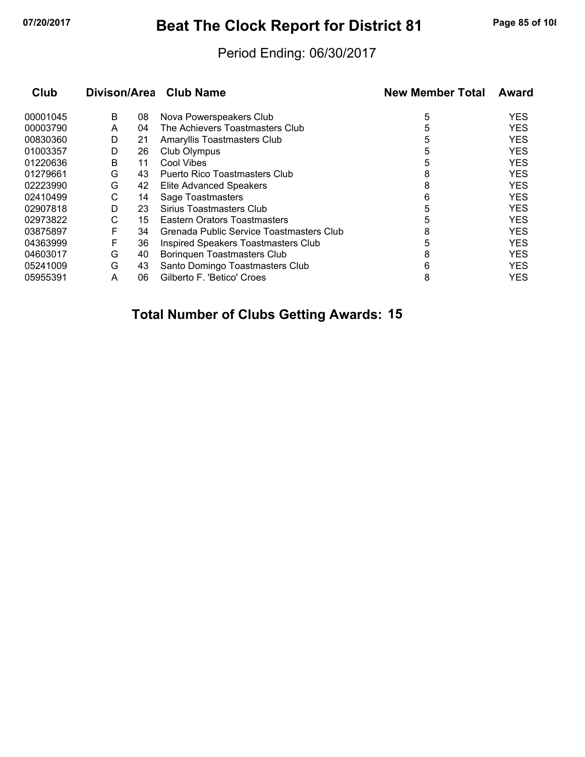# **07/20/2017 Beat The Clock Report for District 81 Page 85 of 108**

#### Period Ending: 06/30/2017

| Club     |   |    | Divison/Area Club Name                   | <b>New Member Total</b> | Award      |
|----------|---|----|------------------------------------------|-------------------------|------------|
| 00001045 | B | 08 | Nova Powerspeakers Club                  | 5                       | <b>YES</b> |
| 00003790 | A | 04 | The Achievers Toastmasters Club          | 5                       | <b>YES</b> |
| 00830360 | D | 21 | Amaryllis Toastmasters Club              | 5                       | <b>YES</b> |
| 01003357 | D | 26 | Club Olympus                             | 5                       | <b>YES</b> |
| 01220636 | B | 11 | Cool Vibes                               | 5                       | <b>YES</b> |
| 01279661 | G | 43 | <b>Puerto Rico Toastmasters Club</b>     | 8                       | <b>YES</b> |
| 02223990 | G | 42 | <b>Elite Advanced Speakers</b>           | 8                       | <b>YES</b> |
| 02410499 | С | 14 | Sage Toastmasters                        | 6                       | <b>YES</b> |
| 02907818 | D | 23 | Sirius Toastmasters Club                 | 5                       | <b>YES</b> |
| 02973822 | С | 15 | Eastern Orators Toastmasters             | 5                       | <b>YES</b> |
| 03875897 | F | 34 | Grenada Public Service Toastmasters Club | 8                       | <b>YFS</b> |
| 04363999 | F | 36 | Inspired Speakers Toastmasters Club      | 5                       | <b>YES</b> |
| 04603017 | G | 40 | Boringuen Toastmasters Club              | 8                       | <b>YES</b> |
| 05241009 | G | 43 | Santo Domingo Toastmasters Club          | 6                       | <b>YES</b> |
| 05955391 | A | 06 | Gilberto F. 'Betico' Croes               | 8                       | <b>YES</b> |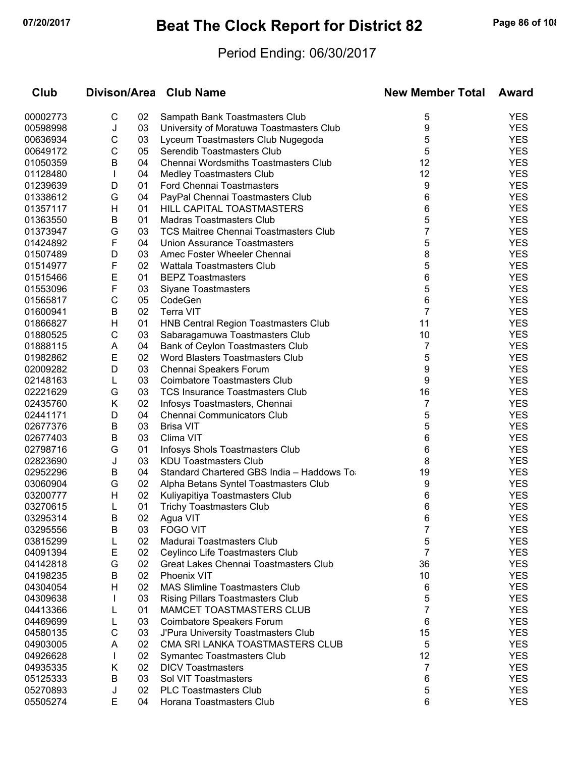# **07/20/2017 Beat The Clock Report for District 82 Page 86 of 108**

### Period Ending: 06/30/2017

| Club     | Divison/Area |    | <b>Club Name</b>                             | <b>New Member Total</b> | <b>Award</b> |
|----------|--------------|----|----------------------------------------------|-------------------------|--------------|
| 00002773 | С            | 02 | Sampath Bank Toastmasters Club               | 5                       | <b>YES</b>   |
| 00598998 | J            | 03 | University of Moratuwa Toastmasters Club     | 9                       | <b>YES</b>   |
| 00636934 | С            | 03 | Lyceum Toastmasters Club Nugegoda            | 5                       | <b>YES</b>   |
| 00649172 | С            | 05 | Serendib Toastmasters Club                   | 5                       | <b>YES</b>   |
| 01050359 | B            | 04 | Chennai Wordsmiths Toastmasters Club         | 12                      | <b>YES</b>   |
| 01128480 | $\mathbf{I}$ | 04 | <b>Medley Toastmasters Club</b>              | 12                      | <b>YES</b>   |
| 01239639 | D            | 01 | <b>Ford Chennai Toastmasters</b>             | 9                       | <b>YES</b>   |
| 01338612 | G            | 04 | PayPal Chennai Toastmasters Club             | 6                       | <b>YES</b>   |
| 01357117 | H            | 01 | HILL CAPITAL TOASTMASTERS                    | 6                       | <b>YES</b>   |
| 01363550 | B            | 01 | <b>Madras Toastmasters Club</b>              | 5                       | <b>YES</b>   |
| 01373947 | G            | 03 | <b>TCS Maitree Chennai Toastmasters Club</b> | 7                       | <b>YES</b>   |
| 01424892 | F            | 04 | <b>Union Assurance Toastmasters</b>          | 5                       | <b>YES</b>   |
| 01507489 | D            | 03 | Amec Foster Wheeler Chennai                  | 8                       | <b>YES</b>   |
| 01514977 | F            | 02 | Wattala Toastmasters Club                    | 5                       | <b>YES</b>   |
| 01515466 | E            | 01 | <b>BEPZ Toastmasters</b>                     | 6                       | <b>YES</b>   |
| 01553096 | F            | 03 | <b>Siyane Toastmasters</b>                   | 5                       | <b>YES</b>   |
| 01565817 | С            | 05 | CodeGen                                      | 6                       | <b>YES</b>   |
| 01600941 | B            | 02 | <b>Terra VIT</b>                             | 7                       | <b>YES</b>   |
| 01866827 | н            | 01 | <b>HNB Central Region Toastmasters Club</b>  | 11                      | <b>YES</b>   |
| 01880525 | C            | 03 | Sabaragamuwa Toastmasters Club               | 10                      | <b>YES</b>   |
| 01888115 | Α            | 04 | Bank of Ceylon Toastmasters Club             | 7                       | <b>YES</b>   |
| 01982862 | E            | 02 | Word Blasters Toastmasters Club              | 5                       | <b>YES</b>   |
| 02009282 | D            | 03 | Chennai Speakers Forum                       | 9                       | <b>YES</b>   |
| 02148163 | L            | 03 | Coimbatore Toastmasters Club                 | 9                       | <b>YES</b>   |
| 02221629 | G            | 03 | <b>TCS Insurance Toastmasters Club</b>       | 16                      | <b>YES</b>   |
| 02435760 | Κ            | 02 | Infosys Toastmasters, Chennai                | 7                       | <b>YES</b>   |
| 02441171 | D            | 04 | <b>Chennai Communicators Club</b>            | 5                       | <b>YES</b>   |
| 02677376 | B            | 03 | <b>Brisa VIT</b>                             | 5                       | <b>YES</b>   |
| 02677403 | B            | 03 | Clima VIT                                    | 6                       | <b>YES</b>   |
| 02798716 | G            | 01 | Infosys Shols Toastmasters Club              | 6                       | <b>YES</b>   |
| 02823690 | J            | 03 | <b>KDU Toastmasters Club</b>                 | 8                       | <b>YES</b>   |
| 02952296 | B            | 04 | Standard Chartered GBS India - Haddows To    | 19                      | <b>YES</b>   |
| 03060904 | G            | 02 | Alpha Betans Syntel Toastmasters Club        | 9                       | <b>YES</b>   |
| 03200777 | H            | 02 | Kuliyapitiya Toastmasters Club               | 6                       | <b>YES</b>   |
| 03270615 | L            | 01 | <b>Trichy Toastmasters Club</b>              | 6                       | <b>YES</b>   |
| 03295314 | В            | 02 | Agua VIT                                     | 6                       | <b>YES</b>   |
| 03295556 | B            | 03 | <b>FOGO VIT</b>                              | 7                       | <b>YES</b>   |
| 03815299 | L            | 02 | Madurai Toastmasters Club                    | 5                       | <b>YES</b>   |
| 04091394 | E            | 02 | Ceylinco Life Toastmasters Club              | 7                       | <b>YES</b>   |
| 04142818 | G            | 02 | Great Lakes Chennai Toastmasters Club        | 36                      | <b>YES</b>   |
| 04198235 | B            | 02 | <b>Phoenix VIT</b>                           | 10                      | <b>YES</b>   |
| 04304054 | н            | 02 | <b>MAS Slimline Toastmasters Club</b>        | 6                       | <b>YES</b>   |
| 04309638 |              | 03 | <b>Rising Pillars Toastmasters Club</b>      | 5                       | <b>YES</b>   |
| 04413366 | L            | 01 | MAMCET TOASTMASTERS CLUB                     | 7                       | <b>YES</b>   |
| 04469699 | L            | 03 | Coimbatore Speakers Forum                    | 6                       | <b>YES</b>   |
| 04580135 | C            | 03 | J'Pura University Toastmasters Club          | 15                      | <b>YES</b>   |
| 04903005 | A            | 02 | CMA SRI LANKA TOASTMASTERS CLUB              | 5                       | <b>YES</b>   |
| 04926628 |              | 02 | Symantec Toastmasters Club                   | 12                      | <b>YES</b>   |
| 04935335 | Κ            | 02 | <b>DICV Toastmasters</b>                     | 7                       | <b>YES</b>   |
| 05125333 | B            | 03 | Sol VIT Toastmasters                         | 6                       | <b>YES</b>   |
| 05270893 | J            | 02 | <b>PLC Toastmasters Club</b>                 | 5                       | <b>YES</b>   |
| 05505274 | E            | 04 | Horana Toastmasters Club                     | 6                       | <b>YES</b>   |
|          |              |    |                                              |                         |              |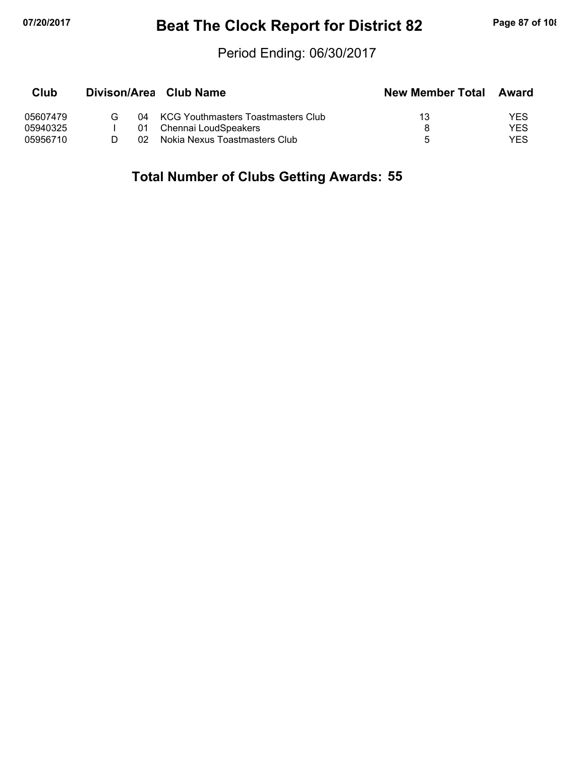# **07/20/2017 Beat The Clock Report for District 82 Page 87 of 108**

#### Period Ending: 06/30/2017

| Club     |   |     | Divison/Area Club Name                | <b>New Member Total</b> | Award |
|----------|---|-----|---------------------------------------|-------------------------|-------|
| 05607479 | G |     | 04 KCG Youthmasters Toastmasters Club | 13                      | YES   |
| 05940325 |   | 01  | Chennai LoudSpeakers                  |                         | YES   |
| 05956710 |   | 02. | Nokia Nexus Toastmasters Club         | Б.                      | YES   |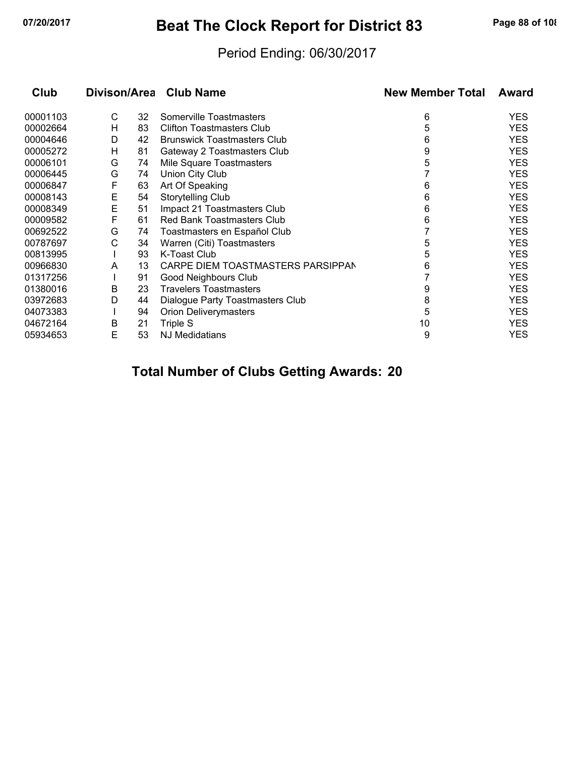# **07/20/2017 Beat The Clock Report for District 83 Page 88 of 108**

#### Period Ending: 06/30/2017

| Club     |   |    | Divison/Area Club Name             | <b>New Member Total</b> | Award      |
|----------|---|----|------------------------------------|-------------------------|------------|
| 00001103 | С | 32 | Somerville Toastmasters            | 6                       | <b>YES</b> |
| 00002664 | н | 83 | <b>Clifton Toastmasters Club</b>   | 5                       | <b>YES</b> |
| 00004646 | D | 42 | <b>Brunswick Toastmasters Club</b> | 6                       | <b>YES</b> |
| 00005272 | н | 81 | Gateway 2 Toastmasters Club        | 9                       | <b>YES</b> |
| 00006101 | G | 74 | Mile Square Toastmasters           | 5                       | <b>YES</b> |
| 00006445 | G | 74 | Union City Club                    |                         | <b>YES</b> |
| 00006847 | F | 63 | Art Of Speaking                    | 6                       | <b>YES</b> |
| 00008143 | E | 54 | <b>Storytelling Club</b>           | 6                       | <b>YES</b> |
| 00008349 | E | 51 | Impact 21 Toastmasters Club        | 6                       | <b>YES</b> |
| 00009582 | F | 61 | <b>Red Bank Toastmasters Club</b>  | 6                       | <b>YES</b> |
| 00692522 | G | 74 | Toastmasters en Español Club       |                         | <b>YES</b> |
| 00787697 | C | 34 | Warren (Citi) Toastmasters         | 5                       | <b>YES</b> |
| 00813995 |   | 93 | K-Toast Club                       | 5                       | <b>YES</b> |
| 00966830 | A | 13 | CARPE DIEM TOASTMASTERS PARSIPPAN  | 6                       | <b>YES</b> |
| 01317256 |   | 91 | Good Neighbours Club               |                         | <b>YES</b> |
| 01380016 | B | 23 | <b>Travelers Toastmasters</b>      | 9                       | <b>YES</b> |
| 03972683 | D | 44 | Dialogue Party Toastmasters Club   | 8                       | <b>YES</b> |
| 04073383 |   | 94 | <b>Orion Deliverymasters</b>       | 5                       | <b>YES</b> |
| 04672164 | B | 21 | Triple S                           | 10                      | <b>YES</b> |
| 05934653 | E | 53 | <b>NJ Medidatians</b>              | 9                       | <b>YES</b> |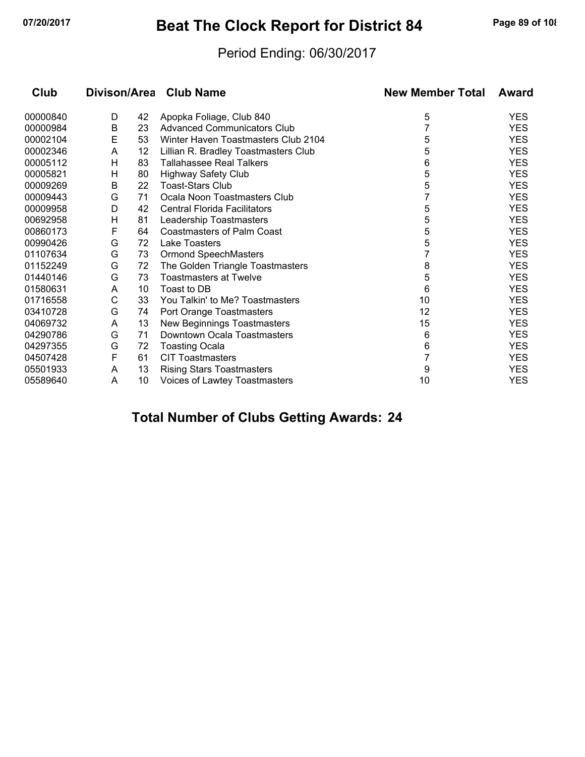# **07/20/2017 Beat The Clock Report for District 84 Page 89 of 108**

#### Period Ending: 06/30/2017

| Club     |   |    | Divison/Area Club Name               | <b>New Member Total</b> | Award      |
|----------|---|----|--------------------------------------|-------------------------|------------|
| 00000840 | D | 42 | Apopka Foliage, Club 840             | 5                       | <b>YES</b> |
| 00000984 | B | 23 | <b>Advanced Communicators Club</b>   |                         | <b>YES</b> |
| 00002104 | Ε | 53 | Winter Haven Toastmasters Club 2104  | 5                       | <b>YES</b> |
| 00002346 | A | 12 | Lillian R. Bradley Toastmasters Club | 5                       | <b>YES</b> |
| 00005112 | н | 83 | <b>Tallahassee Real Talkers</b>      | 6                       | <b>YES</b> |
| 00005821 | Н | 80 | <b>Highway Safety Club</b>           | 5                       | <b>YES</b> |
| 00009269 | B | 22 | <b>Toast-Stars Club</b>              | 5                       | <b>YES</b> |
| 00009443 | G | 71 | Ocala Noon Toastmasters Club         | 7                       | <b>YES</b> |
| 00009958 | D | 42 | <b>Central Florida Facilitators</b>  | 5                       | <b>YES</b> |
| 00692958 | Н | 81 | Leadership Toastmasters              | 5                       | <b>YES</b> |
| 00860173 | F | 64 | Coastmasters of Palm Coast           | 5                       | <b>YES</b> |
| 00990426 | G | 72 | <b>Lake Toasters</b>                 | 5                       | <b>YES</b> |
| 01107634 | G | 73 | <b>Ormond SpeechMasters</b>          |                         | <b>YES</b> |
| 01152249 | G | 72 | The Golden Triangle Toastmasters     | 8                       | <b>YES</b> |
| 01440146 | G | 73 | <b>Toastmasters at Twelve</b>        | 5                       | <b>YES</b> |
| 01580631 | A | 10 | Toast to DB                          | 6                       | <b>YES</b> |
| 01716558 | C | 33 | You Talkin' to Me? Toastmasters      | 10                      | <b>YES</b> |
| 03410728 | G | 74 | Port Orange Toastmasters             | 12                      | <b>YES</b> |
| 04069732 | A | 13 | New Beginnings Toastmasters          | 15                      | <b>YES</b> |
| 04290786 | G | 71 | Downtown Ocala Toastmasters          | 6                       | <b>YES</b> |
| 04297355 | G | 72 | <b>Toasting Ocala</b>                | 6                       | <b>YES</b> |
| 04507428 | F | 61 | <b>CIT Toastmasters</b>              | 7                       | <b>YES</b> |
| 05501933 | A | 13 | <b>Rising Stars Toastmasters</b>     | 9                       | <b>YES</b> |
| 05589640 | A | 10 | Voices of Lawtey Toastmasters        | 10                      | <b>YES</b> |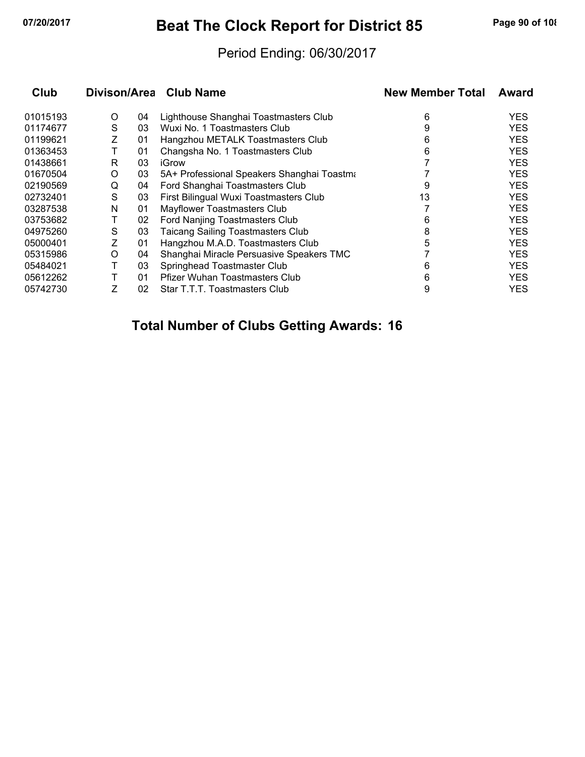# **07/20/2017 Beat The Clock Report for District 85 Page 90 of 108**

#### Period Ending: 06/30/2017

| Club     |   |    | Divison/Area Club Name                     | <b>New Member Total</b> | Award      |
|----------|---|----|--------------------------------------------|-------------------------|------------|
| 01015193 | O | 04 | Lighthouse Shanghai Toastmasters Club      | 6                       | YES.       |
| 01174677 | S | 03 | Wuxi No. 1 Toastmasters Club               | 9                       | <b>YES</b> |
| 01199621 | Ζ | 01 | Hangzhou METALK Toastmasters Club          | 6                       | <b>YES</b> |
| 01363453 |   | 01 | Changsha No. 1 Toastmasters Club           | 6                       | <b>YES</b> |
| 01438661 | R | 03 | iGrow                                      |                         | <b>YES</b> |
| 01670504 | O | 03 | 5A+ Professional Speakers Shanghai Toastma |                         | <b>YES</b> |
| 02190569 | Q | 04 | Ford Shanghai Toastmasters Club            | 9                       | <b>YES</b> |
| 02732401 | S | 03 | First Bilingual Wuxi Toastmasters Club     | 13                      | <b>YES</b> |
| 03287538 | N | 01 | Mayflower Toastmasters Club                |                         | <b>YES</b> |
| 03753682 |   | 02 | Ford Nanjing Toastmasters Club             | 6                       | <b>YES</b> |
| 04975260 | S | 03 | <b>Taicang Sailing Toastmasters Club</b>   | 8                       | <b>YES</b> |
| 05000401 | Ζ | 01 | Hangzhou M.A.D. Toastmasters Club          | 5                       | <b>YES</b> |
| 05315986 | O | 04 | Shanghai Miracle Persuasive Speakers TMC   |                         | <b>YES</b> |
| 05484021 |   | 03 | Springhead Toastmaster Club                | 6                       | <b>YES</b> |
| 05612262 |   | 01 | <b>Pfizer Wuhan Toastmasters Club</b>      | 6                       | <b>YES</b> |
| 05742730 |   | 02 | Star T.T.T. Toastmasters Club              | 9                       | YES        |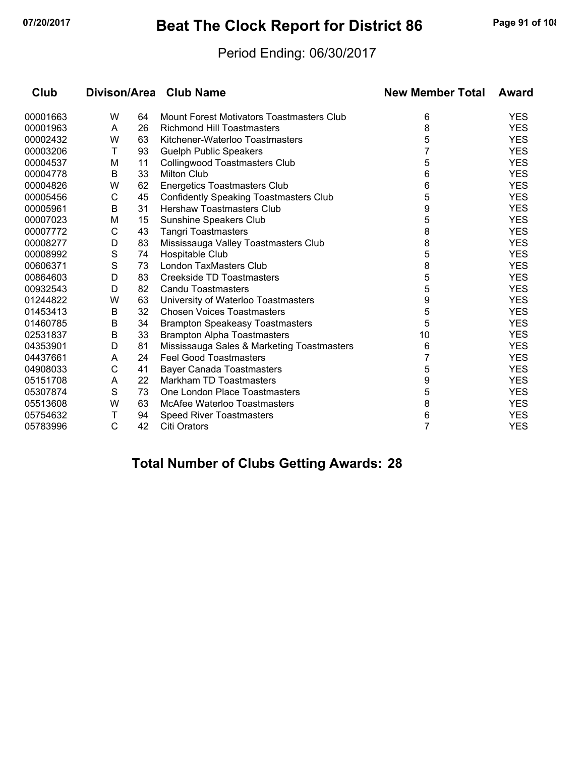# **07/20/2017 Beat The Clock Report for District 86 Page 91 of 108**

#### Period Ending: 06/30/2017

| Club     |   |    | Divison/Area Club Name                        | <b>New Member Total</b> | Award      |
|----------|---|----|-----------------------------------------------|-------------------------|------------|
| 00001663 | W | 64 | Mount Forest Motivators Toastmasters Club     | 6                       | <b>YES</b> |
| 00001963 | A | 26 | <b>Richmond Hill Toastmasters</b>             | 8                       | <b>YES</b> |
| 00002432 | W | 63 | Kitchener-Waterloo Toastmasters               | 5                       | <b>YES</b> |
| 00003206 | Τ | 93 | <b>Guelph Public Speakers</b>                 | 7                       | <b>YES</b> |
| 00004537 | M | 11 | <b>Collingwood Toastmasters Club</b>          | 5                       | <b>YES</b> |
| 00004778 | В | 33 | <b>Milton Club</b>                            | 6                       | <b>YES</b> |
| 00004826 | W | 62 | <b>Energetics Toastmasters Club</b>           | 6                       | <b>YES</b> |
| 00005456 | C | 45 | <b>Confidently Speaking Toastmasters Club</b> | 5                       | <b>YES</b> |
| 00005961 | B | 31 | <b>Hershaw Toastmasters Club</b>              | 9                       | <b>YES</b> |
| 00007023 | M | 15 | Sunshine Speakers Club                        | 5                       | <b>YES</b> |
| 00007772 | C | 43 | <b>Tangri Toastmasters</b>                    | 8                       | <b>YES</b> |
| 00008277 | D | 83 | Mississauga Valley Toastmasters Club          | 8                       | <b>YES</b> |
| 00008992 | S | 74 | Hospitable Club                               | 5                       | <b>YES</b> |
| 00606371 | S | 73 | London TaxMasters Club                        | 8                       | <b>YES</b> |
| 00864603 | D | 83 | Creekside TD Toastmasters                     | 5                       | <b>YES</b> |
| 00932543 | D | 82 | <b>Candu Toastmasters</b>                     | 5                       | <b>YES</b> |
| 01244822 | W | 63 | University of Waterloo Toastmasters           | 9                       | <b>YES</b> |
| 01453413 | В | 32 | <b>Chosen Voices Toastmasters</b>             | 5                       | <b>YES</b> |
| 01460785 | B | 34 | <b>Brampton Speakeasy Toastmasters</b>        | 5                       | <b>YES</b> |
| 02531837 | B | 33 | <b>Brampton Alpha Toastmasters</b>            | 10                      | <b>YES</b> |
| 04353901 | D | 81 | Mississauga Sales & Marketing Toastmasters    | 6                       | <b>YES</b> |
| 04437661 | A | 24 | <b>Feel Good Toastmasters</b>                 |                         | <b>YES</b> |
| 04908033 | С | 41 | <b>Bayer Canada Toastmasters</b>              | 5                       | <b>YES</b> |
| 05151708 | A | 22 | Markham TD Toastmasters                       | 9                       | <b>YES</b> |
| 05307874 | S | 73 | One London Place Toastmasters                 | 5                       | <b>YES</b> |
| 05513608 | W | 63 | <b>McAfee Waterloo Toastmasters</b>           | 8                       | <b>YES</b> |
| 05754632 | Τ | 94 | <b>Speed River Toastmasters</b>               | 6                       | <b>YES</b> |
| 05783996 | C | 42 | <b>Citi Orators</b>                           | 7                       | <b>YES</b> |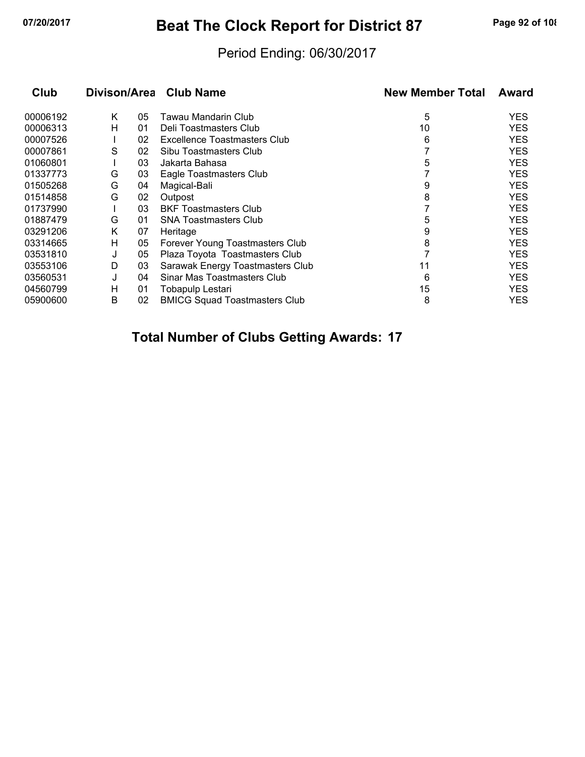# **07/20/2017 Beat The Clock Report for District 87 Page 92 of 108**

### Period Ending: 06/30/2017

| Club     | Divison/Area |    | <b>Club Name</b>                     | <b>New Member Total</b> | Award      |
|----------|--------------|----|--------------------------------------|-------------------------|------------|
| 00006192 | K            | 05 | Tawau Mandarin Club                  | 5                       | <b>YES</b> |
| 00006313 | н            | 01 | Deli Toastmasters Club               | 10                      | <b>YES</b> |
| 00007526 |              | 02 | Excellence Toastmasters Club         | 6                       | <b>YES</b> |
| 00007861 | S            | 02 | Sibu Toastmasters Club               |                         | <b>YES</b> |
| 01060801 |              | 03 | Jakarta Bahasa                       | 5                       | <b>YES</b> |
| 01337773 | G            | 03 | Eagle Toastmasters Club              |                         | <b>YES</b> |
| 01505268 | G            | 04 | Magical-Bali                         | 9                       | <b>YES</b> |
| 01514858 | G            | 02 | Outpost                              | 8                       | <b>YES</b> |
| 01737990 |              | 03 | <b>BKF Toastmasters Club</b>         |                         | <b>YES</b> |
| 01887479 | G            | 01 | <b>SNA Toastmasters Club</b>         | 5                       | <b>YES</b> |
| 03291206 | Κ            | 07 | Heritage                             | 9                       | <b>YES</b> |
| 03314665 | н            | 05 | Forever Young Toastmasters Club      | 8                       | <b>YES</b> |
| 03531810 | J            | 05 | Plaza Toyota Toastmasters Club       |                         | <b>YES</b> |
| 03553106 | D            | 03 | Sarawak Energy Toastmasters Club     | 11                      | <b>YES</b> |
| 03560531 | J            | 04 | Sinar Mas Toastmasters Club          | 6                       | <b>YES</b> |
| 04560799 | н            | 01 | Tobapulp Lestari                     | 15                      | <b>YES</b> |
| 05900600 | В            | 02 | <b>BMICG Squad Toastmasters Club</b> | 8                       | YES        |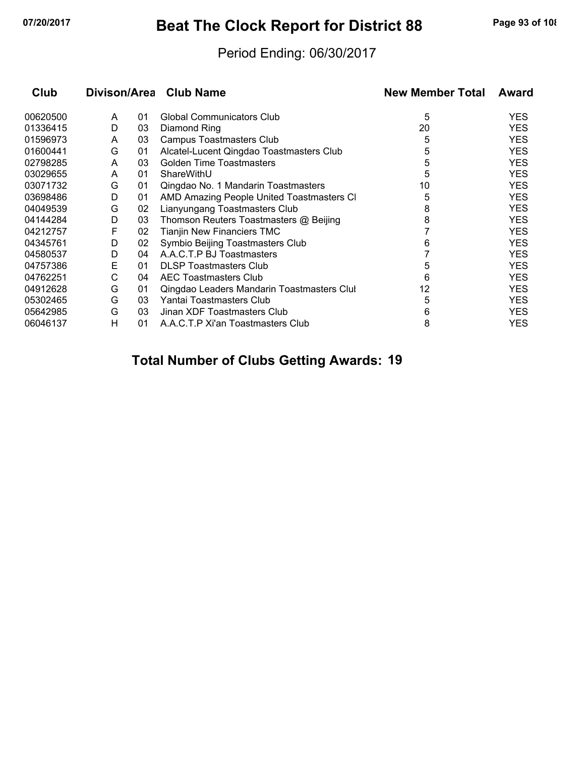# **07/20/2017 Beat The Clock Report for District 88 Page 93 of 108**

#### Period Ending: 06/30/2017

| Club     |   |    | Divison/Area Club Name                     | <b>New Member Total</b> | Award      |
|----------|---|----|--------------------------------------------|-------------------------|------------|
| 00620500 | A | 01 | <b>Global Communicators Club</b>           | 5                       | <b>YES</b> |
| 01336415 | D | 03 | Diamond Ring                               | 20                      | <b>YES</b> |
| 01596973 | A | 03 | <b>Campus Toastmasters Club</b>            | 5                       | <b>YES</b> |
| 01600441 | G | 01 | Alcatel-Lucent Qingdao Toastmasters Club   | 5                       | <b>YES</b> |
| 02798285 | A | 03 | <b>Golden Time Toastmasters</b>            | 5                       | <b>YES</b> |
| 03029655 | A | 01 | ShareWithU                                 | 5                       | <b>YES</b> |
| 03071732 | G | 01 | Qingdao No. 1 Mandarin Toastmasters        | 10                      | <b>YES</b> |
| 03698486 | D | 01 | AMD Amazing People United Toastmasters CI  | 5                       | <b>YES</b> |
| 04049539 | G | 02 | Lianyungang Toastmasters Club              | 8                       | <b>YES</b> |
| 04144284 | D | 03 | Thomson Reuters Toastmasters @ Beijing     | 8                       | <b>YES</b> |
| 04212757 | F | 02 | <b>Tianjin New Financiers TMC</b>          |                         | <b>YES</b> |
| 04345761 | D | 02 | Symbio Beijing Toastmasters Club           | 6                       | <b>YES</b> |
| 04580537 | D | 04 | A.A.C.T.P BJ Toastmasters                  |                         | <b>YES</b> |
| 04757386 | Е | 01 | <b>DLSP Toastmasters Club</b>              | 5                       | <b>YES</b> |
| 04762251 | C | 04 | AEC Toastmasters Club                      | 6                       | <b>YES</b> |
| 04912628 | G | 01 | Qingdao Leaders Mandarin Toastmasters Clul | 12                      | <b>YES</b> |
| 05302465 | G | 03 | Yantai Toastmasters Club                   | 5                       | <b>YES</b> |
| 05642985 | G | 03 | Jinan XDF Toastmasters Club                | 6                       | <b>YES</b> |
| 06046137 | н | 01 | A.A.C.T.P Xi'an Toastmasters Club          | 8                       | YES        |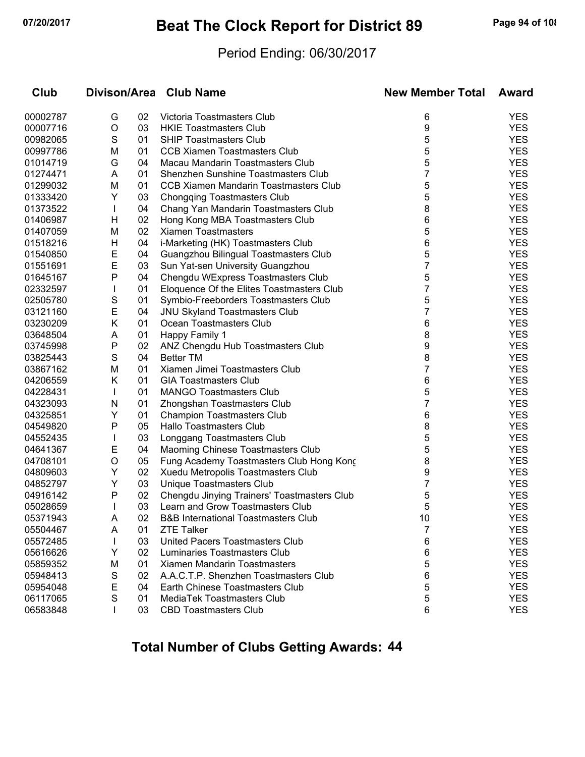# **07/20/2017 Beat The Clock Report for District 89 Page 94 of 108**

#### Period Ending: 06/30/2017

| Club     |              |    | Divison/Area Club Name                         | <b>New Member Total</b> | Award      |
|----------|--------------|----|------------------------------------------------|-------------------------|------------|
| 00002787 | G            | 02 | Victoria Toastmasters Club                     | 6                       | <b>YES</b> |
| 00007716 | $\circ$      | 03 | <b>HKIE Toastmasters Club</b>                  | 9                       | <b>YES</b> |
| 00982065 | S            | 01 | <b>SHIP Toastmasters Club</b>                  | 5                       | <b>YES</b> |
| 00997786 | M            | 01 | <b>CCB Xiamen Toastmasters Club</b>            | 5                       | <b>YES</b> |
| 01014719 | G            | 04 | Macau Mandarin Toastmasters Club               | 5                       | <b>YES</b> |
| 01274471 | A            | 01 | Shenzhen Sunshine Toastmasters Club            | 7                       | <b>YES</b> |
| 01299032 | M            | 01 | CCB Xiamen Mandarin Toastmasters Club          | 5                       | <b>YES</b> |
| 01333420 | Y            | 03 | <b>Chongqing Toastmasters Club</b>             | 5                       | <b>YES</b> |
| 01373522 | T            | 04 | Chang Yan Mandarin Toastmasters Club           | 8                       | <b>YES</b> |
| 01406987 | H            | 02 | Hong Kong MBA Toastmasters Club                | 6                       | <b>YES</b> |
| 01407059 | M            | 02 | <b>Xiamen Toastmasters</b>                     | 5                       | <b>YES</b> |
| 01518216 | H            | 04 | i-Marketing (HK) Toastmasters Club             | 6                       | <b>YES</b> |
| 01540850 | E            | 04 | Guangzhou Bilingual Toastmasters Club          | 5                       | <b>YES</b> |
| 01551691 | E            | 03 | Sun Yat-sen University Guangzhou               | 7                       | <b>YES</b> |
| 01645167 | P            | 04 | Chengdu WExpress Toastmasters Club             | 5                       | <b>YES</b> |
| 02332597 | L            | 01 | Eloquence Of the Elites Toastmasters Club      | 7                       | <b>YES</b> |
| 02505780 | S            | 01 | Symbio-Freeborders Toastmasters Club           | 5                       | <b>YES</b> |
| 03121160 | E            | 04 | <b>JNU Skyland Toastmasters Club</b>           | 7                       | <b>YES</b> |
| 03230209 | Κ            | 01 | Ocean Toastmasters Club                        | 6                       | <b>YES</b> |
| 03648504 | A            | 01 | Happy Family 1                                 | 8                       | <b>YES</b> |
| 03745998 | P            | 02 | ANZ Chengdu Hub Toastmasters Club              | 9                       | <b>YES</b> |
| 03825443 | S            | 04 | <b>Better TM</b>                               | 8                       | <b>YES</b> |
| 03867162 | M            | 01 | Xiamen Jimei Toastmasters Club                 | 7                       | <b>YES</b> |
| 04206559 | Κ            | 01 | <b>GIA Toastmasters Club</b>                   | 6                       | <b>YES</b> |
| 04228431 | $\mathbf{I}$ | 01 | <b>MANGO Toastmasters Club</b>                 | 5                       | <b>YES</b> |
| 04323093 | N            | 01 | Zhongshan Toastmasters Club                    | 7                       | <b>YES</b> |
| 04325851 | Y            | 01 | <b>Champion Toastmasters Club</b>              | 6                       | <b>YES</b> |
| 04549820 | P            | 05 | Hallo Toastmasters Club                        | 8                       | <b>YES</b> |
| 04552435 | T            | 03 | Longgang Toastmasters Club                     | 5                       | <b>YES</b> |
| 04641367 | E            | 04 | Maoming Chinese Toastmasters Club              | 5                       | <b>YES</b> |
| 04708101 | O            | 05 | Fung Academy Toastmasters Club Hong Kong       | 8                       | <b>YES</b> |
| 04809603 | Y            | 02 | Xuedu Metropolis Toastmasters Club             | 9                       | <b>YES</b> |
| 04852797 | Y            | 03 | Unique Toastmasters Club                       | 7                       | <b>YES</b> |
| 04916142 | P            | 02 | Chengdu Jinying Trainers' Toastmasters Club    | 5                       | <b>YES</b> |
| 05028659 | L            | 03 | Learn and Grow Toastmasters Club               | 5                       | <b>YES</b> |
| 05371943 | A            | 02 | <b>B&amp;B International Toastmasters Club</b> | 10                      | <b>YES</b> |
| 05504467 | A            | 01 | <b>ZTE Talker</b>                              | 7                       | <b>YES</b> |
| 05572485 | $\mathbf{I}$ | 03 | United Pacers Toastmasters Club                | 6                       | <b>YES</b> |
| 05616626 | Y            | 02 | Luminaries Toastmasters Club                   | 6                       | <b>YES</b> |
| 05859352 | M            | 01 | Xiamen Mandarin Toastmasters                   | 5                       | <b>YES</b> |
| 05948413 | S            | 02 | A.A.C.T.P. Shenzhen Toastmasters Club          | 6                       | <b>YES</b> |
| 05954048 | Е            | 04 | Earth Chinese Toastmasters Club                | 5                       | <b>YES</b> |
| 06117065 | S            | 01 | MediaTek Toastmasters Club                     | 5                       | <b>YES</b> |
| 06583848 |              | 03 | <b>CBD Toastmasters Club</b>                   | 6                       | <b>YES</b> |
|          |              |    |                                                |                         |            |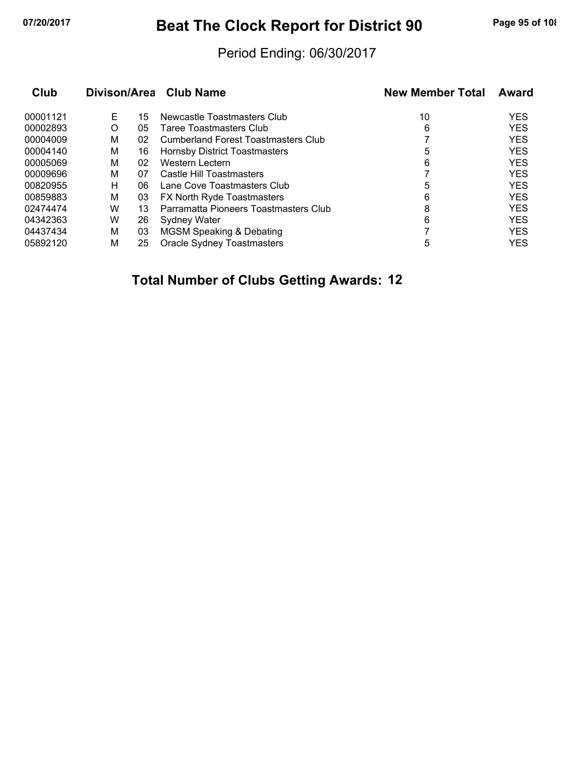# **07/20/2017 Beat The Clock Report for District 90 Page 95 of 108**

#### Period Ending: 06/30/2017

| Club     |   |    | Divison/Area Club Name                | <b>New Member Total</b> | Award      |
|----------|---|----|---------------------------------------|-------------------------|------------|
| 00001121 | Е | 15 | Newcastle Toastmasters Club           | 10                      | <b>YES</b> |
| 00002893 | O | 05 | Taree Toastmasters Club               | 6                       | <b>YES</b> |
| 00004009 | м | 02 | Cumberland Forest Toastmasters Club   |                         | <b>YES</b> |
| 00004140 | м | 16 | <b>Hornsby District Toastmasters</b>  | 5                       | <b>YES</b> |
| 00005069 | м | 02 | Western Lectern                       | 6                       | <b>YES</b> |
| 00009696 | M | 07 | Castle Hill Toastmasters              |                         | <b>YES</b> |
| 00820955 | н | 06 | Lane Cove Toastmasters Club           | 5                       | <b>YES</b> |
| 00859883 | м | 03 | <b>FX North Ryde Toastmasters</b>     | 6                       | <b>YES</b> |
| 02474474 | W | 13 | Parramatta Pioneers Toastmasters Club | 8                       | <b>YES</b> |
| 04342363 | W | 26 | <b>Sydney Water</b>                   | 6                       | <b>YES</b> |
| 04437434 | М | 03 | <b>MGSM Speaking &amp; Debating</b>   |                         | <b>YES</b> |
| 05892120 | М | 25 | Oracle Sydney Toastmasters            | 5                       | <b>YES</b> |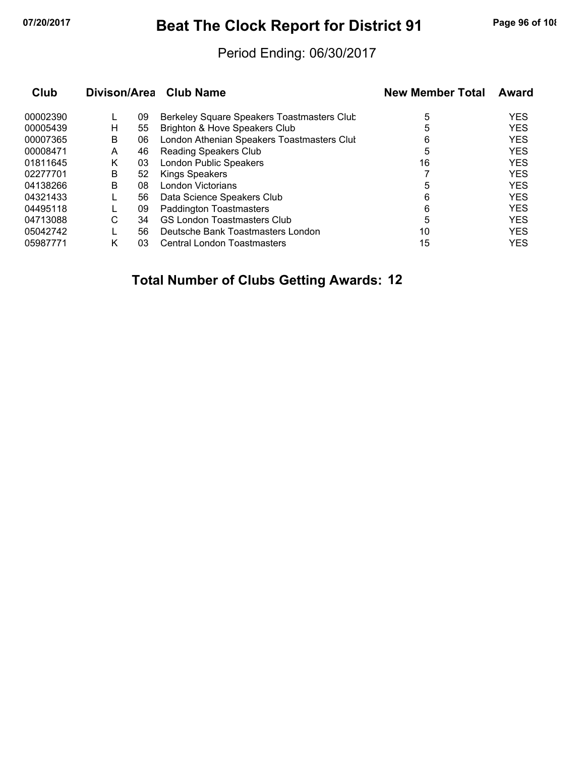# **07/20/2017 Beat The Clock Report for District 91 Page 96 of 108**

#### Period Ending: 06/30/2017

| Club     | Divison/Area |    | <b>Club Name</b>                           | <b>New Member Total</b> | Award      |
|----------|--------------|----|--------------------------------------------|-------------------------|------------|
| 00002390 |              | 09 | Berkeley Square Speakers Toastmasters Club | 5                       | <b>YES</b> |
| 00005439 | н            | 55 | Brighton & Hove Speakers Club              | 5                       | <b>YES</b> |
| 00007365 | B            | 06 | London Athenian Speakers Toastmasters Clul | 6                       | <b>YES</b> |
| 00008471 | A            | 46 | <b>Reading Speakers Club</b>               | 5                       | <b>YES</b> |
| 01811645 | Κ            | 03 | London Public Speakers                     | 16                      | <b>YES</b> |
| 02277701 | B            | 52 | <b>Kings Speakers</b>                      |                         | <b>YES</b> |
| 04138266 | В            | 08 | London Victorians                          | 5                       | <b>YES</b> |
| 04321433 |              | 56 | Data Science Speakers Club                 | 6                       | <b>YES</b> |
| 04495118 |              | 09 | <b>Paddington Toastmasters</b>             | 6                       | <b>YES</b> |
| 04713088 | С            | 34 | <b>GS London Toastmasters Club</b>         | 5                       | <b>YES</b> |
| 05042742 |              | 56 | Deutsche Bank Toastmasters London          | 10                      | <b>YES</b> |
| 05987771 | κ            | 03 | Central London Toastmasters                | 15                      | <b>YES</b> |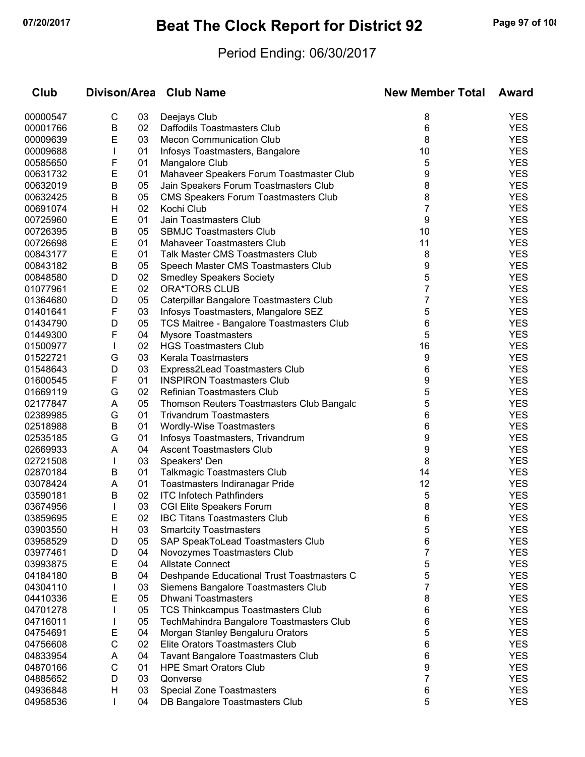# **07/20/2017 Beat The Clock Report for District 92 Page 97 of 108**

### Period Ending: 06/30/2017

| Club                 |              |          | Divison/Area Club Name                                               | <b>New Member Total</b> | <b>Award</b>             |
|----------------------|--------------|----------|----------------------------------------------------------------------|-------------------------|--------------------------|
| 00000547             | С            | 03       | Deejays Club                                                         | 8                       | <b>YES</b>               |
| 00001766             | B            | 02       | Daffodils Toastmasters Club                                          | 6                       | <b>YES</b>               |
| 00009639             | Е            | 03       | <b>Mecon Communication Club</b>                                      | 8                       | <b>YES</b>               |
| 00009688             | $\mathbf{I}$ | 01       | Infosys Toastmasters, Bangalore                                      | 10                      | <b>YES</b>               |
| 00585650             | F            | 01       | Mangalore Club                                                       | 5                       | <b>YES</b>               |
| 00631732             | E            | 01       | Mahaveer Speakers Forum Toastmaster Club                             | 9                       | <b>YES</b>               |
| 00632019             | B            | 05       | Jain Speakers Forum Toastmasters Club                                | 8                       | <b>YES</b>               |
| 00632425             | B            | 05       | CMS Speakers Forum Toastmasters Club                                 | 8                       | <b>YES</b>               |
| 00691074             | Н            | 02       | Kochi Club                                                           | 7                       | <b>YES</b>               |
| 00725960             | E            | 01       | Jain Toastmasters Club                                               | 9                       | <b>YES</b>               |
| 00726395             | B            | 05       | <b>SBMJC Toastmasters Club</b>                                       | 10                      | <b>YES</b>               |
| 00726698             | Е            | 01       | <b>Mahaveer Toastmasters Club</b>                                    | 11                      | <b>YES</b>               |
| 00843177             | Е            | 01       | <b>Talk Master CMS Toastmasters Club</b>                             | 8                       | <b>YES</b>               |
| 00843182             | B            | 05       | Speech Master CMS Toastmasters Club                                  | 9                       | <b>YES</b>               |
| 00848580             | D            | 02       | <b>Smedley Speakers Society</b>                                      | 5                       | <b>YES</b>               |
| 01077961             | Е            | 02       | <b>ORA*TORS CLUB</b>                                                 | 7                       | <b>YES</b>               |
| 01364680             | D            | 05       | Caterpillar Bangalore Toastmasters Club                              | 7                       | <b>YES</b>               |
| 01401641             | F            | 03       | Infosys Toastmasters, Mangalore SEZ                                  | 5                       | <b>YES</b>               |
| 01434790             | D            | 05       | TCS Maitree - Bangalore Toastmasters Club                            | 6                       | <b>YES</b>               |
| 01449300             | F            | 04       | <b>Mysore Toastmasters</b>                                           | 5                       | <b>YES</b>               |
| 01500977             | $\mathbf{I}$ | 02       | <b>HGS Toastmasters Club</b>                                         | 16                      | <b>YES</b>               |
| 01522721             | G            | 03       | Kerala Toastmasters                                                  | 9                       | <b>YES</b>               |
| 01548643             | D            | 03       | Express2Lead Toastmasters Club                                       | 6                       | <b>YES</b>               |
| 01600545             | F            | 01       | <b>INSPIRON Toastmasters Club</b>                                    | 9                       | <b>YES</b>               |
| 01669119             | G            | 02       | Refinian Toastmasters Club                                           | 5                       | <b>YES</b>               |
| 02177847             | A            | 05       | Thomson Reuters Toastmasters Club Bangalc                            | 5                       | <b>YES</b>               |
| 02389985             | G            | 01       | <b>Trivandrum Toastmasters</b>                                       | 6                       | <b>YES</b>               |
| 02518988             | B            | 01       | Wordly-Wise Toastmasters                                             | 6                       | <b>YES</b>               |
| 02535185             | G            | 01       | Infosys Toastmasters, Trivandrum                                     | 9                       | <b>YES</b>               |
| 02669933             | A            | 04       | <b>Ascent Toastmasters Club</b>                                      | 9                       | <b>YES</b>               |
| 02721508             | $\mathbf{I}$ | 03       | Speakers' Den                                                        | 8                       | <b>YES</b>               |
| 02870184<br>03078424 | B<br>A       | 01<br>01 | <b>Talkmagic Toastmasters Club</b><br>Toastmasters Indiranagar Pride | 14<br>12                | <b>YES</b><br><b>YES</b> |
| 03590181             | в            | 02       | <b>ITC Infotech Pathfinders</b>                                      | 5                       | <b>YES</b>               |
| 03674956             | L            | 03       | <b>CGI Elite Speakers Forum</b>                                      | 8                       | <b>YES</b>               |
| 03859695             | E            | 02       | <b>IBC Titans Toastmasters Club</b>                                  | 6                       | <b>YES</b>               |
| 03903550             | H            | 03       | <b>Smartcity Toastmasters</b>                                        | 5                       | <b>YES</b>               |
| 03958529             | D            | 05       | SAP SpeakToLead Toastmasters Club                                    | 6                       | <b>YES</b>               |
| 03977461             | D            | 04       | Novozymes Toastmasters Club                                          | 7                       | <b>YES</b>               |
| 03993875             | Е            | 04       | <b>Allstate Connect</b>                                              | 5                       | <b>YES</b>               |
| 04184180             | B            | 04       | Deshpande Educational Trust Toastmasters C                           | 5                       | <b>YES</b>               |
| 04304110             |              | 03       | Siemens Bangalore Toastmasters Club                                  | 7                       | <b>YES</b>               |
| 04410336             | E            | 05       | <b>Dhwani Toastmasters</b>                                           | 8                       | <b>YES</b>               |
| 04701278             |              | 05       | <b>TCS Thinkcampus Toastmasters Club</b>                             | 6                       | <b>YES</b>               |
| 04716011             |              | 05       | TechMahindra Bangalore Toastmasters Club                             | 6                       | <b>YES</b>               |
| 04754691             | Е            | 04       | Morgan Stanley Bengaluru Orators                                     | 5                       | <b>YES</b>               |
| 04756608             | C            | 02       | Elite Orators Toastmasters Club                                      | 6                       | <b>YES</b>               |
| 04833954             | A            | 04       | <b>Tavant Bangalore Toastmasters Club</b>                            | 6                       | <b>YES</b>               |
| 04870166             | С            | 01       | <b>HPE Smart Orators Club</b>                                        | 9                       | <b>YES</b>               |
| 04885652             | D            | 03       | Qonverse                                                             | 7                       | <b>YES</b>               |
| 04936848             | H            | 03       | <b>Special Zone Toastmasters</b>                                     | 6                       | <b>YES</b>               |
| 04958536             | $\mathbf{I}$ | 04       | DB Bangalore Toastmasters Club                                       | 5                       | <b>YES</b>               |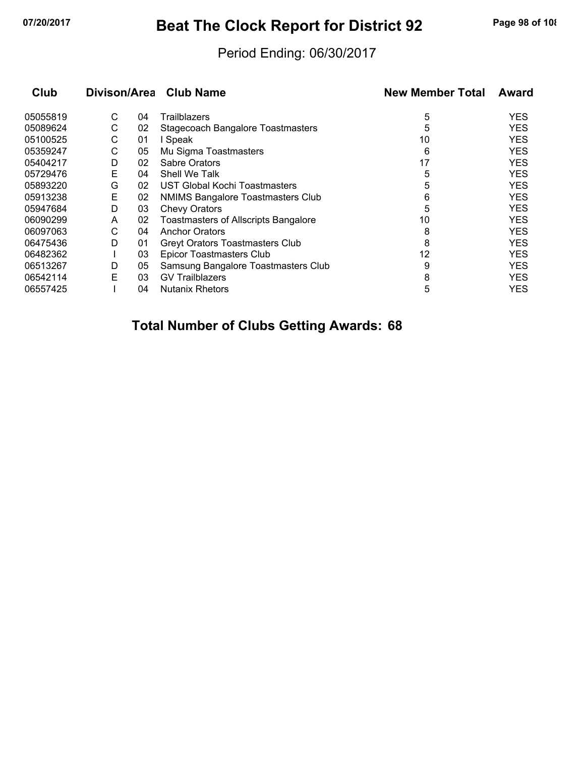# **07/20/2017 Beat The Clock Report for District 92 Page 98 of 108**

#### Period Ending: 06/30/2017

| Club     | Divison/Area Club Name |    |                                             | <b>New Member Total</b> | Award      |  |
|----------|------------------------|----|---------------------------------------------|-------------------------|------------|--|
| 05055819 | С                      | 04 | <b>Trailblazers</b>                         | 5                       | <b>YES</b> |  |
| 05089624 | С                      | 02 | Stagecoach Bangalore Toastmasters           | 5                       | <b>YES</b> |  |
| 05100525 | С                      | 01 | Speak                                       | 10                      | YES        |  |
| 05359247 | С                      | 05 | Mu Sigma Toastmasters                       | 6                       | <b>YES</b> |  |
| 05404217 | D                      | 02 | <b>Sabre Orators</b>                        | 17                      | <b>YES</b> |  |
| 05729476 | Е                      | 04 | Shell We Talk                               | 5                       | <b>YES</b> |  |
| 05893220 | G                      | 02 | UST Global Kochi Toastmasters               | 5                       | <b>YES</b> |  |
| 05913238 | E                      | 02 | NMIMS Bangalore Toastmasters Club           | 6                       | <b>YES</b> |  |
| 05947684 | D                      | 03 | <b>Chevy Orators</b>                        | 5                       | <b>YES</b> |  |
| 06090299 | A                      | 02 | <b>Toastmasters of Allscripts Bangalore</b> | 10                      | <b>YES</b> |  |
| 06097063 | С                      | 04 | <b>Anchor Orators</b>                       | 8                       | <b>YES</b> |  |
| 06475436 | D                      | 01 | <b>Greyt Orators Toastmasters Club</b>      | 8                       | <b>YES</b> |  |
| 06482362 |                        | 03 | <b>Epicor Toastmasters Club</b>             | 12                      | <b>YES</b> |  |
| 06513267 | D                      | 05 | Samsung Bangalore Toastmasters Club         | 9                       | <b>YES</b> |  |
| 06542114 | E                      | 03 | <b>GV Trailblazers</b>                      | 8                       | <b>YES</b> |  |
| 06557425 |                        | 04 | <b>Nutanix Rhetors</b>                      | 5                       | YES        |  |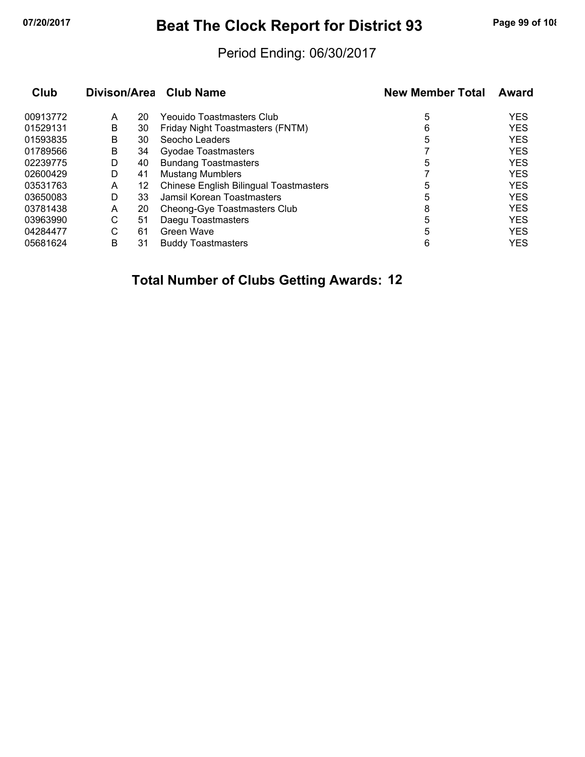# **07/20/2017 Beat The Clock Report for District 93 Page 99 of 108**

#### Period Ending: 06/30/2017

|   |    |                                               | <b>New Member Total</b> | Award      |
|---|----|-----------------------------------------------|-------------------------|------------|
| A | 20 | Yeouido Toastmasters Club                     | 5                       | <b>YES</b> |
| В | 30 | Friday Night Toastmasters (FNTM)              | 6                       | <b>YES</b> |
| B | 30 | Seocho Leaders                                | 5                       | <b>YES</b> |
| В | 34 | Gyodae Toastmasters                           |                         | <b>YES</b> |
| D | 40 | <b>Bundang Toastmasters</b>                   | 5                       | <b>YES</b> |
| D | 41 | <b>Mustang Mumblers</b>                       |                         | <b>YES</b> |
| A | 12 | <b>Chinese English Bilingual Toastmasters</b> | 5                       | <b>YES</b> |
| D | 33 | Jamsil Korean Toastmasters                    | 5                       | <b>YES</b> |
| A | 20 | Cheong-Gye Toastmasters Club                  | 8                       | <b>YES</b> |
| С | 51 | Daegu Toastmasters                            | 5                       | <b>YES</b> |
| C | 61 | Green Wave                                    | 5                       | <b>YES</b> |
| B | 31 | <b>Buddy Toastmasters</b>                     | 6                       | <b>YES</b> |
|   |    |                                               | Divison/Area Club Name  |            |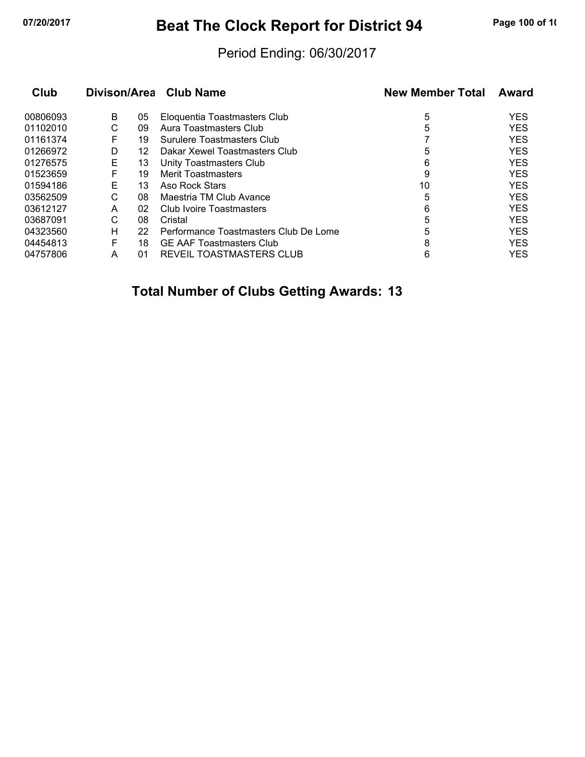# **07/20/2017 Beat The Clock Report for District 94 Page 100 of 10**

#### Period Ending: 06/30/2017

| Club     |   |    | Divison/Area Club Name                | <b>New Member Total</b> | Award      |  |
|----------|---|----|---------------------------------------|-------------------------|------------|--|
| 00806093 | B | 05 | Eloquentia Toastmasters Club          | 5                       | <b>YES</b> |  |
| 01102010 | С | 09 | Aura Toastmasters Club                | 5                       | <b>YES</b> |  |
| 01161374 | F | 19 | Surulere Toastmasters Club            |                         | <b>YES</b> |  |
| 01266972 | D | 12 | Dakar Xewel Toastmasters Club         | 5                       | <b>YES</b> |  |
| 01276575 | Е | 13 | Unity Toastmasters Club               | 6                       | <b>YES</b> |  |
| 01523659 | F | 19 | <b>Merit Toastmasters</b>             | 9                       | <b>YES</b> |  |
| 01594186 | E | 13 | Aso Rock Stars                        | 10                      | <b>YES</b> |  |
| 03562509 | С | 08 | Maestria TM Club Avance               | 5                       | <b>YES</b> |  |
| 03612127 | A | 02 | Club Ivoire Toastmasters              | 6                       | <b>YES</b> |  |
| 03687091 | С | 08 | Cristal                               | 5                       | <b>YES</b> |  |
| 04323560 | н | 22 | Performance Toastmasters Club De Lome | 5                       | <b>YES</b> |  |
| 04454813 | F | 18 | <b>GE AAF Toastmasters Club</b>       | 8                       | <b>YES</b> |  |
| 04757806 | А | 01 | REVEIL TOASTMASTERS CLUB              | 6                       | <b>YES</b> |  |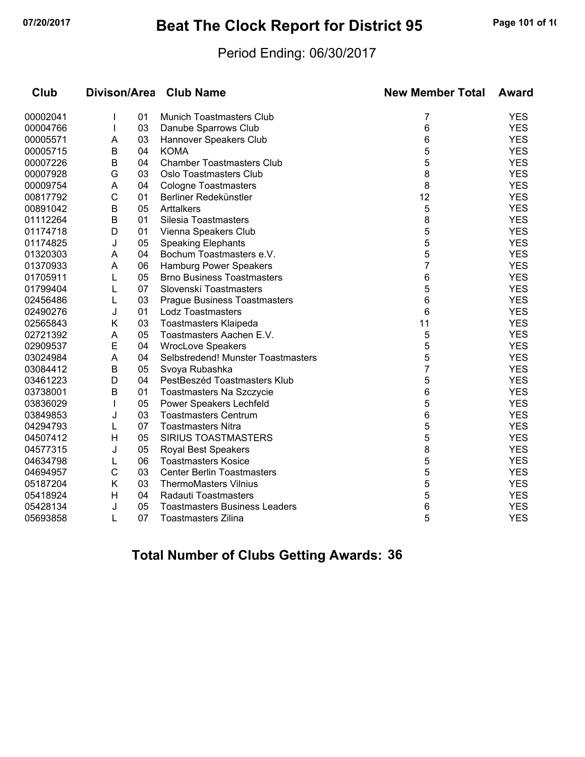# **07/20/2017 Beat The Clock Report for District 95 Page 101 of 10**

#### Period Ending: 06/30/2017

| Club     | Divison/Area |    | <b>Club Name</b>                     | <b>New Member Total</b> | <b>Award</b> |  |
|----------|--------------|----|--------------------------------------|-------------------------|--------------|--|
| 00002041 |              | 01 | <b>Munich Toastmasters Club</b>      | 7                       | <b>YES</b>   |  |
| 00004766 |              | 03 | Danube Sparrows Club                 | 6                       | <b>YES</b>   |  |
| 00005571 | A            | 03 | Hannover Speakers Club               | 6                       | <b>YES</b>   |  |
| 00005715 | В            | 04 | <b>KOMA</b>                          | 5                       | <b>YES</b>   |  |
| 00007226 | В            | 04 | <b>Chamber Toastmasters Club</b>     | 5                       | <b>YES</b>   |  |
| 00007928 | G            | 03 | Oslo Toastmasters Club               | 8                       | <b>YES</b>   |  |
| 00009754 | A            | 04 | <b>Cologne Toastmasters</b>          | 8                       | <b>YES</b>   |  |
| 00817792 | C            | 01 | Berliner Redekünstler                | 12                      | <b>YES</b>   |  |
| 00891042 | В            | 05 | Arttalkers                           | 5                       | <b>YES</b>   |  |
| 01112264 | В            | 01 | Silesia Toastmasters                 | 8                       | <b>YES</b>   |  |
| 01174718 | D            | 01 | Vienna Speakers Club                 | 5                       | <b>YES</b>   |  |
| 01174825 | J            | 05 | <b>Speaking Elephants</b>            | 5                       | <b>YES</b>   |  |
| 01320303 | A            | 04 | Bochum Toastmasters e.V.             | 5                       | <b>YES</b>   |  |
| 01370933 | A            | 06 | Hamburg Power Speakers               | 7                       | <b>YES</b>   |  |
| 01705911 | L            | 05 | <b>Brno Business Toastmasters</b>    | 6                       | <b>YES</b>   |  |
| 01799404 | L            | 07 | Slovenskí Toastmasters               | 5                       | <b>YES</b>   |  |
| 02456486 | L            | 03 | <b>Prague Business Toastmasters</b>  | 6                       | <b>YES</b>   |  |
| 02490276 | J            | 01 | <b>Lodz Toastmasters</b>             | 6                       | <b>YES</b>   |  |
| 02565843 | Κ            | 03 | <b>Toastmasters Klaipeda</b>         | 11                      | <b>YES</b>   |  |
| 02721392 | A            | 05 | Toastmasters Aachen E.V.             | 5                       | <b>YES</b>   |  |
| 02909537 | Е            | 04 | <b>WrocLove Speakers</b>             | 5                       | <b>YES</b>   |  |
| 03024984 | A            | 04 | Selbstredend! Munster Toastmasters   | 5                       | <b>YES</b>   |  |
| 03084412 | B            | 05 | Svoya Rubashka                       | $\overline{7}$          | <b>YES</b>   |  |
| 03461223 | D            | 04 | PestBeszéd Toastmasters Klub         | 5                       | <b>YES</b>   |  |
| 03738001 | В            | 01 | Toastmasters Na Szczycie             | 6                       | <b>YES</b>   |  |
| 03836029 | $\mathbf{I}$ | 05 | Power Speakers Lechfeld              | 5                       | <b>YES</b>   |  |
| 03849853 | J            | 03 | <b>Toastmasters Centrum</b>          | 6                       | <b>YES</b>   |  |
| 04294793 | L            | 07 | <b>Toastmasters Nitra</b>            | 5                       | <b>YES</b>   |  |
| 04507412 | H            | 05 | <b>SIRIUS TOASTMASTERS</b>           | 5                       | <b>YES</b>   |  |
| 04577315 | J            | 05 | <b>Royal Best Speakers</b>           | 8                       | <b>YES</b>   |  |
| 04634798 | L            | 06 | <b>Toastmasters Kosice</b>           | 5                       | <b>YES</b>   |  |
| 04694957 | C            | 03 | <b>Center Berlin Toastmasters</b>    | 5                       | <b>YES</b>   |  |
| 05187204 | Κ            | 03 | <b>ThermoMasters Vilnius</b>         | 5                       | <b>YES</b>   |  |
| 05418924 | H            | 04 | Radauti Toastmasters                 | 5                       | <b>YES</b>   |  |
| 05428134 | J            | 05 | <b>Toastmasters Business Leaders</b> | 6                       | <b>YES</b>   |  |
| 05693858 | L            | 07 | <b>Toastmasters Zilina</b>           | 5                       | <b>YES</b>   |  |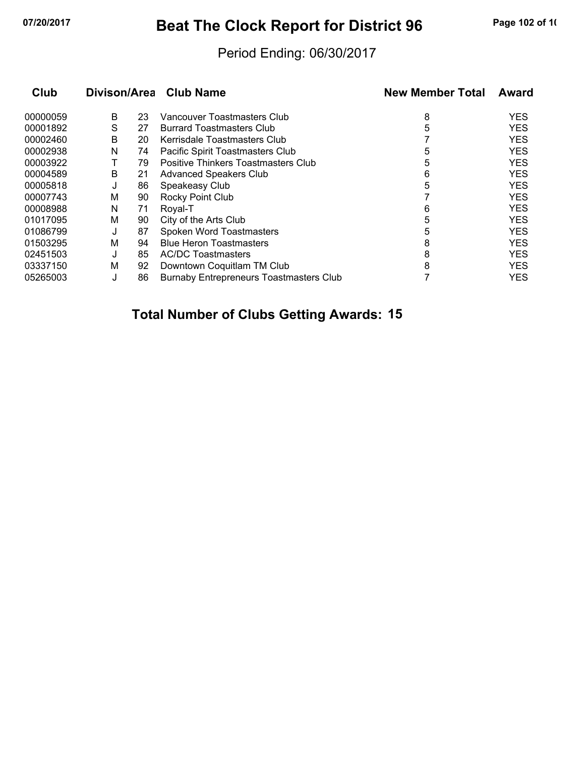# **07/20/2017 Beat The Clock Report for District 96 Page 102 of 10**

### Period Ending: 06/30/2017

| Club     | Divison/Area |    | <b>Club Name</b>                               | <b>New Member Total</b> | Award      |  |
|----------|--------------|----|------------------------------------------------|-------------------------|------------|--|
| 00000059 | В            | 23 | Vancouver Toastmasters Club                    | 8                       | <b>YES</b> |  |
| 00001892 | S            | 27 | <b>Burrard Toastmasters Club</b>               | 5                       | <b>YES</b> |  |
| 00002460 | B            | 20 | Kerrisdale Toastmasters Club                   |                         | <b>YES</b> |  |
| 00002938 | N            | 74 | Pacific Spirit Toastmasters Club               | 5                       | <b>YES</b> |  |
| 00003922 |              | 79 | Positive Thinkers Toastmasters Club            | 5                       | <b>YES</b> |  |
| 00004589 | В            | 21 | <b>Advanced Speakers Club</b>                  | 6                       | <b>YES</b> |  |
| 00005818 | J            | 86 | Speakeasy Club                                 | 5                       | <b>YES</b> |  |
| 00007743 | М            | 90 | Rocky Point Club                               |                         | <b>YES</b> |  |
| 00008988 | N            | 71 | Royal-T                                        | 6                       | <b>YES</b> |  |
| 01017095 | М            | 90 | City of the Arts Club                          | 5                       | <b>YES</b> |  |
| 01086799 | J            | 87 | Spoken Word Toastmasters                       | 5                       | <b>YES</b> |  |
| 01503295 | M            | 94 | <b>Blue Heron Toastmasters</b>                 | 8                       | <b>YES</b> |  |
| 02451503 | J            | 85 | <b>AC/DC Toastmasters</b>                      | 8                       | <b>YES</b> |  |
| 03337150 | M            | 92 | Downtown Coquitlam TM Club                     | 8                       | <b>YES</b> |  |
| 05265003 | J            | 86 | <b>Burnaby Entrepreneurs Toastmasters Club</b> |                         | <b>YES</b> |  |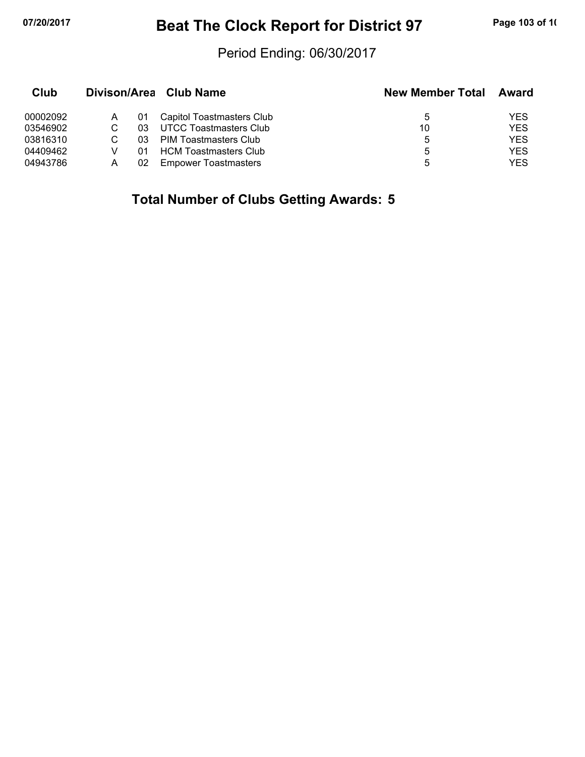# **07/20/2017 Beat The Clock Report for District 97 Page 103 of 10**

#### Period Ending: 06/30/2017

| Club     |   |     | Divison/Area Club Name       | <b>New Member Total</b> | Award      |
|----------|---|-----|------------------------------|-------------------------|------------|
| 00002092 |   | 01  | Capitol Toastmasters Club    | 5                       | YES        |
| 03546902 |   | 03  | UTCC Toastmasters Club       | 10                      | <b>YES</b> |
| 03816310 |   | 03. | PIM Toastmasters Club        | 5                       | <b>YES</b> |
| 04409462 |   | 01  | <b>HCM Toastmasters Club</b> | 5                       | <b>YES</b> |
| 04943786 | А | 02  | <b>Empower Toastmasters</b>  | 5                       | <b>YES</b> |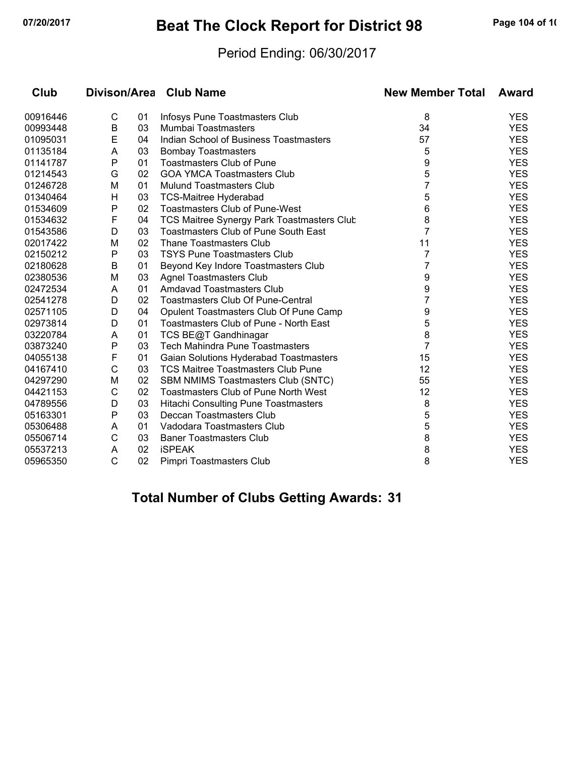# **07/20/2017 Beat The Clock Report for District 98 Page 104 of 10**

#### Period Ending: 06/30/2017

| Club     | Divison/Area Club Name |    |                                             | <b>New Member Total</b> | Award      |  |
|----------|------------------------|----|---------------------------------------------|-------------------------|------------|--|
| 00916446 | C                      | 01 | Infosys Pune Toastmasters Club              | 8                       | <b>YES</b> |  |
| 00993448 | $\sf B$                | 03 | Mumbai Toastmasters                         | 34                      | <b>YES</b> |  |
| 01095031 | E                      | 04 | Indian School of Business Toastmasters      | 57                      | <b>YES</b> |  |
| 01135184 | A                      | 03 | <b>Bombay Toastmasters</b>                  | 5                       | <b>YES</b> |  |
| 01141787 | P                      | 01 | <b>Toastmasters Club of Pune</b>            | 9                       | <b>YES</b> |  |
| 01214543 | G                      | 02 | <b>GOA YMCA Toastmasters Club</b>           | 5                       | <b>YES</b> |  |
| 01246728 | M                      | 01 | <b>Mulund Toastmasters Club</b>             | 7                       | <b>YES</b> |  |
| 01340464 | H                      | 03 | <b>TCS-Maitree Hyderabad</b>                | 5                       | <b>YES</b> |  |
| 01534609 | P                      | 02 | <b>Toastmasters Club of Pune-West</b>       | 6                       | <b>YES</b> |  |
| 01534632 | F                      | 04 | TCS Maitree Synergy Park Toastmasters Club  | 8                       | <b>YES</b> |  |
| 01543586 | D                      | 03 | <b>Toastmasters Club of Pune South East</b> | 7                       | <b>YES</b> |  |
| 02017422 | M                      | 02 | <b>Thane Toastmasters Club</b>              | 11                      | <b>YES</b> |  |
| 02150212 | Ρ                      | 03 | <b>TSYS Pune Toastmasters Club</b>          | 7                       | <b>YES</b> |  |
| 02180628 | B                      | 01 | Beyond Key Indore Toastmasters Club         | 7                       | <b>YES</b> |  |
| 02380536 | M                      | 03 | <b>Agnel Toastmasters Club</b>              | 9                       | <b>YES</b> |  |
| 02472534 | A                      | 01 | Amdavad Toastmasters Club                   | 9                       | <b>YES</b> |  |
| 02541278 | D                      | 02 | <b>Toastmasters Club Of Pune-Central</b>    | 7                       | <b>YES</b> |  |
| 02571105 | D                      | 04 | Opulent Toastmasters Club Of Pune Camp      | 9                       | <b>YES</b> |  |
| 02973814 | D                      | 01 | Toastmasters Club of Pune - North East      | 5                       | <b>YES</b> |  |
| 03220784 | A                      | 01 | TCS BE@T Gandhinagar                        | 8                       | <b>YES</b> |  |
| 03873240 | P                      | 03 | <b>Tech Mahindra Pune Toastmasters</b>      | 7                       | <b>YES</b> |  |
| 04055138 | F                      | 01 | Gaian Solutions Hyderabad Toastmasters      | 15                      | <b>YES</b> |  |
| 04167410 | C                      | 03 | <b>TCS Maitree Toastmasters Club Pune</b>   | 12                      | <b>YES</b> |  |
| 04297290 | M                      | 02 | SBM NMIMS Toastmasters Club (SNTC)          | 55                      | <b>YES</b> |  |
| 04421153 | С                      | 02 | <b>Toastmasters Club of Pune North West</b> | 12                      | <b>YES</b> |  |
| 04789556 | D                      | 03 | <b>Hitachi Consulting Pune Toastmasters</b> | 8                       | <b>YES</b> |  |
| 05163301 | P                      | 03 | Deccan Toastmasters Club                    | 5                       | <b>YES</b> |  |
| 05306488 | A                      | 01 | Vadodara Toastmasters Club                  | 5                       | <b>YES</b> |  |
| 05506714 | C                      | 03 | <b>Baner Toastmasters Club</b>              | 8                       | <b>YES</b> |  |
| 05537213 | A                      | 02 | <b>iSPEAK</b>                               | 8                       | <b>YES</b> |  |
| 05965350 | $\mathsf{C}$           | 02 | Pimpri Toastmasters Club                    | 8                       | <b>YES</b> |  |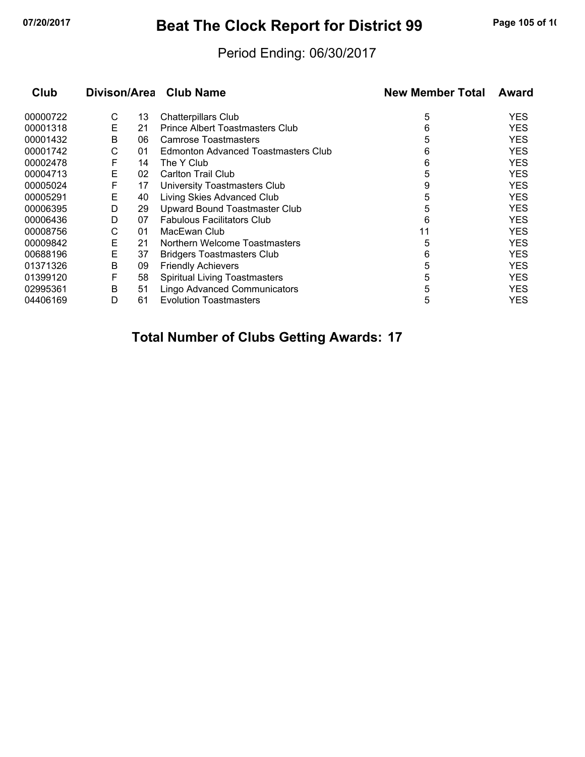# **07/20/2017 Beat The Clock Report for District 99 Page 105 of 10**

### Period Ending: 06/30/2017

| <b>Club</b> | Divison/Area Club Name |    |                                      | <b>New Member Total</b> | Award      |  |
|-------------|------------------------|----|--------------------------------------|-------------------------|------------|--|
| 00000722    | С                      | 13 | <b>Chatterpillars Club</b>           | 5                       | <b>YES</b> |  |
| 00001318    | E                      | 21 | Prince Albert Toastmasters Club      | 6                       | <b>YES</b> |  |
| 00001432    | B                      | 06 | Camrose Toastmasters                 | 5                       | <b>YES</b> |  |
| 00001742    | С                      | 01 | Edmonton Advanced Toastmasters Club  | 6                       | <b>YES</b> |  |
| 00002478    | F                      | 14 | The Y Club                           | 6                       | <b>YES</b> |  |
| 00004713    | Е                      | 02 | <b>Carlton Trail Club</b>            | 5                       | <b>YES</b> |  |
| 00005024    | F                      | 17 | University Toastmasters Club         | 9                       | <b>YES</b> |  |
| 00005291    | Е                      | 40 | Living Skies Advanced Club           | 5                       | <b>YES</b> |  |
| 00006395    | D                      | 29 | Upward Bound Toastmaster Club        | 5                       | <b>YES</b> |  |
| 00006436    | D                      | 07 | <b>Fabulous Facilitators Club</b>    | 6                       | <b>YES</b> |  |
| 00008756    | С                      | 01 | MacEwan Club                         | 11                      | <b>YES</b> |  |
| 00009842    | E                      | 21 | Northern Welcome Toastmasters        | 5                       | <b>YES</b> |  |
| 00688196    | Е                      | 37 | <b>Bridgers Toastmasters Club</b>    | 6                       | <b>YES</b> |  |
| 01371326    | B                      | 09 | <b>Friendly Achievers</b>            | 5                       | <b>YES</b> |  |
| 01399120    | F                      | 58 | <b>Spiritual Living Toastmasters</b> | 5                       | <b>YES</b> |  |
| 02995361    | В                      | 51 | <b>Lingo Advanced Communicators</b>  | 5                       | <b>YES</b> |  |
| 04406169    | D                      | 61 | <b>Evolution Toastmasters</b>        | 5                       | YES        |  |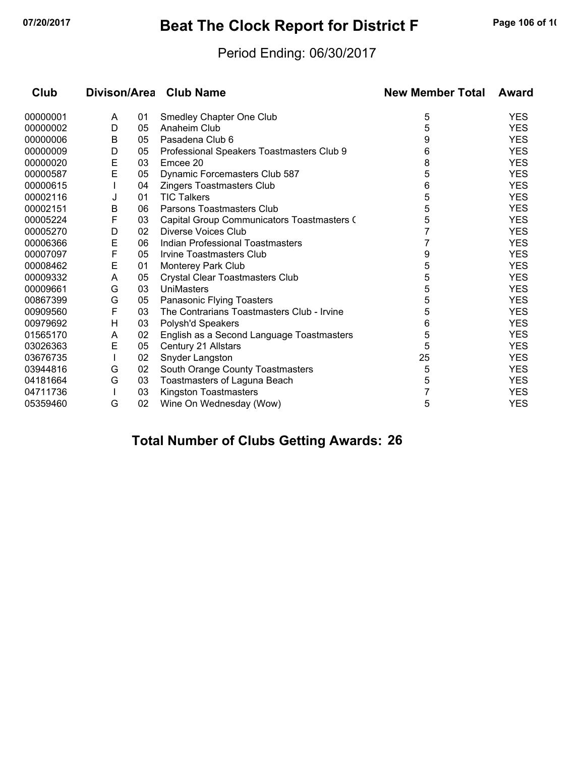# **07/20/2017 Beat The Clock Report for District F Page 106 of 10**

### Period Ending: 06/30/2017

| Club<br>Divison/Area Club Name |   |    |                                            | <b>New Member Total</b> | Award      |  |
|--------------------------------|---|----|--------------------------------------------|-------------------------|------------|--|
| 00000001                       | A | 01 | Smedley Chapter One Club                   | 5                       | <b>YES</b> |  |
| 00000002                       | D | 05 | Anaheim Club                               | 5                       | <b>YES</b> |  |
| 00000006                       | B | 05 | Pasadena Club 6                            | 9                       | <b>YES</b> |  |
| 00000009                       | D | 05 | Professional Speakers Toastmasters Club 9  | 6                       | <b>YES</b> |  |
| 00000020                       | Е | 03 | Emcee 20                                   | 8                       | <b>YES</b> |  |
| 00000587                       | E | 05 | Dynamic Forcemasters Club 587              | 5                       | <b>YES</b> |  |
| 00000615                       |   | 04 | Zingers Toastmasters Club                  | 6                       | <b>YES</b> |  |
| 00002116                       | J | 01 | <b>TIC Talkers</b>                         | 5                       | <b>YES</b> |  |
| 00002151                       | B | 06 | Parsons Toastmasters Club                  | 5                       | <b>YES</b> |  |
| 00005224                       | F | 03 | Capital Group Communicators Toastmasters ( | 5                       | <b>YES</b> |  |
| 00005270                       | D | 02 | Diverse Voices Club                        | 7                       | <b>YES</b> |  |
| 00006366                       | E | 06 | Indian Professional Toastmasters           |                         | <b>YES</b> |  |
| 00007097                       | F | 05 | <b>Irvine Toastmasters Club</b>            | 9                       | <b>YES</b> |  |
| 00008462                       | Е | 01 | <b>Monterey Park Club</b>                  | 5                       | <b>YES</b> |  |
| 00009332                       | A | 05 | Crystal Clear Toastmasters Club            | 5                       | <b>YES</b> |  |
| 00009661                       | G | 03 | UniMasters                                 | 5                       | <b>YES</b> |  |
| 00867399                       | G | 05 | Panasonic Flying Toasters                  | 5                       | <b>YES</b> |  |
| 00909560                       | F | 03 | The Contrarians Toastmasters Club - Irvine | 5                       | <b>YES</b> |  |
| 00979692                       | H | 03 | Polysh'd Speakers                          | 6                       | <b>YES</b> |  |
| 01565170                       | A | 02 | English as a Second Language Toastmasters  | 5                       | <b>YES</b> |  |
| 03026363                       | E | 05 | Century 21 Allstars                        | 5                       | <b>YES</b> |  |
| 03676735                       |   | 02 | Snyder Langston                            | 25                      | <b>YES</b> |  |
| 03944816                       | G | 02 | South Orange County Toastmasters           | 5                       | <b>YES</b> |  |
| 04181664                       | G | 03 | Toastmasters of Laguna Beach               | 5                       | <b>YES</b> |  |
| 04711736                       |   | 03 | Kingston Toastmasters                      |                         | <b>YES</b> |  |
| 05359460                       | G | 02 | Wine On Wednesday (Wow)                    | 5                       | <b>YES</b> |  |